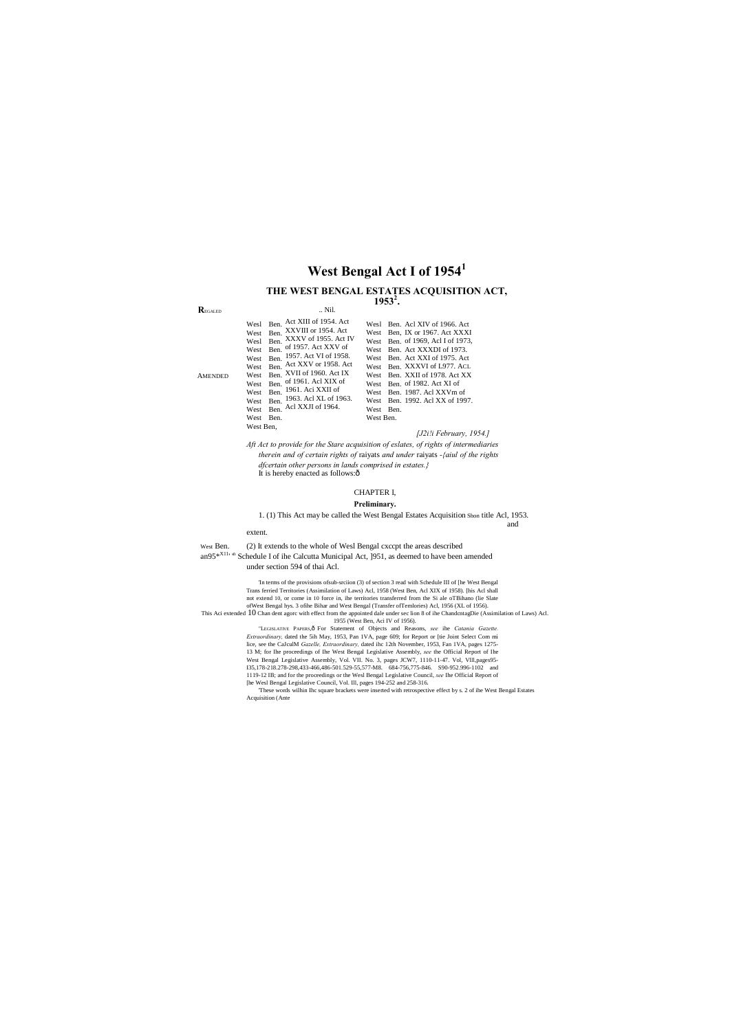#### **R**EGALED

AMENDED

.. Nil.

| Wesl<br>West<br>Wesl<br>West<br>West<br>West<br>West<br>West<br>West<br>West<br>West<br>West | Ben. Act XIII of 1954. Act<br>XXVIII or 1954. Act<br>Ben.<br>Ben. XXXV of 1955. Act IV<br>Ben. of 1957. Act XXV of<br>Ben. 1957. Act VI of 1958.<br>Ben. Act XXV or 1958. Act<br>Ben. XVII of 1960. Act IX<br>Ben. of 1961. Acl XIX of<br>Ben. 1961. Aci XXII of<br>Ben. 1963. Acl XL of 1963.<br>Ben. Acl XXJI of 1964.<br>Ben. | Ben. Acl XIV of 1966. Act<br>Wesl<br>Ben, IX or 1967. Act XXXI<br>West<br>Ben. of 1969, Acl I of 1973,<br>West<br>Ben. Act XXXDI of 1973.<br>West<br>Ben. Act XXI of 1975. Act<br>West<br>Ben. XXXVI of L977. ACL<br>West<br>Ben. XXII of 1978. Act XX<br>West<br>Ben. of 1982. Act XI of<br>West<br>Ben. 1987. Acl XXVm of<br>West<br>Ben. 1992. Acl XX of 1997.<br>West<br>West<br>Ben.<br>West Ben. |  |  |
|----------------------------------------------------------------------------------------------|----------------------------------------------------------------------------------------------------------------------------------------------------------------------------------------------------------------------------------------------------------------------------------------------------------------------------------|--------------------------------------------------------------------------------------------------------------------------------------------------------------------------------------------------------------------------------------------------------------------------------------------------------------------------------------------------------------------------------------------------------|--|--|
| West Ben.                                                                                    |                                                                                                                                                                                                                                                                                                                                  |                                                                                                                                                                                                                                                                                                                                                                                                        |  |  |

*Aft Act to provide for the Stare acquisition of eslates, of rights of intermediaries therein and of certain rights of* raiyats *and under* raiyats *-{aiul of the rights dfcertain other persons in lands comprised in estates.}* It is hereby enacted as follows: $\hat{o}$ 

West Ben. (2) It extends to the whole of Wesl Bengal cxccpt the areas described an95<sup>\*X11</sup>' <sup>n</sup> Schedule I of ihe Calcutta Municipal Act, <sup>1951</sup>, as deemed to have been amended

# **West Bengal Act I of 1954<sup>1</sup>**

### **THE WEST BENGAL ESTATES ACQUISITION ACT, 1953<sup>2</sup> .**

#### *[J2i!i February, 1954.]*

# CHAPTER I,

### **Preliminary.**

1. (1) This Act may be called the West Bengal Estates Acquisition Shon title Acl, 1953. and

#### extent.

"LEGISLATIVE PAPERS, Ô For Statement of Objects and Reasons, *see* ihe *Catania Gazette*. *Extraordinary,* dated the 5ih May, 1953, Pan 1VA, page 609; for Report or [tie Joint Select Com mi lice, see the CaJculM *Gazelle, Extraordinary,* dated ihc 12th November, 1953, Fan 1VA, pages 1275- 13 M; for Ihe proceedings of Ihe West Bengal Legislative Assembly, *see* the Official Report of Ihe West Bengal Legislative Assembly, Vol. VII. No. 3, pages JCW7, 1110-11-47. Vol, Vlll,pages95- I35,178-218.278-298,433-466,486-501.529-55,577-M8. 684-756,775-846. S90-952.996-1102 and 1119-12 IB; and for the proceedings or the Wesl Bengal Legislative Council, *see* Ihe Official Report of [he Wesl Bengal Legislative Council, Vol. Ill, pages 194-252 and 258-316.

under section 594 of thai Acl.

'In terms of the provisions ofsub-srciion (3) of section 3 read with Schedule III of [he West Bengal Trans ferried Territories (Assimilation of Laws) Acl, 1958 (West Ben, Acl XIX of 1958). [his Acl shall not extend 10, or come in 10 force in, ihe territories transferred from the Si ale oTBihano (lie Slate ofWest Bengal hys. 3 ofihe Bihar and West Bengal (Transfer ofTemlories) Acl, 1956 (XL of 1956).

This Aci extended 10 Chan dent agorc with effect from the appointed dale under sec lion 8 of ihe ChandcntagDie (Assimilation of Laws) Acl. 1955 (West Ben, Aci IV of 1956).

> 'These words wilhin Ihc square brackets were inserted with retrospective effect by s. 2 of ihe West Bengal Estates Acquisition (Ante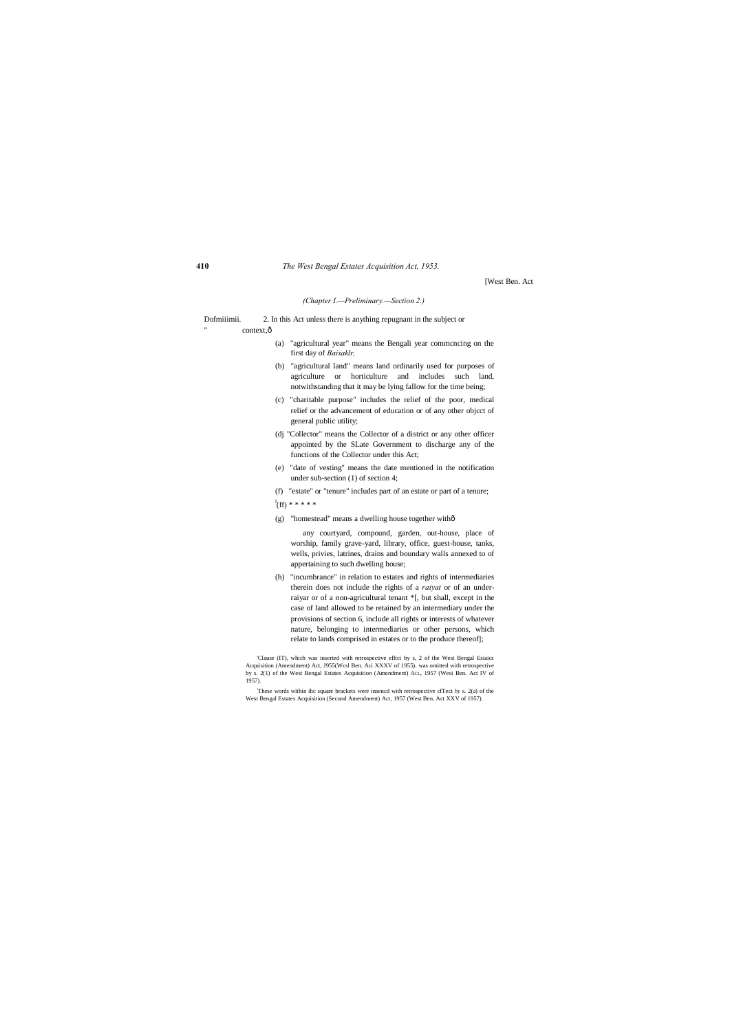[West Ben. Act

#### *(Chapter I.—Preliminary.—Section 2.)*

Dofmiiimii. 2. In this Act unless there is anything repugnant in the subject or " context, $\hat{o}$ 

- (a) "agricultural year" means the Bengali year commcncing on the first day of *Baisaklr,*
- (b) "agricultural land" means land ordinarily used for purposes of agriculture or horticulture and includes such land, notwithstanding that it may be lying fallow for the time being;
- (c) "charitable purpose" includes the relief of the poor, medical relief or the advancement of education or of any other objcct of general public utility;
- (dj "Collector" means the Collector of a district or any other officer appointed by the SLate Government to discharge any of the functions of the Collector under this Act;
- (e) "date of vesting" means the date mentioned in the notification under sub-section (1) of section 4;
- (f) "estate" or "tenure" includes part of an estate or part of a tenure;

 $\rm{d}^l(ff)****$ 

'Clause (IT), which was inserted with retrospective efltci by s, 2 of the West Bengal Esiaics Acquisition (Amendment) Act, J955(Wcsl Ben. Aci XXXV of 1955). was omitted with retrospective by s. 2(1) of the West Bengal Estates Acquisition (Amendment) Act., 1957 (West Ben. Act IV of 1957).

(g) "homestead" means a dwelling house together with—

any courtyard, compound, garden, out-house, place of worship, family grave-yard, library, office, guest-house, tanks, wells, privies, latrines, drains and boundary walls annexed to of appertaining to such dwelling house;

(h) "incumbrance" in relation to estates and rights of intermediaries therein does not include the rights of a *raiyat* or of an underraiyar or of a non-agricultural tenant \*[, but shall, except in the case of land allowed to be retained by an intermediary under the provisions of section 6, include all rights or interests of whatever nature, belonging to intermediaries or other persons, which relate to lands comprised in estates or to the produce thereof];

: These words within ihc square brackets were insencd with retrospective cfTect *by* s. 2(a) of the West Bengal Estates Acquisition (Second Amendment) Act, 1957 (West Ben. Act XXV of 1957).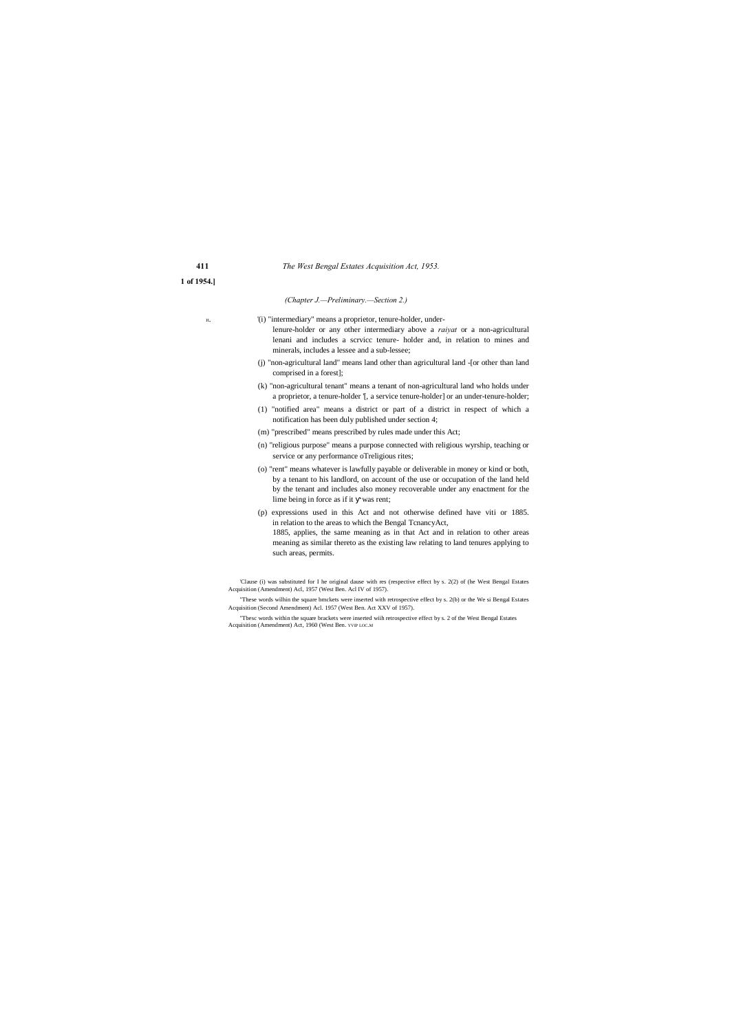| 411        |  |  |
|------------|--|--|
| 1 of 1954. |  |  |

#### *(Chapter J.—Preliminary.—Section 2.)*

'(i) "intermediary" means a proprietor, tenure-holder, underlenure-holder or any other intermediary above a *raiyat* or a non-agricultural lenani and includes a scrvicc tenure- holder and, in relation to mines and minerals, includes a lessee and a sub-lessee;

- (j) "non-agricultural land" means land other than agricultural land -[or other than land comprised in a forest];
- (k) "non-agricultural tenant" means a tenant of non-agricultural land who holds under a proprietor, a tenure-holder '[, a service tenure-holder] or an under-tenure-holder;
- (1) "notified area" means a district or part of a district in respect of which a notification has been duly published under section 4;
- (m) "prescribed" means prescribed by rules made under this Act;
- (n) "religious purpose" means a purpose connected with religious wyrship, teaching or service or any performance oTreligious rites;
- (o) "rent" means whatever is lawfully payable or deliverable in money or kind or both, by a tenant to his landlord, on account of the use or occupation of the land held by the tenant and includes also money recoverable under any enactment for the lime being in force as if it was rent;
- (p) expressions used in this Act and not otherwise defined have viti or 1885. in relation to the areas to which the Bengal TcnancyAct,
	- 1885, applies, the same meaning as in that Act and in relation to other areas meaning as similar thereto as the existing law relating to land tenures applying to such areas, permits.

<sup>&#</sup>x27;Clause (i) was substituted for I he original dause with res (respective effect by s. 2(2) of (he West Bengal Estates Acquisition (Amendment) Acl, 1957 (West Ben. Acl IV of 1957).

<sup>&</sup>quot;These words wilhin the square bmckets were inserted with retrospective effect by s. 2(b) or the We si Bengal Estates Acquisition (Second Amendment) Acl. 1957 (West Ben. Act XXV of 1957).

<sup>&</sup>quot;Tbesc words within the square brackets were inserted wiih retrospective effect by s. 2 of the West Bengal Estates Acquisition (Amendment) Act, 1960 (West Ben. YVIP LOC.M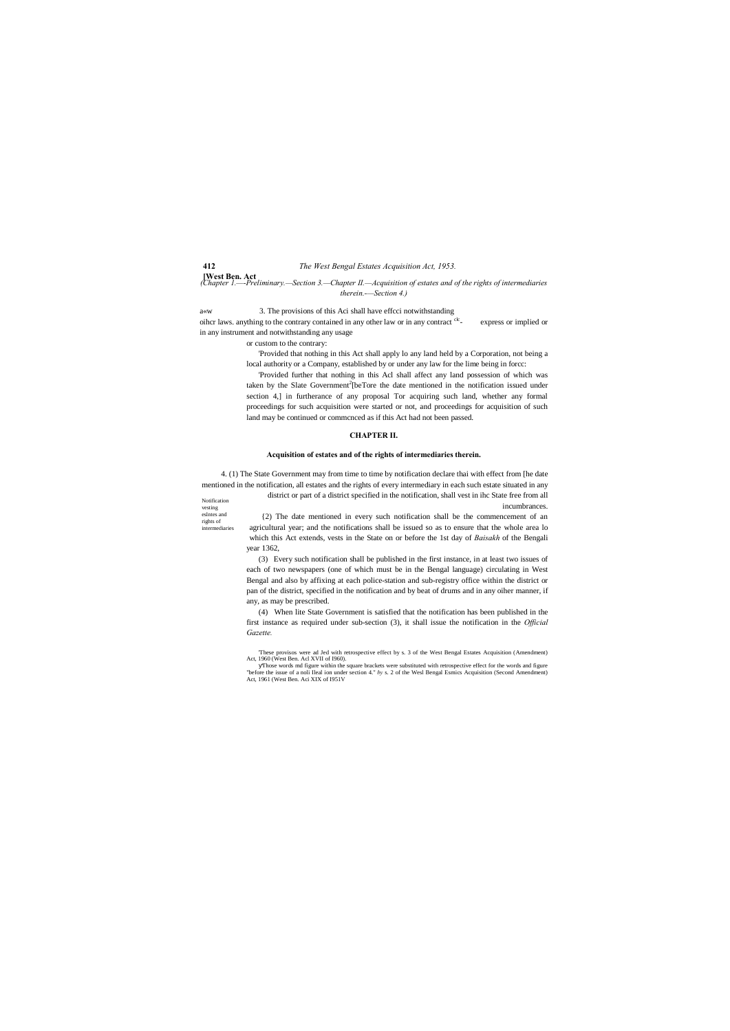Notification vesting eslntes and rights of intermediaries

**[West Ben. Act** *(Chapter 1.—-Preliminary.—Section 3.—Chapter II.—Acquisition of estates and of the rights of intermediaries* 

oihcr laws. anything to the contrary contained in any other law or in any contract <sup>clc</sup>- express or implied or in any instrument and notwithstanding any usage

*therein.-—Section 4.)*

a«w 3. The provisions of this Aci shall have effcci notwithstanding

or custom to the contrary:

'Provided that nothing in this Act shall apply lo any land held by a Corporation, not being a local authority or a Company, established by or under any law for the lime being in forcc:

'Provided further that nothing in this Acl shall affect any land possession of which was taken by the Slate Government<sup>2</sup>[beTore the date mentioned in the notification issued under section 4,] in furtherance of any proposal Tor acquiring such land, whether any formal proceedings for such acquisition were started or not, and proceedings for acquisition of such land may be continued or commcnced as if this Act had not been passed.

#### **CHAPTER II.**

#### **Acquisition of estates and of the rights of intermediaries therein.**

4. (1) The State Government may from time to time by notification declare thai with effect from [he date mentioned in the notification, all estates and the rights of every intermediary in each such estate situated in any

> district or part of a district specified in the notification, shall vest in ihc State free from all incumbrances. {2) The date mentioned in every such notification shall be the commencement of an agricultural year; and the notifications shall be issued so as to ensure that the whole area lo

> which this Act extends, vests in the State on or before the 1st day of *Baisakh* of the Bengali year 1362,

> (3) Every such notification shall be published in the first instance, in at least two issues of each of two newspapers (one of which must be in the Bengal language) circulating in West Bengal and also by affixing at each police-station and sub-registry office within the district or pan of the district, specified in the notification and by beat of drums and in any oiher manner, if any, as may be prescribed.

> (4) When lite State Government is satisfied that the notification has been published in the first instance as required under sub-section (3), it shall issue the notification in the *Official Gazette.*

> 'These provisos were ad Jed with retrospective effect by s. 3 of the West Bengal Estates Acquisition (Amendment) Act, 1960 (West Ben. Acl XVII of I960).

> Those words md figure within the square brackets were substituted with retrospective effect for the words and figure "before the issue of a noli Ileal ion under section 4." *by* s. 2 of the Wesl Bengal Esmics Acquisition (Second Amendment) Act, 1961 (West Ben. Aci XIX of I951V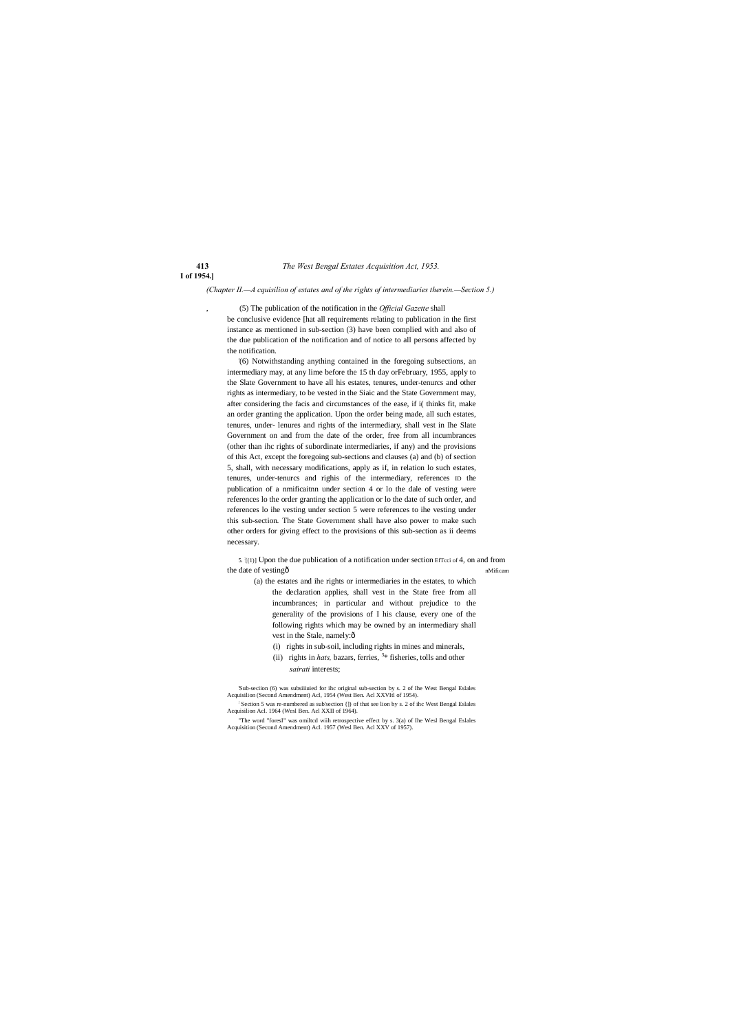# **I of 1954.]**

*(Chapter II.—A cquisilion of estates and of the rights of intermediaries therein.—Section 5.)*

, (5) The publication of the notification in the *Official Gazette* shall be conclusive evidence [hat all requirements relating to publication in the first instance as mentioned in sub-section (3) have been complied with and also of the due publication of the notification and of notice to all persons affected by the notification.

5. : [(1)] Upon the due publication of a notification under section EfTcci of 4, on and from the date of vesting $\hat{O}$  and the date of vesting  $\hat{O}$  and the date of vesting  $\hat{O}$  and the date of vesting  $\hat{O}$  and the date of vesting  $\hat{O}$  and the date of vesting  $\hat{O}$  and the date of vesting  $\hat{O}$  and

'(6) Notwithstanding anything contained in the foregoing subsections, an intermediary may, at any lime before the 15 th day orFebruary, 1955, apply to the Slate Government to have all his estates, tenures, under-tenurcs and other rights as intermediary, to be vested in the Siaic and the State Government may, after considering the facis and circumstances of the ease, if i( thinks fit, make an order granting the application. Upon the order being made, all such estates, tenures, under- lenures and rights of the intermediary, shall vest in Ihe Slate Government on and from the date of the order, free from all incumbrances (other than ihc rights of subordinate intermediaries, if any) and the provisions of this Act, except the foregoing sub-sections and clauses (a) and (b) of section 5, shall, with necessary modifications, apply as if, in relation lo such estates, tenures, under-tenurcs and righis of the intermediary, references ID the publication of a nmificaitnn under section 4 or lo the dale of vesting were references lo the order granting the application or lo the date of such order, and references lo ihe vesting under section 5 were references to ihe vesting under this sub-section. The State Government shall have also power to make such other orders for giving effect to the provisions of this sub-section as ii deems necessary.

'Sub-seciion (6) was subsiiiuied for ihc original sub-section by s. 2 of Ihe West Bengal Eslales Acquisilion (Second Amendment) Acl, 1954 (West Ben. Acl XXVItl of 1954).

- (a) the estates and ihe rights or intermediaries in the estates, to which the declaration applies, shall vest in the State free from all incumbrances; in particular and without prejudice to the generality of the provisions of I his clause, every one of the following rights which may be owned by an intermediary shall vest in the Stale, namely: $ô$ 
	- (i) rights in sub-soil, including rights in mines and minerals,
	- (ii) rights in *hats*, bazars, ferries,  $3*$  fisheries, tolls and other *sairati* interests;

; Section 5 was re-numbered as sub'section {]) of that see lion by s. 2 of ihc West Bengal Eslales Acquisilion Acl. 1964 (Wesl Ben. Acl XXII of 1964).

"The word "foresI" was omiltcd wiih retrospective effect by s. 3(a) of Ihe Wesl Bengal Eslales Acquisition (Second Amendment) Acl. 1957 (Wesl Ben. Acl XXV of 1957).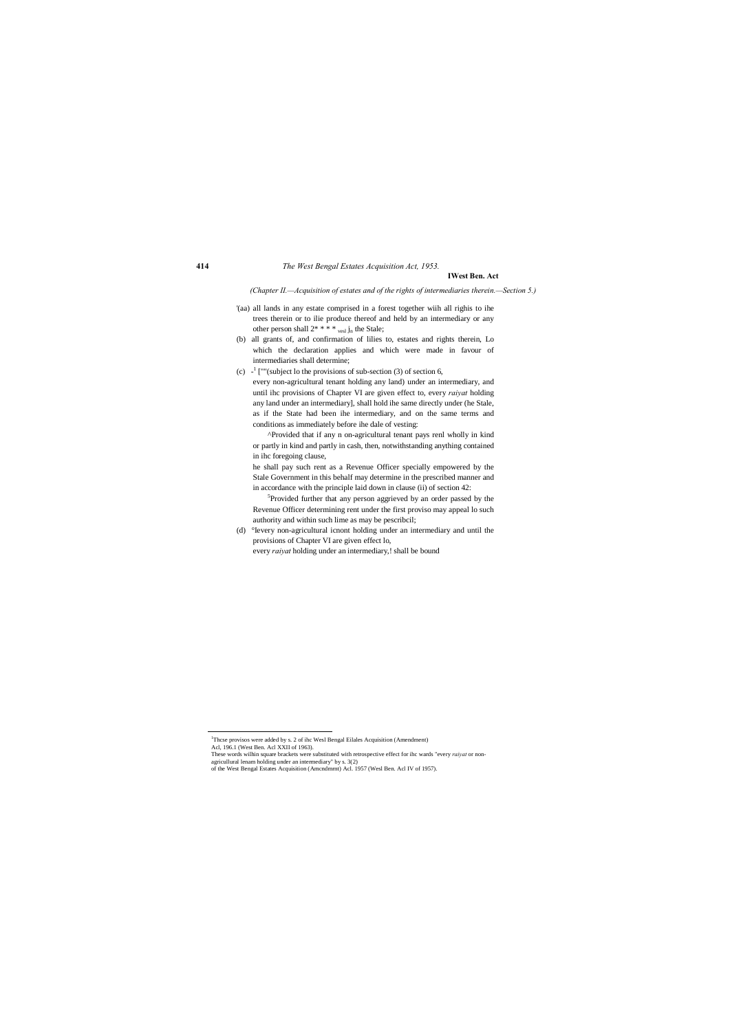## **IWest Ben. Act**

*(Chapter II.—Acquisition of estates and of the rights of intermediaries therein.—Section 5.)*

- '(aa) all lands in any estate comprised in a forest together wiih all righis to ihe trees therein or to ilie produce thereof and held by an intermediary or any other person shall  $2^*$  \* \* \*  $_{\text{vesl}}$  j<sub>n</sub> the Stale;
- (b) all grants of, and confirmation of lilies to, estates and rights therein, Lo which the declaration applies and which were made in favour of intermediaries shall determine;
- (c)  $-$ <sup>1</sup> [""(subject lo the provisions of sub-section (3) of section 6, every non-agricultural tenant holding any land) under an intermediary, and until ihc provisions of Chapter VI are given effect to, every *raiyat* holding any land under an intermediary], shall hold ihe same directly under (he Stale, as if the State had been ihe intermediary, and on the same terms and conditions as immediately before ihe dale of vesting:

<sup>5</sup>Provided further that any person aggrieved by an order passed by the Revenue Officer determining rent under the first proviso may appeal lo such authority and within such lime as may be pescribcil;

These words wilhin square brackets were substituted with retrospective effect for ihc wards "every *raiyat* or nonagricullural lenam holding under an intermediary" by s. 3(2)

^Provided that if any n on-agricultural tenant pays renl wholly in kind or partly in kind and partly in cash, then, notwithstanding anything contained in ihc foregoing clause,

he shall pay such rent as a Revenue Officer specially empowered by the Stale Government in this behalf may determine in the prescribed manner and in accordance with the principle laid down in clause (ii) of section 42:

(d) °Ievery non-agricultural icnont holding under an intermediary and until the provisions of Chapter VI are given effect lo,

every *raiyat* holding under an intermediary,! shall be bound

 1 Thcse provisos were added by s. 2 of ihc Wesl Bengal Eilales Acquisition (Amendment) Acl, 196.1 (West Ben. Acl XXII of 1963).

of the West Bengal Estates Acquisition (Amcndmrnt) Acl. 1957 (Wesl Ben. Acl IV of 1957).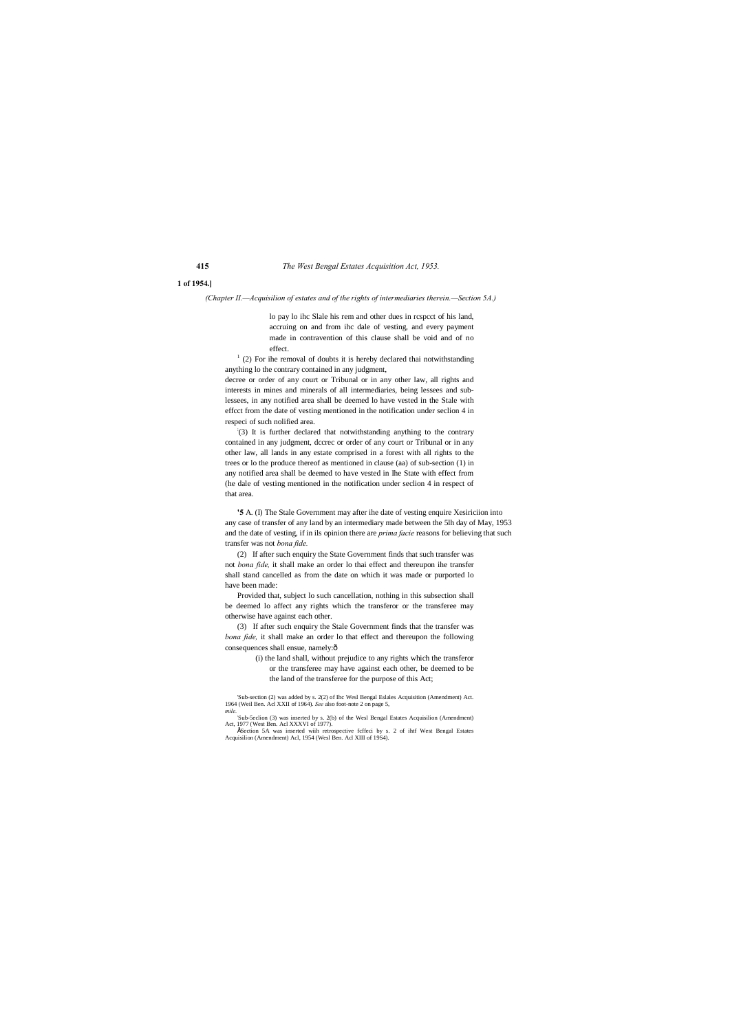# **1 of 1954.]**

*(Chapter II.—Acquisilion of estates and of the rights of intermediaries therein.—Section 5A.)*

 $1$  (2) For ihe removal of doubts it is hereby declared thai notwithstanding anything lo the contrary contained in any judgment,

lo pay lo ihc Slale his rem and other dues in rcspcct of his land, accruing on and from ihc dale of vesting, and every payment made in contravention of this clause shall be void and of no effect.

decree or order of any court or Tribunal or in any other law, all rights and interests in mines and minerals of all intermediaries, being lessees and sublessees, in any notified area shall be deemed lo have vested in the Stale with effcct from the date of vesting mentioned in the notification under seclion 4 in respeci of such nolified area.

(3) If after such enquiry the Stale Government finds that the transfer was *bona fide,* it shall make an order lo that effect and thereupon the following consequences shall ensue, namely: $\hat{o}$ 

: (3) It is further declared that notwithstanding anything to the contrary contained in any judgment, dccrec or order of any court or Tribunal or in any other law, all lands in any estate comprised in a forest with all rights to the trees or lo the produce thereof as mentioned in clause (aa) of sub-section (1) in any notified area shall be deemed to have vested in Ihe State with effect from (he dale of vesting mentioned in the notification under seclion 4 in respect of that area.

**'5** A. (I) The Stale Government may after ihe date of vesting enquire Xesiriciion into any case of transfer of any land by an intermediary made between the 5lh day of May, 1953 and the date of vesting, if in ils opinion there are *prima facie* reasons for believing that such transfer was not *bona fide.*

(2) If after such enquiry the State Government finds that such transfer was not *bona fide,* it shall make an order lo thai effect and thereupon ihe transfer shall stand cancelled as from the date on which it was made or purported lo have been made:

Provided that, subject lo such cancellation, nothing in this subsection shall be deemed lo affect any rights which the transferor or the transferee may otherwise have against each other.

> (i) the land shall, without prejudice to any rights which the transferor or the transferee may have against each other, be deemed to be the land of the transferee for the purpose of this Act;

'Sub-section (2) was added by s. 2(2) of Ihc Wesl Bengal Eslales Acquisition (Amendment) Act. 1964 (Weil Ben. Acl XXII of 1964). *See* also foot-note 2 on page 5, *mile.*:

Sub-5eclion (3) was inserted by s. 2(b) of the Wesl Bengal Estates Acquisilion (Amendment) Act, 1977 (West Ben. Acl XXXVI of 1977).

•'Section 5A was inserted wiih retrospective fcffeci by s. 2 of ihtf West Bengal Estates Acquisilion (Amendment) Acl, 1954 (Wesl Ben. Acl XIII of 19S4).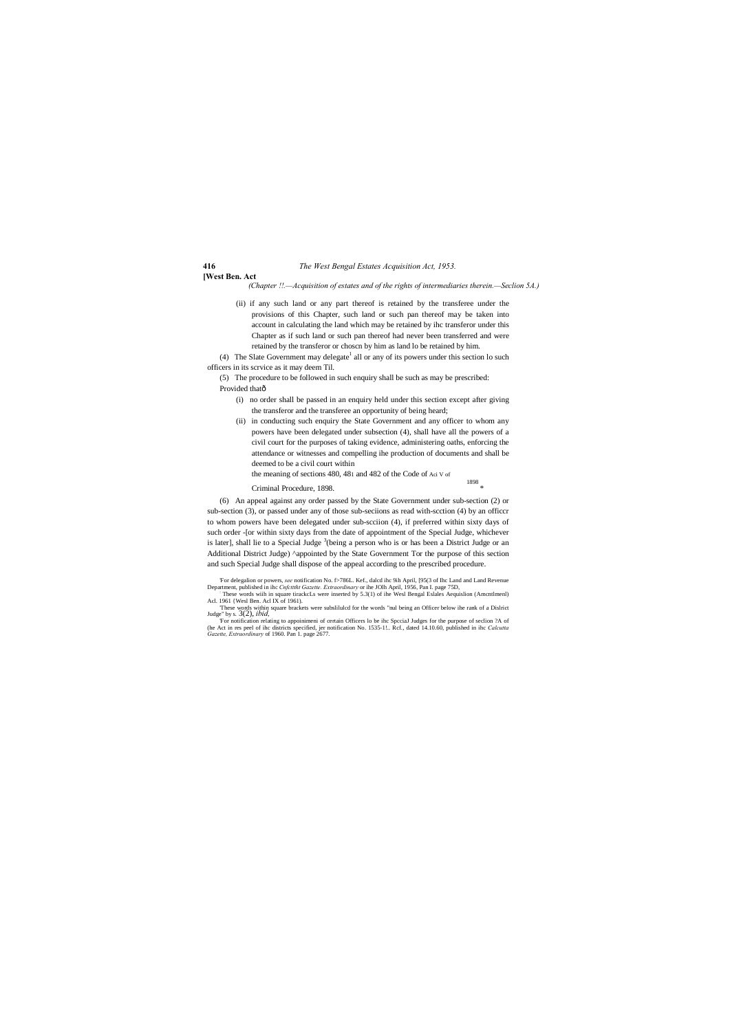### **[West Ben. Act**

*(Chapter !!.—Acquisition of estates and of the rights of intermediaries therein.—Seclion 5A.)*

(4) The Slate Government may delegate<sup>1</sup> all or any of its powers under this section lo such officers in its scrvice as it may deem Til.

(5) The procedure to be followed in such enquiry shall be such as may be prescribed: Provided thatô

(ii) if any such land or any part thereof is retained by the transferee under the provisions of this Chapter, such land or such pan thereof may be taken into account in calculating the land which may be retained by ihc transferor under this Chapter as if such land or such pan thereof had never been transferred and were retained by the transferor or choscn by him as land lo be retained by him.

- (i) no order shall be passed in an enquiry held under this section except after giving the transferor and the transferee an opportunity of being heard;
- (ii) in conducting such enquiry the State Government and any officer to whom any powers have been delegated under subsection (4), shall have all the powers of a civil court for the purposes of taking evidence, administering oaths, enforcing the attendance or witnesses and compelling ihe production of documents and shall be deemed to be a civil court within

- the meaning of sections 480, 481 and 482 of the Code of Aci V of
- Criminal Procedure, 1898. \*

1898

(6) An appeal against any order passed by the State Government under sub-section (2) or sub-section (3), or passed under any of those sub-seciions as read with-scction (4) by an officcr to whom powers have been delegated under sub-scciion (4), if preferred within sixty days of such order -[or within sixty days from the date of appointment of the Special Judge, whichever is later], shall lie to a Special Judge <sup>3</sup>(being a person who is or has been a District Judge or an Additional District Judge) ^appointed by the State Government Tor the purpose of this section and such Special Judge shall dispose of the appeal according to the prescribed procedure.

For delegation or powers, see notification No. f>786L. Kef., dated ihc 9ih April, [95(3 of Ihc Land and Land Revenue Department, published in ihc *Cnfctttht Gazette. Extraordinary* or ihe JOlh April, 1956, Pan I. page 75D,

Acl. 1961 {Wesl Ben. Acl IX of 1961). 'These words within square brackets were subslilulcd for the words "nul being an Officer below ihe rank of a Dislrict Judge" by s. 3(2), *ibid,*

For notification relating to appoinimeni of certain Officers lo be ihc Spccial Judges for the purpose of seclion ?A of (he Act in res peel of ihc districts specified, jer notification No. 1535-1!.. Rcf., dated 14.10.60, pu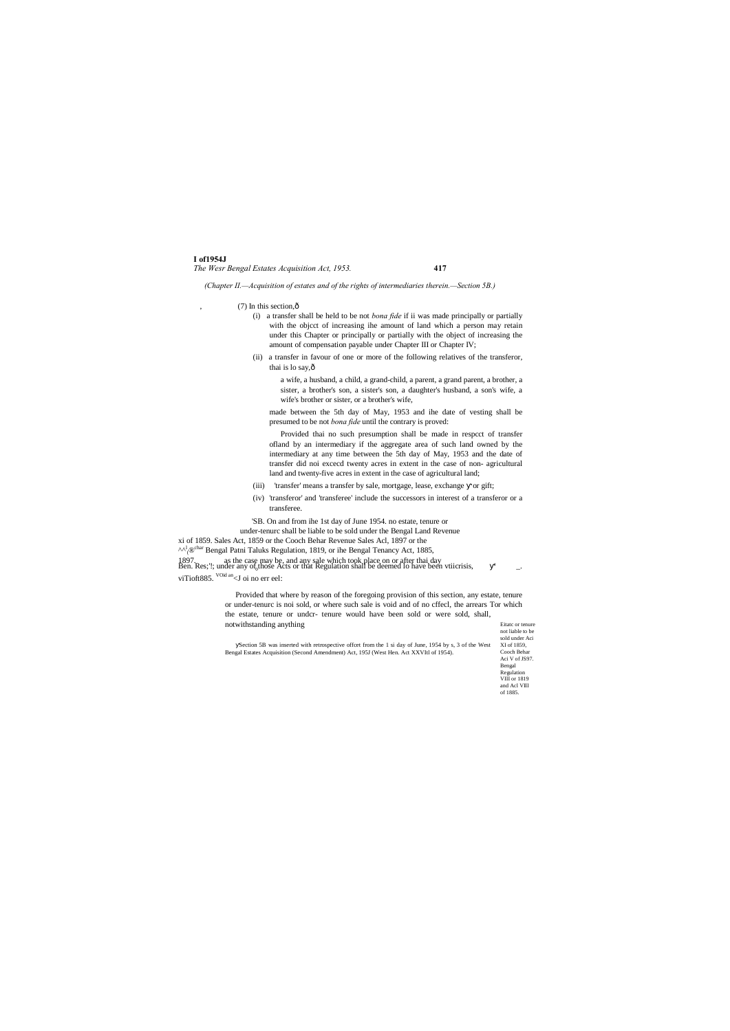#### **I of1954J** *The Wesr Bengal Estates Acquisition Act, 1953.* **417**

not liable to be sold under Aci XI of 1859, Cooch Behar Aci V of JS97. Bengal Regulation VIII or 1819 and Acl VIII of 1885.

- (i) a transfer shall be held to be not *bona fide* if ii was made principally or partially with the objcct of increasing ihe amount of land which a person may retain under this Chapter or principally or partially with the object of increasing the amount of compensation payable under Chapter III or Chapter IV;
- (ii) a transfer in favour of one or more of the following relatives of the transferor, thai is lo say, ô

*(Chapter II.—Acquisition of estates and of the rights of intermediaries therein.—Section 5B.)*

 $(7)$  In this section, $\hat{0}$ 

- (iii) 'transfer' means a transfer by sale, mortgage, lease, exchange or gift;
- (iv) 'transferor' and 'transferee' include the successors in interest of a transferor or a transferee.

a wife, a husband, a child, a grand-child, a parent, a grand parent, a brother, a sister, a brother's son, a sister's son, a daughter's husband, a son's wife, a wife's brother or sister, or a brother's wife,

made between the 5th day of May, 1953 and ihe date of vesting shall be presumed to be not *bona fide* until the contrary is proved:

Eitatc or tenure Provided that where by reason of the foregoing provision of this section, any estate, tenure or under-tenurc is noi sold, or where such sale is void and of no cffecl, the arrears Tor which the estate, tenure or undcr- tenure would have been sold or were sold, shall, notwithstanding anything

Provided thai no such presumption shall be made in respcct of transfer ofland by an intermediary if the aggregate area of such land owned by the intermediary at any time between the 5th day of May, 1953 and the date of transfer did noi excecd twenty acres in extent in the case of non- agricultural land and twenty-five acres in extent in the case of agricultural land;

Section 5B was inserted with retrospective offcet from the 1 si day of June, 1954 by s, 3 of the West Bengal Estates Acquisition (Second Amendment) Act, 195J (West Hen. Act XXVItl of 1954).

'SB. On and from ihe 1st day of June 1954. no estate, tenure or under-tenurc shall be liable to be sold under the Bengal Land Revenue xi of 1859. Sales Act, 1859 or the Cooch Behar Revenue Sales Acl, 1897 or the

 $\wedge^{\Lambda}$ <sup>1</sup> (®<sup>char</sup> Bengal Patni Taluks Regulation, 1819, or ihe Bengal Tenancy Act, 1885, 1897. as the case may be, and any sale which took place on or after thai day Ben. Res;'!; under any of those Acts or that Regulation shall be deemed lo have been vtiicrisis, viTioft885. <sup>VOid an</sup>  $\leq$ J oi no err eel: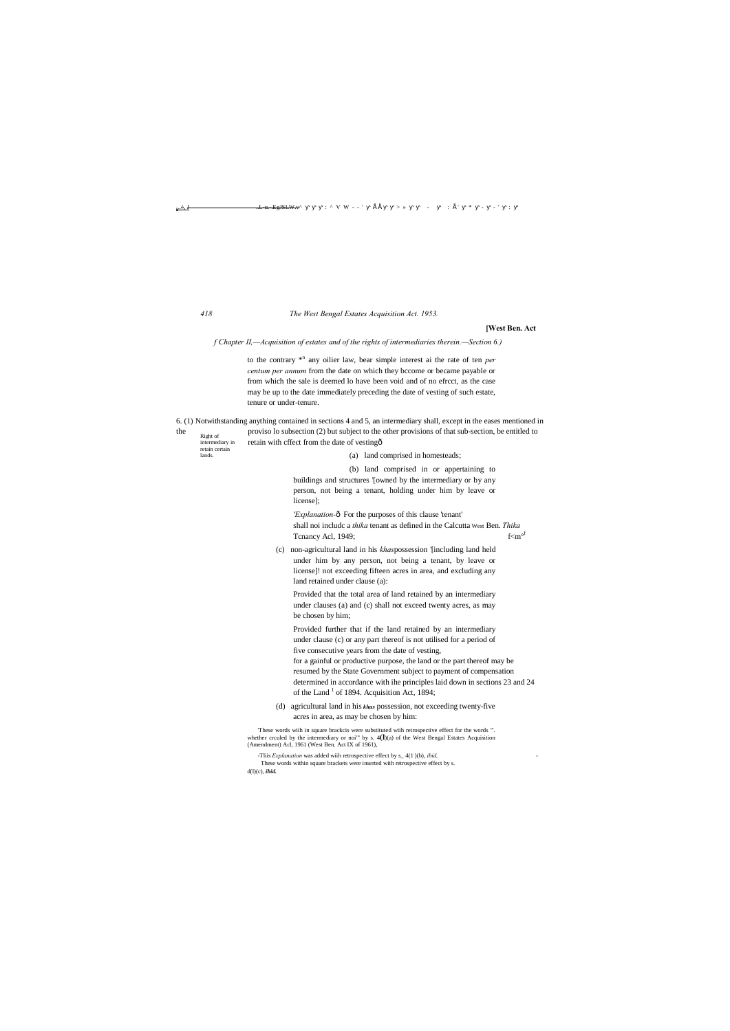Right of intermediary in retain certain

lands.

n..^, J ..L-u.-.EgJSLW.v^ ■ ■ ■ : ^ V W - - ' • • ■ ■ > » ■ ■ - : • ' \* - - ' :

#### *418 The West Bengal Estates Acquisition Act. 1953.*

#### **[West Ben. Act**

*f Chapter II,—Acquisition of estates and of the rights of intermediaries therein.—Section 6.)*

to the contrary \*<sup>n</sup> any oilier law, bear simple interest ai the rate of ten *per centum per annum* from the date on which they bccome or became payable or from which the sale is deemed lo have been void and of no efrcct, as the case may be up to the date immediately preceding the date of vesting of such estate, tenure or under-tenure.

#### 6. (1) Notwithstanding anything contained in sections 4 and 5, an intermediary shall, except in the eases mentioned in

Provided further that if the land retained by an intermediary under clause (c) or any part thereof is not utilised for a period of five consecutive years from the date of vesting, for a gainful or productive purpose, the land or the part thereof may be resumed by the State Government subject to payment of compensation determined in accordance with ihe principles laid down in sections 23 and 24 of the Land  $<sup>1</sup>$  of 1894. Acquisition Act, 1894;</sup>

the proviso lo subsection (2) but subject to the other provisions of that sub-section, be entitled to retain with cffect from the date of vesting— (a) land comprised in homesteads;

> (b) land comprised in or appertaining to buildings and structures '[owned by the intermediary or by any person, not being a tenant, holding under him by leave or license];

'Explanation- $\delta$  For the purposes of this clause 'tenant' shall noi includc a *thika* tenant as defined in the Calcutta West Ben. *Thika* Tcnancy Acl, 1949;  $f < m<sup>of</sup>$ 

(c) non-agricultural land in his *khas*possession '[including land held under him by any person, not being a tenant, by leave or license]! not exceeding fifteen acres in area, and excluding any land retained under clause (a):

Provided that the total area of land retained by an intermediary under clauses (a) and (c) shall not exceed twenty acres, as may be chosen by him;

(d) agricultural land in his *khas* possession, not exceeding twenty-five acres in area, as may be chosen by him:

'These words wiih in square brackcis were substituted wiih retrospective effect for the words "'. whether crculed by the intermediary or noi"' by s. 4**(l**)(a) of the West Bengal Estates Acquisition (Amendment) Acl, 1961 (West Ben. Act IX of 1961),

-Tliis *Explanation* was added wiih retrospective effect by s\_ 4(1 )(b), *ibid,* - These words within square brackets were inserted with retrospective effect by s. d(l)(c), *ibid.*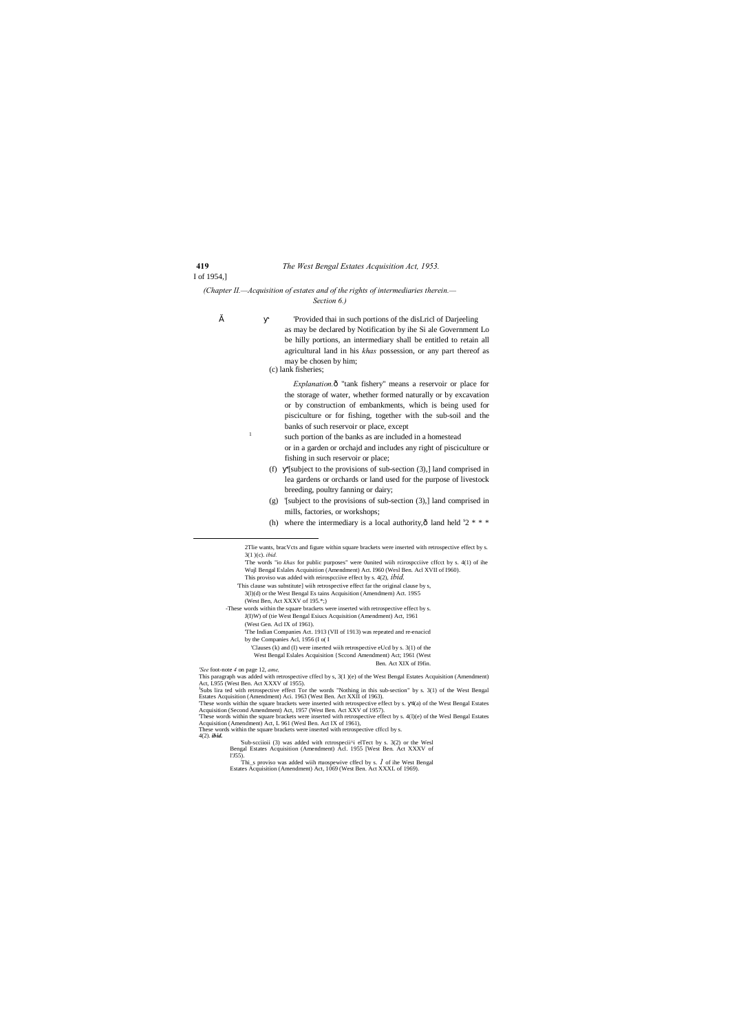I of 1954,]

*(Chapter II.—Acquisition of estates and of the rights of intermediaries therein.— Section 6.)*

" 'Provided thai in such portions of the disLricl of Darjeeling as may be declared by Notification by ihe Si ale Government Lo be hilly portions, an intermediary shall be entitled to retain all agricultural land in his *khas* possession, or any part thereof as may be chosen by him;

> *Explanation.* $\hat{o}$  "tank fishery" means a reservoir or place for the storage of water, whether formed naturally or by excavation or by construction of embankments, which is being used for pisciculture or for fishing, together with the sub-soil and the banks of such reservoir or place, except

(c) lank fisheries;

<sup>1</sup> such portion of the banks as are included in a homestead or in a garden or orchajd and includes any right of pisciculture or fishing in such reservoir or place;

- (f) '[subject to the provisions of sub-section (3),] land comprised in lea gardens or orchards or land used for the purpose of livestock breeding, poultry fanning or dairy;
- (g) '[subject to the provisions of sub-section (3),] land comprised in mills, factories, or workshops;
- (h) where the intermediary is a local authority, $\hat{0}$  land held  $S2$  \* \* \*

l'J55).<br>
Thi\_s proviso was added wiih rtuospewive cffecl by s. *1* of ihe West Bengal Estates Acquisition (Amendment) Act, 1069 (West Ben. Act XXXL of 1969).

Ben. Act XIX of I9fin.

 <sup>2</sup>Tlie wants, bracVcts and figure within square brackets were inserted with retrospective effect by s. 3(1 )(c). *ibid.*

<sup>&#</sup>x27;The words "io *khas* for public purposes" were 0united wiih rcirospcciive cffcct by s. 4(1) of ihe Wujl Bengal Eslales Acquisition (Amendment) Act. I960 (Wesl Ben. Acl XVII of I960). This proviso was added with reirospcciive effect by s. 4(2), *ibid.*

<sup>&#</sup>x27;This clause was substitute] wiih retrospective effect far the original clause by s,

<sup>3(</sup>l)(d) or the West Bengal Es tains Acquisition (Amendmem) Act. 19S5 (West Ben, Act XXXV of 195.\*;)

<sup>-</sup>These words within the square brackets were inserted with retrospective effect by s. J(I)W) of (tie West Bengal Esiucs Acquisition (Amendment) Act, 1961

<sup>(</sup>West Gen. Acl IX of 1961).

<sup>&#</sup>x27;The Indian Companies Act. 1913 (VII of 1913) was repeated and re-enacicd by the Companies Acl, 1956 (I o( I

<sup>&#</sup>x27;Clauses (k) and (I) were inserted wiih retrospective eUcd by s. 3(1) of the West Bengal Eslales Acquisition {Sccond Amendment) Act; 1961 (West

*<sup>&#</sup>x27;See* foot-note *4* on page 12, *ame,*

This paragraph was added with retrospective cffecl by s, 3(1 )(e) of the West Bengal Estates Acquisition (Amendment) Act, L955 (West Ben. Act XXXV of 1955).

<sup>&</sup>lt;sup>1</sup>Subs lira ted with retrospective effect Tor the words "Nothing in this sub-section" by s. 3(1) of the West Bengal Estates Acquisition (Amendment) Aci. 1963 (West Ben. Act XXII of 1963).

<sup>&#</sup>x27;These words within the square brackets were inserted with retrospective effect by s. 4(a) of the West Bengal Estates Acquisition (Second Amendment) Act, 1957 (West Ben. Act XXV of 1957).

<sup>&#</sup>x27;These words within the square brackets were inserted with retrospective effect by s. 4(l)(e) of the Wesl Bengal Estates Acquisition (Amendment) Act, L 961 (Wesl Ben. Act IX of 1961),

These words within the square brackets were inserted with retrospective cffccl by s.

<sup>4(2).</sup> *ibid.*

<sup>&#</sup>x27;Sub-scciioii (3) was added with rctrospecii^i elTect by s. 3(2) or the Wesl Bengal Estates Acquisition (Amendment) Acl. 1955 [West Ben. Act XXXV of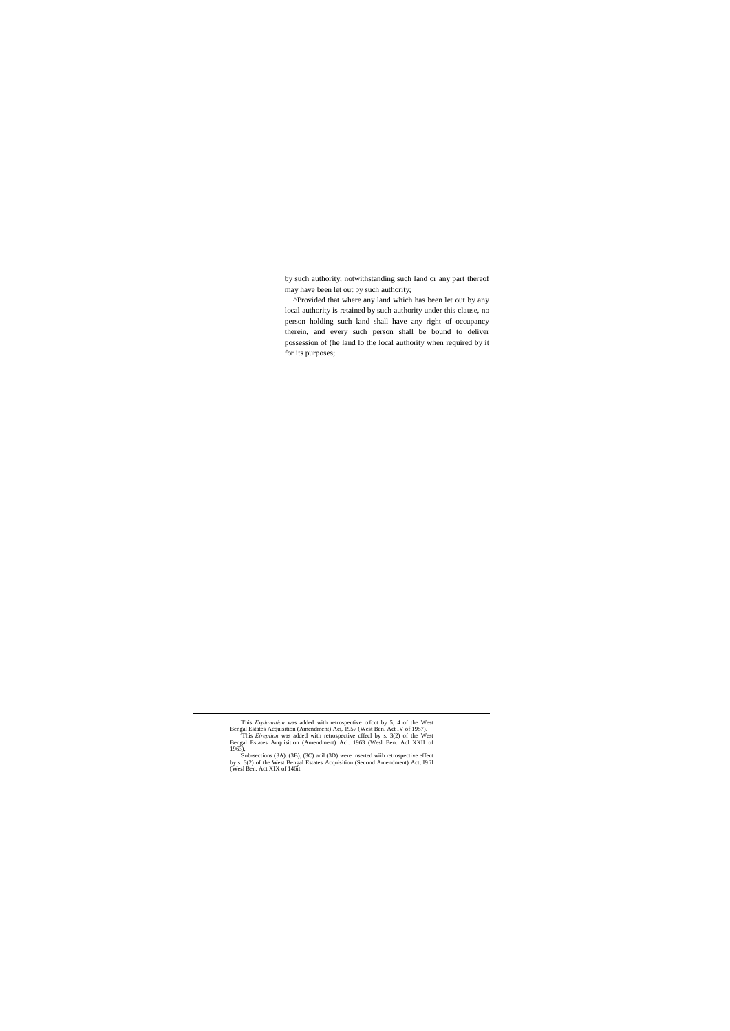by such authority, notwithstanding such land or any part thereof may have been let out by such authority;

^Provided that where any land which has been let out by any local authority is retained by such authority under this clause, no person holding such land shall have any right of occupancy therein, and every such person shall be bound to deliver possession of (he land lo the local authority when required by it for its purposes;

'This *Explanation* was added with retrospective crfcct by 5, 4 of the West

Bengal Estates Acquisition (Amendment) Aci, 1957 (West Ben. Act IV of 1957).<br><sup>J</sup>This *Eirepiion* was added with retrospective cffecl by s. 3(2) of the West Bengal Estates Acquisition (Amendment) Acl. 1963 (Wesl Ben. Acl XXII of

<sup>1963),</sup> 'Sub-sections (3A). (3B), (3C) anil (3D) were inserted wiih retrospective effect by s. 3(2) of the West Bengal Estates Acquisition (Second Amendment) Act, I9fil (Wesl Ben. Act XIX of 146it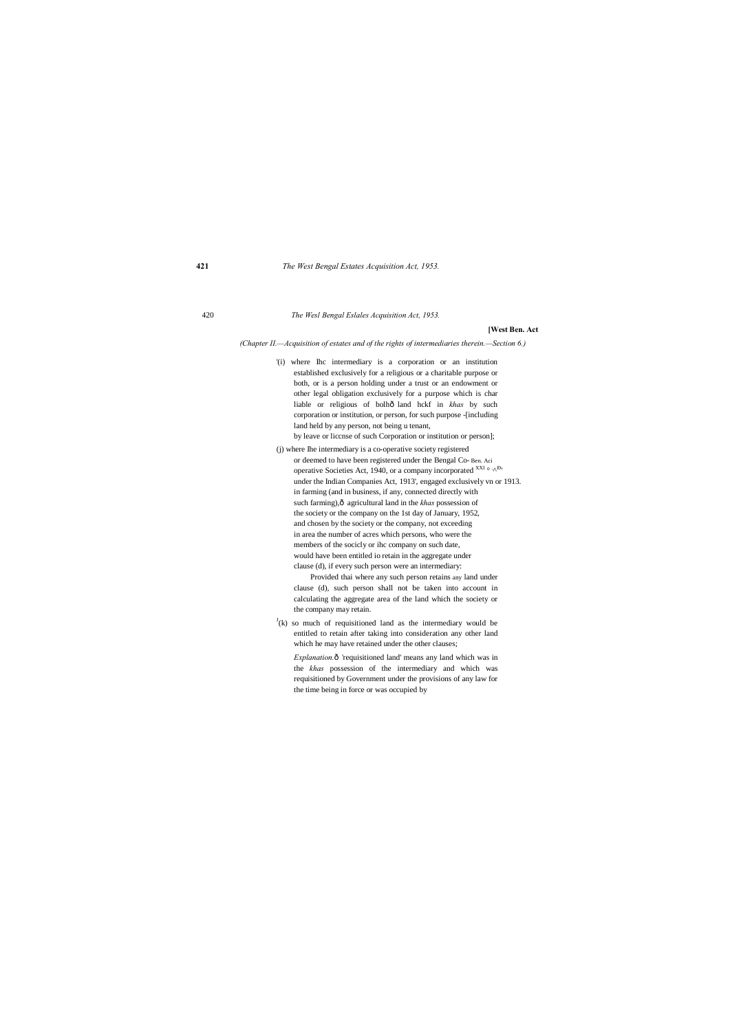420 *The Wesl Bengal Eslales Acquisition Act, 1953.*

#### **[West Ben. Act**

*(Chapter II.—Acquisition of estates and of the rights of intermediaries therein.—Section 6.)*

- '(i) where Ihc intermediary is a corporation or an institution established exclusively for a religious or a charitable purpose or both, or is a person holding under a trust or an endowment or other legal obligation exclusively for a purpose which is char liable or religious of bolhô land hckf in *khas* by such corporation or institution, or person, for such purpose -[including land held by any person, not being u tenant, by leave or liccnse of such Corporation or institution or person];
- (j) where Ihe intermediary is a co-operative society registered or deemed to have been registered under the Bengal Co- Ben. Aci operative Societies Act, 1940, or a company incorporated  $^{XXI} \circ \cdot \wedge^{f0}$ under the Indian Companies Act, 1913', engaged exclusively vn or 1913. in farming (and in business, if any, connected directly with such farming), $\hat{o}$  agricultural land in the *khas* possession of the society or the company on the 1st day of January, 1952, and chosen by the society or the company, not exceeding in area the number of acres which persons, who were the members of the socicly or ihc company on such date, would have been entitled io retain in the aggregate under clause (d), if every such person were an intermediary:

 $J(k)$  so much of requisitioned land as the intermediary would be entitled to retain after taking into consideration any other land which he may have retained under the other clauses;

*Explanation.* $ô$  'requisitioned land' means any land which was in the *khas* possession of the intermediary and which was requisitioned by Government under the provisions of any law for the time being in force or was occupied by

Provided thai where any such person retains any land under clause (d), such person shall not be taken into account in calculating the aggregate area of the land which the society or the company may retain.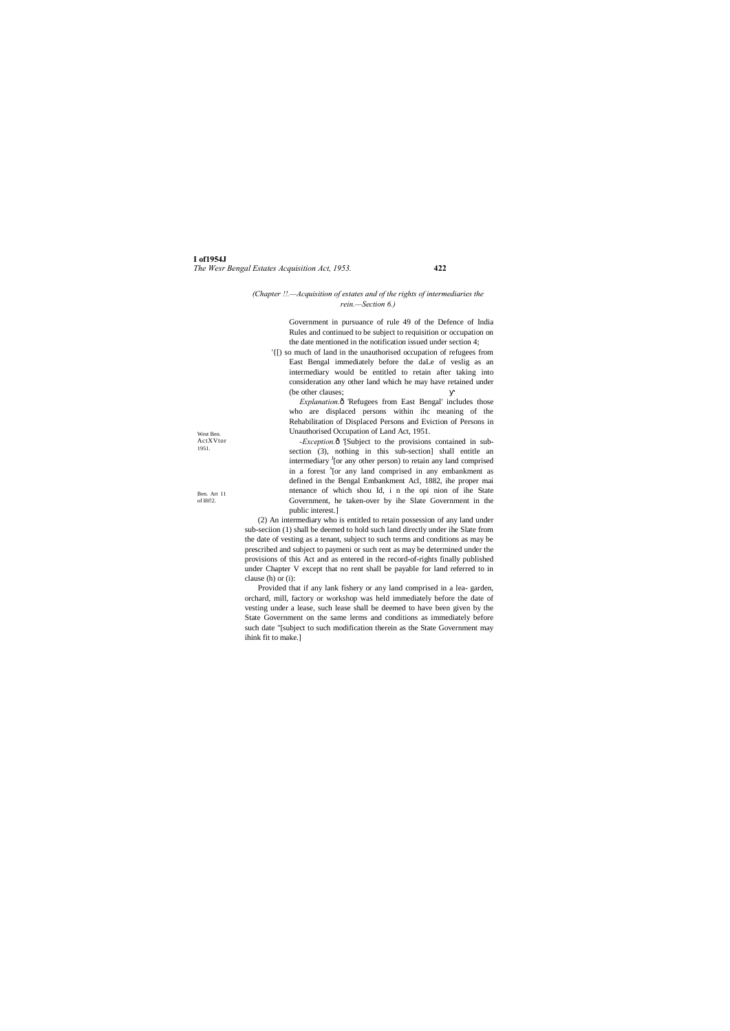**I of1954J** *The Wesr Bengal Estates Acquisition Act, 1953.* **422**

West Ben. ActXVtor 1951.

Ben. Art 11 of I8f!2.

#### *(Chapter !!.—Acquisition of estates and of the rights of intermediaries the rein.—Section 6.)*

Government in pursuance of rule 49 of the Defence of India Rules and continued to be subject to requisition or occupation on the date mentioned in the notification issued under section 4;

*Explanation.* $\hat{o}$  Refugees from East Bengal' includes those who are displaced persons within ihc meaning of the Rehabilitation of Displaced Persons and Eviction of Persons in Unauthorised Occupation of Land Act, 1951.

'{[) so much of land in the unauthorised occupation of refugees from East Bengal immediately before the daLe of veslig as an intermediary would be entitled to retain after taking into consideration any other land which he may have retained under (be other clauses;

-*Exception*. $\hat{o}$  '[Subject to the provisions contained in subsection (3), nothing in this sub-section] shall entitle an intermediary <sup>J</sup>[or any other person) to retain any land comprised in a forest <sup>s</sup>[or any land comprised in any embankment as defined in the Bengal Embankment Acl, 1882, ihe proper mai ntenance of which shou Id, i n the opi nion of ihe State Government, he taken-over by ihe Slate Government in the public interest.]

(2) An intermediary who is entitled to retain possession of any land under sub-seciion (1) shall be deemed to hold such land directly under ihe Slate from the date of vesting as a tenant, subject to such terms and conditions as may be prescribed and subject to paymeni or such rent as may be determined under the provisions of this Act and as entered in the record-of-rights finally published under Chapter V except that no rent shall be payable for land referred to in clause (h) or (i):

Provided that if any lank fishery or any land comprised in a lea- garden, orchard, mill, factory or workshop was held immediately before the date of vesting under a lease, such lease shall be deemed to have been given by the State Government on the same lerms and conditions as immediately before such date "[subject to such modification therein as the State Government may ihink fit to make.]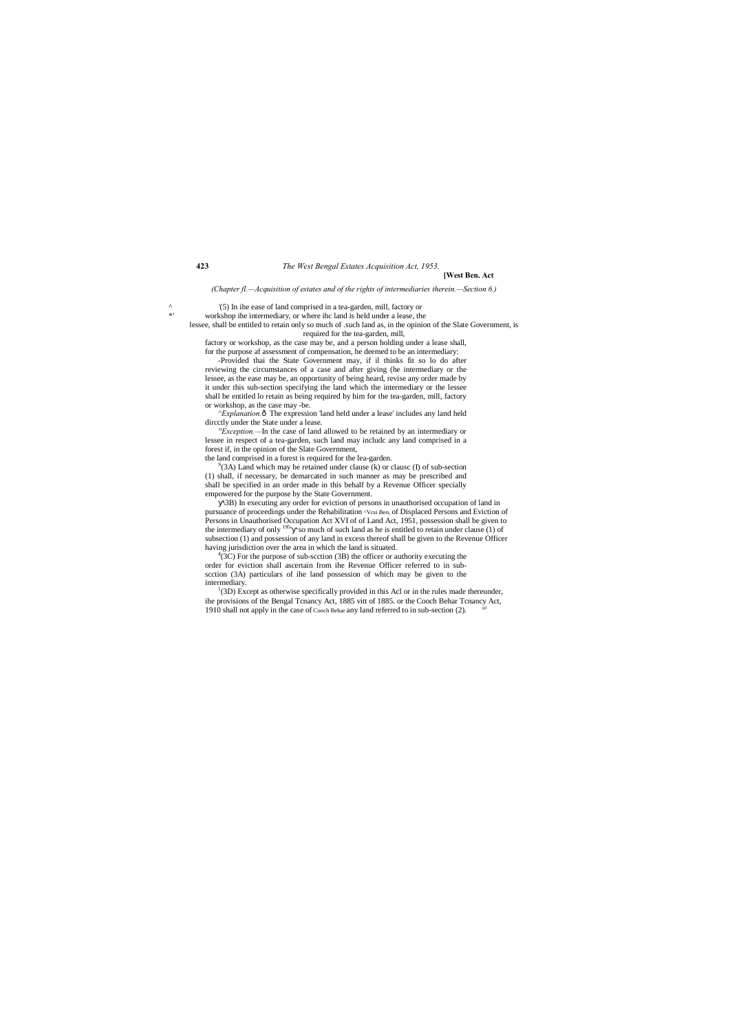#### **423** *The West Bengal Estates Acquisition Act, 1953.* **[West Ben. Act**

#### *(Chapter fl.—Acquisition of estates and of the rights of intermediaries therein.—Section 6.)*

 $^{\prime}$  (5) In ihe ease of land comprised in a tea-garden, mill, factory or  $^*$ 

workshop ihe intermediary, or where ihc land is held under a lease, the

lessee, shall be entitled to retain only so much of .such land as, in the opinion of the Slate Government, is required for the tea-garden, mill,

factory or workshop, as the case may be, and a person holding under a lease shall, for the purpose af assessment of compensation, he deemed to be an intermediary:

*^Explanation.* Ô The expression 'land held under a lease' includes any land held dircctly under the State under a lease.

-Provided thai the State Government may, if il thinks fit so lo do after reviewing the circumstances of a case and after giving (he intermediary or the lessee, as the ease may be, an opportunity of being heard, revise any order made by it under this sub-section specifying the land which the intermediary or the lessee shall be entitled lo retain as being required by him for the tea-garden, mill, factory or workshop, as the case may -be.

 $S(3A)$  Land which may be retained under clause (k) or clausc (I) of sub-section (1) shall, if necessary, be demarcated in such manner as may be prescribed and shall be specified in an order made in this behalf by a Revenue Officer specially empowered for the purpose by the State Government.

 $^{4}$ (3C) For the purpose of sub-scction (3B) the officer or authority executing the order for eviction shall ascertain from ihe Revenue Officer referred to in subscction (3A) particulars of ihe land possession of which may be given to the intermediary.

*''Exception.—*In the case of land allowed to be retained by an intermediary or lessee in respect of a tea-garden, such land may includc any land comprised in a forest if, in the opinion of the Slate Government,

the land comprised in a forest is required for the lea-garden.

<sup>{</sup>(3D) Except as otherwise specifically provided in this Acl or in the rules made thereunder, ihe provisions of the Bengal Tcnancy Act, 1885 vitt of 1885. or the Cooch Behar Tcnancy Act,  $1010$  shall not apply in the case of Gust Behaveny land referred to in sub-section (2) 1910 shall not apply in the case of Cooch Behar any land referred to in sub-section (2). °

\3B) In executing any order for eviction of persons in unauthorised occupation of land in pursuance of proceedings under the Rehabilitation  $\wedge$ Vcsi Ben, of Displaced Persons and Eviction of Persons in Unauthorised Occupation Act XVI of of Land Act, 1951, possession shall be given to the intermediary of only  $^{195}$  so much of such land as he is entitled to retain under clause (1) of subsection (1) and possession of any land in excess thereof shall be given to the Revenue Officer having jurisdiction over the area in which the land is situated. <sup>4</sup>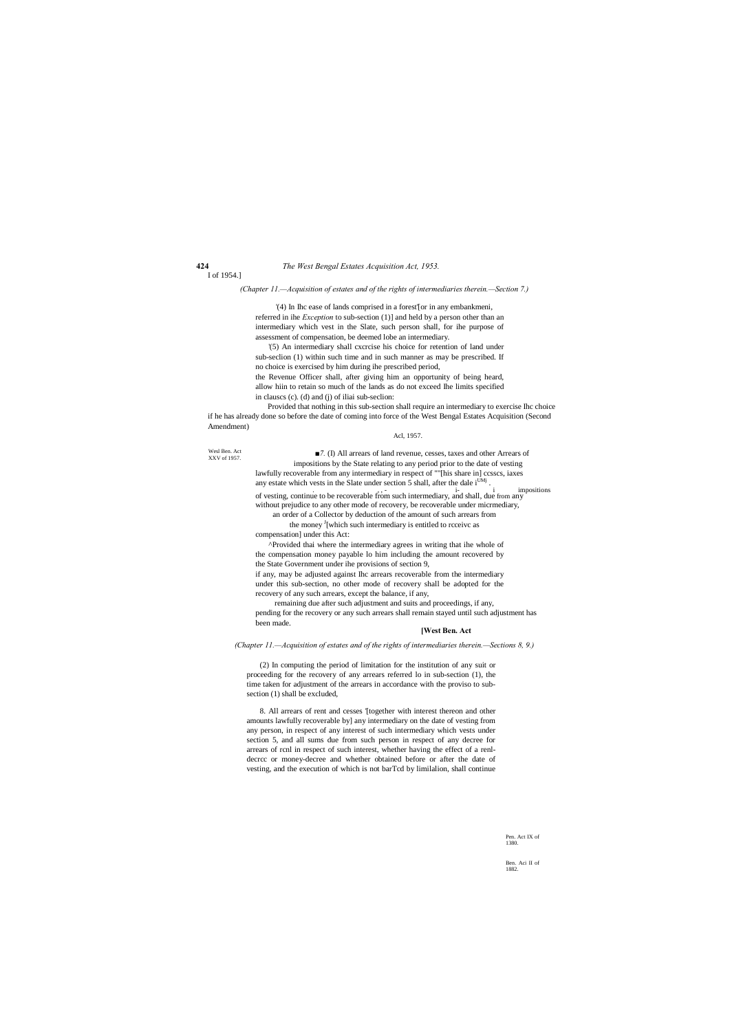Wesl Ben. Act XXV of 1957.

> Pen. Act IX of 1380.

Ben. Aci II of 1882.

I of 1954.]

*(Chapter 11.—Acquisition of estates and of the rights of intermediaries therein.—Section 7.)*

'(4) In Ihc ease of lands comprised in a forest'[or in any embankmeni, referred in ihe *Exception* to sub-section (1)] and held by a person other than an intermediary which vest in the Slate, such person shall, for ihe purpose of assessment of compensation, be deemed lobe an intermediary.

*■7.* (I) All arrears of land revenue, cesses, taxes and other Arrears of impositions by the State relating to any period prior to the date of vesting lawfully recoverable from any intermediary in respect of ""[his share in] ccsscs, iaxes any estate which vests in the Slate under section 5 shall, after the dale  $i^{UMj}$ .<br>of vesting, continue to be recoverable from such intermediary, and shall, due from any

'(5) An intermediary shall cxcrcise his choice for retention of land under sub-seclion (1) within such time and in such manner as may be prescribed. If no choice is exercised by him during ihe prescribed period,

the Revenue Officer shall, after giving him an opportunity of being heard, allow hiin to retain so much of the lands as do not exceed Ihe limits specified in clauscs (c). (d) and (j) of iliai sub-seclion:

an order of a Collector by deduction of the amount of such arrears from the money <sup>J</sup>[which such intermediary is entitled to rcceivc as

Provided that nothing in this sub-section shall require an intermediary to exercise Ihc choice if he has already done so before the date of coming into force of the West Bengal Estates Acquisition (Second Amendment)

#### Acl, 1957.

without prejudice to any other mode of recovery, be recoverable under micrmediary,

compensation] under this Act:

^Provided thai where the intermediary agrees in writing that ihe whole of the compensation money payable lo him including the amount recovered by the State Government under ihe provisions of section 9,

if any, may be adjusted against Ihc arrears recoverable from the intermediary under this sub-section, no other mode of recovery shall be adopted for the recovery of any such arrears, except the balance, if any,

remaining due after such adjustment and suits and proceedings, if any, pending for the recovery or any such arrears shall remain stayed until such adjustment has been made.

### **[West Ben. Act**

*(Chapter 11.—Acquisition of estates and of the rights of intermediaries therein.—Sections 8, 9.)*

(2) In computing the period of limitation for the institution of any suit or proceeding for the recovery of any arrears referred lo in sub-section (1), the time taken for adjustment of the arrears in accordance with the proviso to subsection (1) shall be excluded,

8. All arrears of rent and cesses '[together with interest thereon and other amounts lawfully recoverable by] any intermediary on the date of vesting from any person, in respect of any interest of such intermediary which vests under section 5, and all sums due from such person in respect of any decree for arrears of rcnl in respect of such interest, whether having the effect of a renldecrcc or money-decree and whether obtained before or after the date of vesting, and the execution of which is not barTcd by limilalion, shall continue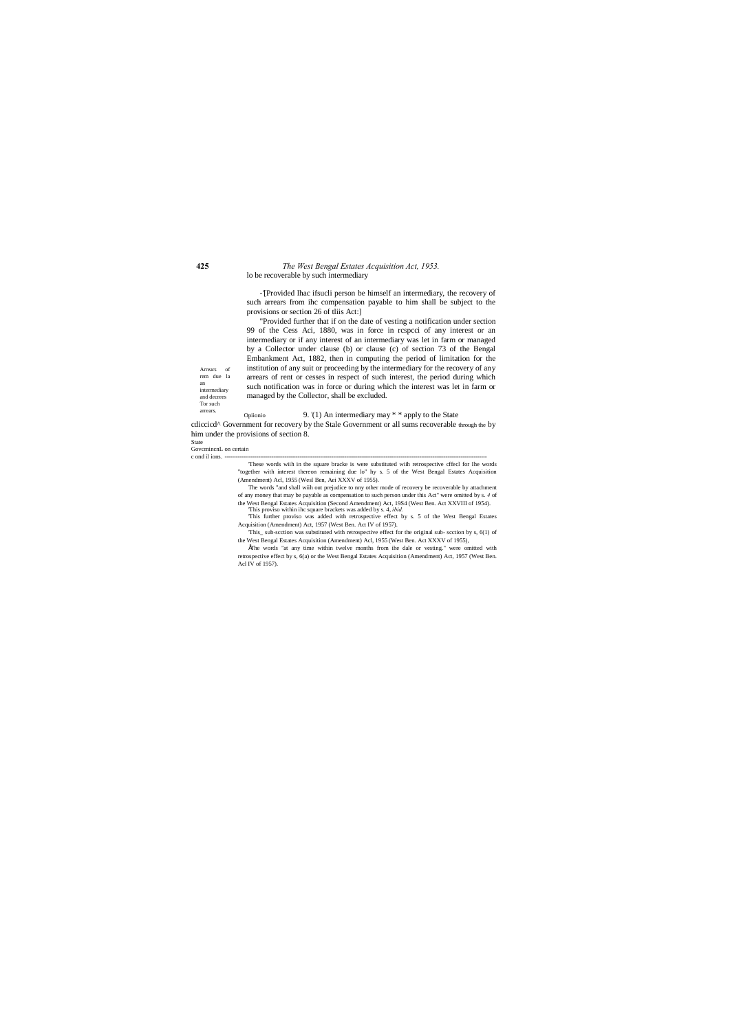an

#### **425** *The West Bengal Estates Acquisition Act, 1953.* lo be recoverable by such intermediary

Tor such

-'[Provided lhac ifsucli person be himself an intermediary, the recovery of such arrears from ihc compensation payable to him shall be subject to the provisions or section 26 of tliis Act:]

Arrears of rem due la intermediary and decrees "Provided further that if on the date of vesting a notification under section 99 of the Cess Aci, 1880, was in force in rcspcci of any interest or an intermediary or if any interest of an intermediary was let in farm or managed by a Collector under clause (b) or clause (c) of section 73 of the Bengal Embankment Act, 1882, then in computing the period of limitation for the institution of any suit or proceeding by the intermediary for the recovery of any arrears of rent or cesses in respect of such interest, the period during which such notification was in force or during which the interest was let in farm or managed by the Collector, shall be excluded.

arrears. Opiionio 9. '(1) An intermediary may \* \* apply to the State cdiccicd^ Government for recovery by the Stale Government or all sums recoverable through the by him under the provisions of section 8.

State GovcmincnL on certain

c ond il ions.

'These words wiih in the square bracke is were substituted wiih retrospective cffecl for Ihe words "together with interest thereon remaining due lo" hy s. 5 of the West Bengal Estates Acquisition (Amendment) Acl, 1955 (Wesl Ben, Aei XXXV of 1955).

The words "and shall wiih out prejudice to nny other mode of recovery be recoverable by attachment of any money that may be payable as compensation to such person under this Act" were omitted by s. *4* of the West Bengal Estates Acquisition (Second Amendment) Act, 19S4 (West Ben. Act XXVIII of 1954). 'This proviso within ihc square brackets was added by s. 4, *ibid.*

'This further proviso was added with retrospective effect by s. 5 of the West Bengal Estates Acquisition (Amendment) Act, 1957 (West Ben. Act IV of 1957).

'This\_ sub-scction was substituted with retrospective effect for the original sub- scction by s, 6(1) of the West Bengal Estates Acquisition (Amendment) Acl, 1955 (West Ben. Act XXXV of 1955),

•The words "at any time within twelve months from ihe dale or vesting." were omitted with retrospective effect by s, 6(a) or the West Bengal Estates Acquisition (Amendment) Act, 1957 (West Ben. Acl IV of 1957).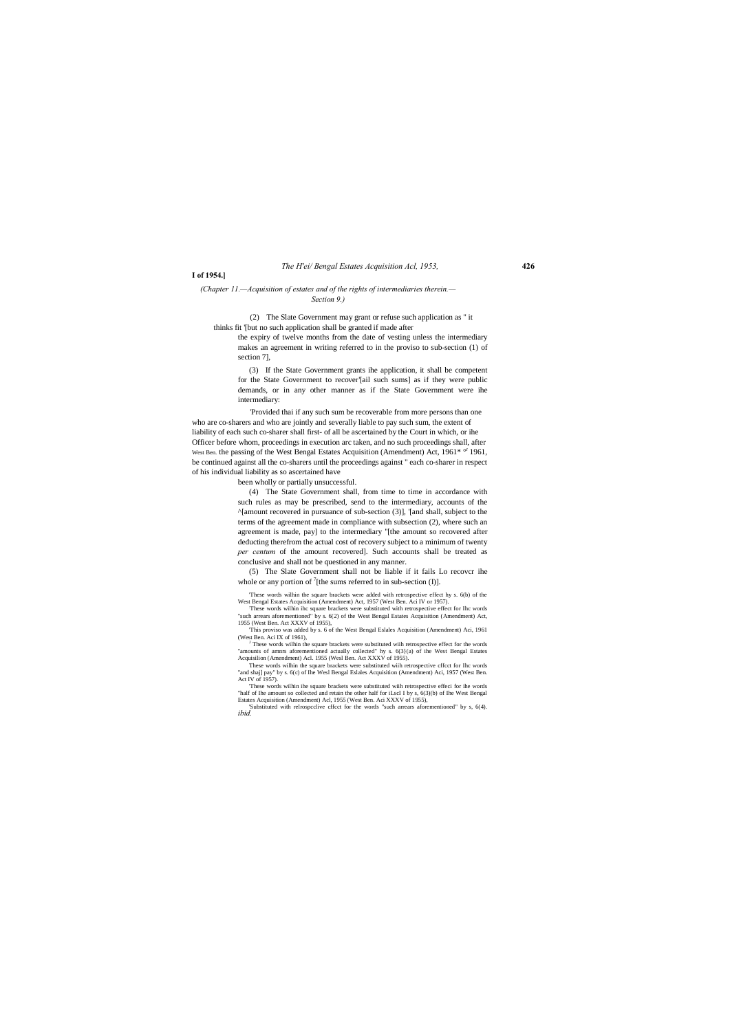### *The H'ei/ Bengal Estates Acquisition Acl, 1953,* **426**

#### **I of 1954.]**

#### *(Chapter 11.—Acquisition of estates and of the rights of intermediaries therein.— Section 9.)*

(2) The Slate Government may grant or refuse such application as " it thinks fit '[but no such application shall be granted if made after

the expiry of twelve months from the date of vesting unless the intermediary makes an agreement in writing referred to in the proviso to sub-section (1) of section 7],

(3) If the State Government grants ihe application, it shall be competent for the State Government to recover'[ail such sums] as if they were public demands, or in any other manner as if the State Government were ihe intermediary:

(5) The Slate Government shall not be liable if it fails Lo recovcr ihe whole or any portion of  $\frac{7}{1}$  [the sums referred to in sub-section (I)].

'Provided thai if any such sum be recoverable from more persons than one who are co-sharers and who are jointly and severally liable to pay such sum, the extent of liability of each such co-sharer shall first- of all be ascertained by the Court in which, or ihe Officer before whom, proceedings in execution arc taken, and no such proceedings shall, after West Ben. the passing of the West Bengal Estates Acquisition (Amendment) Act, 1961\* <sup>or</sup> 1961, be continued against all the co-sharers until the proceedings against " each co-sharer in respect of his individual liability as so ascertained have

> These words wilhin the square brackets were added with retrospective effect hy s. 6(b) of the West Bengal Estates Acquisition (Amendment) Act, 1957 (West Ben. Aci IV or 1957).

been wholly or partially unsuccessful.

I These words wilhin the square brackets were substituted wiih retrospective effect for the words "amounts of amnrs aforementioned actually collected" hy s. 6(3}(a) of ihe West Bengal Estates Acquisilion (Amendment) Acl. 1955 (Wesl Ben. Act XXXV of 1955).

(4) The State Government shall, from time to time in accordance with such rules as may be prescribed, send to the intermediary, accounts of the ^[amount recovered in pursuance of sub-section (3)], '[and shall, subject to the terms of the agreement made in compliance with subsection (2), where such an agreement is made, pay] to the intermediary ''[the amount so recovered after deducting therefrom the actual cost of recovery subject to a minimum of twenty *per centum* of the amount recovered]. Such accounts shall be treated as conclusive and shall not be questioned in any manner.

: These words wilhin ihc square brackets were substituted with retrospective effect for Ihc words "such arrears aforementioned" by s. 6(2) of the West Bengal Estates Acquisition (Amendment) Act, 1955 (West Ben. Act XXXV of 1955),

'This proviso was added by s. 6 of the West Bengal Eslales Acquisition (Amendment) Aci, 1961 (West Ben. Aci IX of 1961),

These words wilhin the square brackets were substituted wiih retrospective cffcct for Ihc words "and shaj] pay" by s. 6(c) of Ihe Wesl Bengal Eslales Acquisition (Amendment) Aci, 1957 (West Ben.

Act IV of 1957). 'These words wilhin ihe square brackets were substituted wiih retrospective effeci for ihe words "half of Ihe amount so collected and retain the other half for iLscI I by s, 6(3)(b) of Ihe West Bengal Estates Acquisition (Amendment) Acl, 1955 (West Ben. Aci XXXV of 1955),

'Substituted with relrospcclive cffcct for the words "such arrears aforementioned" by s, 6(4). *ibid.*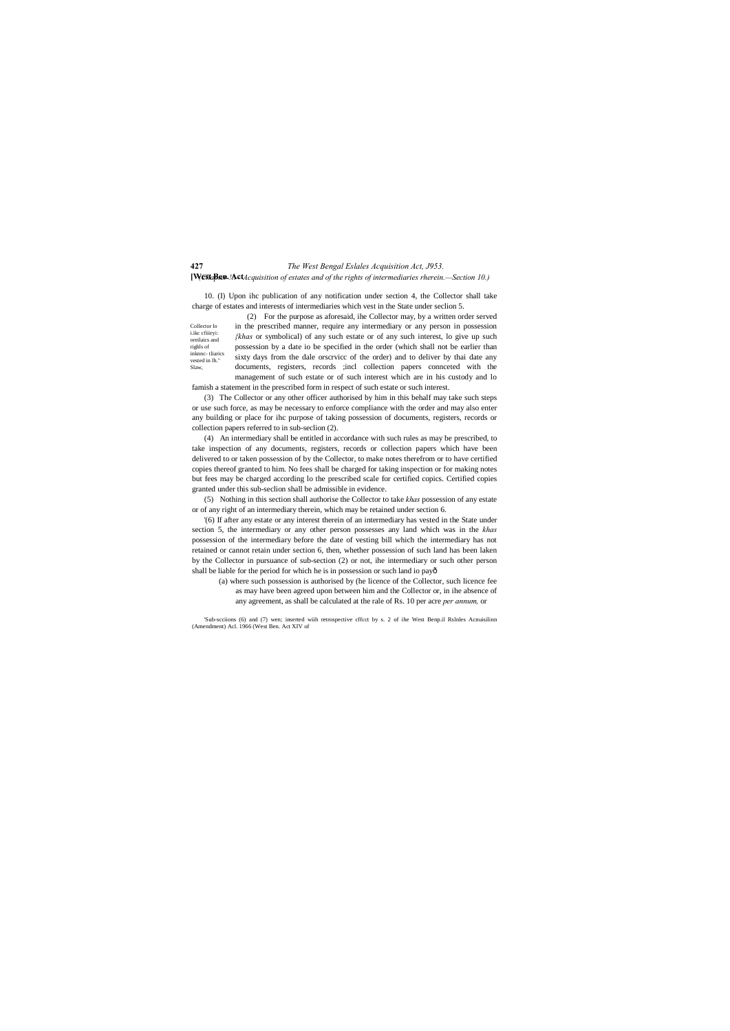Collector lo i.ikc cfiiiryi: oreilaics and righls of inknnc- tliarics vested in lh." Slaw,

### **427** *The West Bengal Eslales Acquisition Act, J953.* **[West Ben. Act** *(Chapter !!.—Acquisition of estates and of the rights of intermediaries rherein.—Section 10.)*

10. (I) Upon ihc publication of any notification under section 4, the Collector shall take charge of estates and interests of intermediaries which vest in the State under seclion 5.

(2) For the purpose as aforesaid, ihe Collector may, by a written order served

in the prescribed manner, require any intermediary or any person in possession *{khas* or symbolical) of any such estate or of any such interest, lo give up such possession by a date io be specified in the order (which shall not be earlier than sixty days from the dale orscrvicc of the order) and to deliver by thai date any documents, registers, records ;incl collection papers connceted with the management of such estate or of such interest which are in his custody and lo

famish a statement in the prescribed form in respect of such estate or such interest.

(3) The Collector or any other officer authorised by him in this behalf may take such steps or use such force, as may be necessary to enforce compliance with the order and may also enter any building or place for ihc purpose of taking possession of documents, registers, records or collection papers referred to in sub-seclion (2).

'Sub-scciions (6) and (7) wen; inserted wiih retrospective cffcct by s. 2 of ihe West Benp.il Rslnles Acnuisilinn (Amendment) Acl. 1966 (West Ben. Act XIV of

(4) An intermediary shall be entitled in accordance with such rules as may be prescribed, to take inspection of any documents, registers, records or collection papers which have been delivered to or taken possession of by the Collector, to make notes therefrom or to have certified copies thereof granted to him. No fees shall be charged for taking inspection or for making notes but fees may be charged according lo the prescribed scale for certified copics. Certified copies granted under this sub-seclion shall be admissible in evidence.

(5) Nothing in this section shall authorise the Collector to take *khas* possession of any estate or of any right of an intermediary therein, which may be retained under section 6.

'(6) If after any estate or any interest therein of an intermediary has vested in the State under section 5, the intermediary or any other person possesses any land which was in the *khas* possession of the intermediary before the date of vesting bill which the intermediary has not retained or cannot retain under section 6, then, whether possession of such land has been laken by the Collector in pursuance of sub-section (2) or not, ihe intermediary or such other person shall be liable for the period for which he is in possession or such land io pay—

(a) where such possession is authorised by (he licence of the Collector, such licence fee as may have been agreed upon between him and the Collector or, in ihe absence of any agreement, as shall be calculated at the rale of Rs. 10 per acre *per annum,* or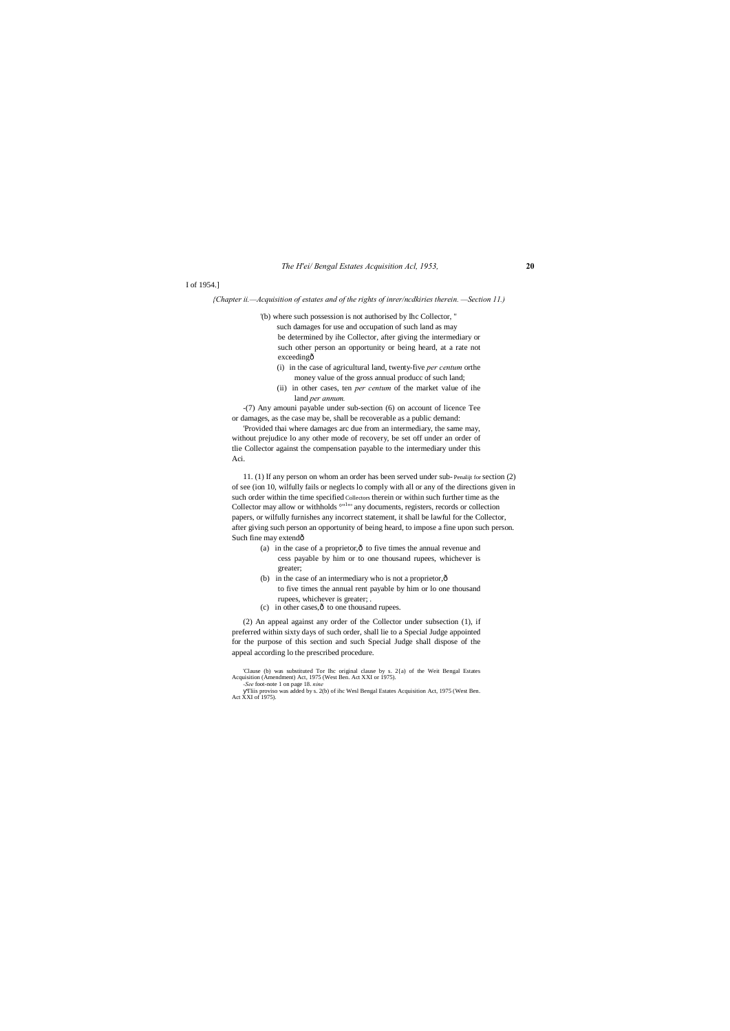#### *The H'ei/ Bengal Estates Acquisition Acl, 1953,* **20**

#### I of 1954.]

'(b) where such possession is not authorised by Ihc Collector, " such damages for use and occupation of such land as may be determined by ihe Collector, after giving the intermediary or such other person an opportunity or being heard, at a rate not exceedingô

### *{Chapter ii.—Acquisition of estates and of the rights of inrer/ncdkiries therein. —Section 11.)*

11. (1) If any person on whom an order has been served under sub- Penalijt for section (2) of see (ion 10, wilfully fails or neglects lo comply with all or any of the directions given in such order within the time specified Collectors therein or within such further time as the Collector may allow or withholds <sup>on 1</sup>" any documents, registers, records or collection papers, or wilfully furnishes any incorrect statement, it shall be lawful for the Collector, after giving such person an opportunity of being heard, to impose a fine upon such person. Such fine may extendô

- (a) in the case of a proprietor, $\hat{o}$  to five times the annual revenue and cess payable by him or to one thousand rupees, whichever is greater;
- (b) in the case of an intermediary who is not a proprietor, $\hat{o}$ to five times the annual rent payable by him or lo one thousand rupees, whichever is greater; .
- (c) in other cases, $\hat{o}$  to one thousand rupees.
- (i) in the case of agricultural land, twenty-five *per centum* orthe money value of the gross annual producc of such land;
- (ii) in other cases, ten *per centum* of the market value of ihe land *per annum.*

-(7) Any amouni payable under sub-section (6) on account of licence Tee or damages, as the case may be, shall be recoverable as a public demand:

'Provided thai where damages arc due from an intermediary, the same may, without prejudice lo any other mode of recovery, be set off under an order of tlie Collector against the compensation payable to the intermediary under this Aci.

(2) An appeal against any order of the Collector under subsection (1), if preferred within sixty days of such order, shall lie to a Special Judge appointed for the purpose of this section and such Special Judge shall dispose of the appeal according lo the prescribed procedure.

'Clause (b) was substituted Tor Ihc original clause by s. 2{a) of the Weit Bengal Estates Acquisition (Amendment) Act, 1975 (West Ben. Act XXI or 1975).

*-See* foot-note 1 on page 18. *nine* Tliis proviso was added by s. 2(b) of ihc Wesl Bengal Estates Acquisition Act, 1975 (West Ben. Act XXI of 1975).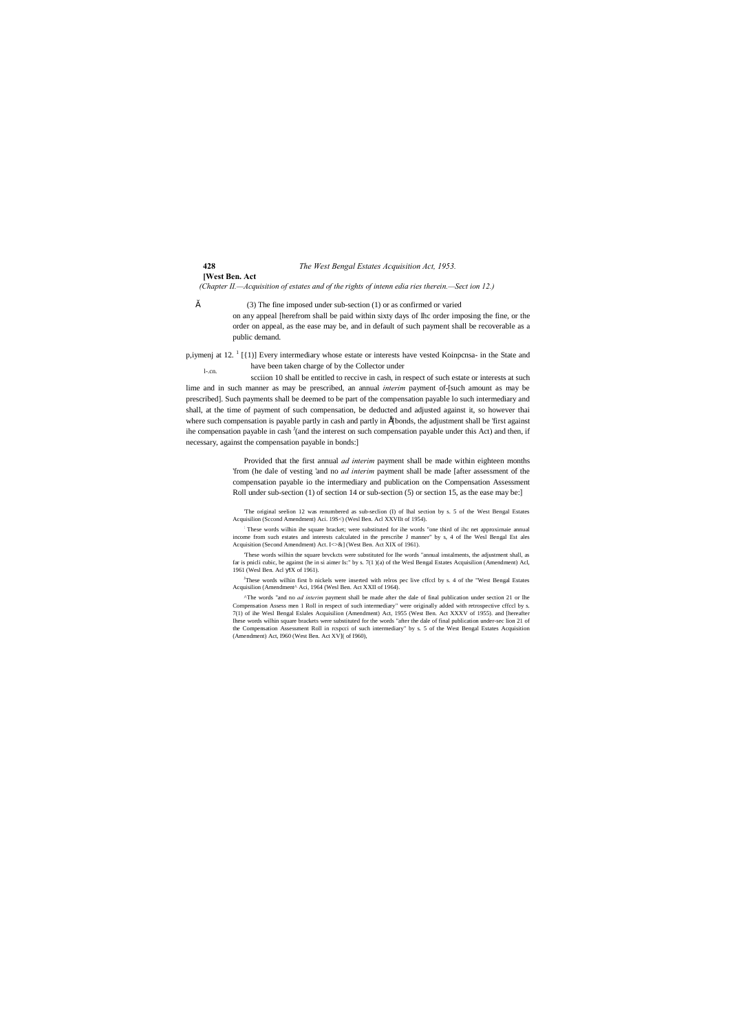# **428** *The West Bengal Estates Acquisition Act, 1953.* **[West Ben. Act**

*(Chapter II.—Acquisition of estates and of the rights of intenn edia ries therein.—Sect ion 12.)*

" (3) The fine imposed under sub-section (1) or as confirmed or varied on any appeal [herefrom shall be paid within sixty days of Ihc order imposing the fine, or the order on appeal, as the ease may be, and in default of such payment shall be recoverable as a public demand.

l-.cn. p,iymenj at 12. <sup>1</sup> [{1)] Every intermediary whose estate or interests have vested Koinpcnsa- in the State and have been taken charge of by the Collector under

> Provided that the first annual *ad interim* payment shall be made within eighteen months 'from (he dale of vesting 'and no *ad interim* payment shall be made [after assessment of the compensation payable io the intermediary and publication on the Compensation Assessment Roll under sub-section (1) of section 14 or sub-section (5) or section 15, as the ease may be:]

scciion 10 shall be entitled to reccive in cash, in respect of such estate or interests at such lime and in such manner as may be prescribed, an annual *interim* payment of-[such amount as may be prescribed]. Such payments shall be deemed to be part of the compensation payable lo such intermediary and shall, at the time of payment of such compensation, be deducted and adjusted against it, so however thai where such compensation is payable partly in cash and partly in  $E$  bonds, the adjustment shall be 'first against ihe compensation payable in cash <sup>J</sup>(and the interest on such compensation payable under this Act) and then, if necessary, against the compensation payable in bonds:]

> 'The original seelion 12 was renumbered as sub-seclion (I) of lhal section by s. 5 of the West Bengal Estates Acquisilion (Sccond Amendment) Aci. 19S<) (Wesl Ben. Acl XXVIlt of 1954).

> : These words wilhin ihe square bracket; were substituted for ihe words "one third of ihc net approxirnaie annual income from such estates and interests calculated in the prescribe J manner" by s, 4 of Ihe Wesl Bengal Est ales Acquisition (Second Amendment) Act. I<>&] (West Ben. Act XIX of 1961).

> 'These words wilhin the square brvckcts were substituted for Ihe words "annual instalments, the adjustment shall, as far is pnicli cubic, be against (he in si aimer Is:" by s. 7(1 )(a) of the Wesl Bengal Estates Acquisilion (Amendment) Acl, 1961 (Wesl Ben. Acl IX of 1961).

> J These words wilhin first b nickels were inserted with relros pec live cffccl by s. 4 of the "West Bengal Estates Acquisilion (Amendment^ Aci, 1964 (Wesl Ben. Act XXII of 1964).

> ^The words "and no *ad interim* payment shall be made after the dale of final publication under section 21 or Ihe Compensation Assess men 1 Roll in respect of such intermediary" were originally added with retrospective cffccl by s. 7(1) of ihe Wesl Bengal Eslales Acquisilion (Amendment) Act, 1955 (West Ben. Act XXXV of 1955). and [hereafter Ihese words wilhin square brackets were substituted for the words "after the dale of final publication under-sec lion 21 of the Compensation Assessment Roll in rcspcci of such intermediary" by s. 5 of the West Bengal Estates Acquisition (Amendment) Act, I960 (West Ben. Act XV]( of I960),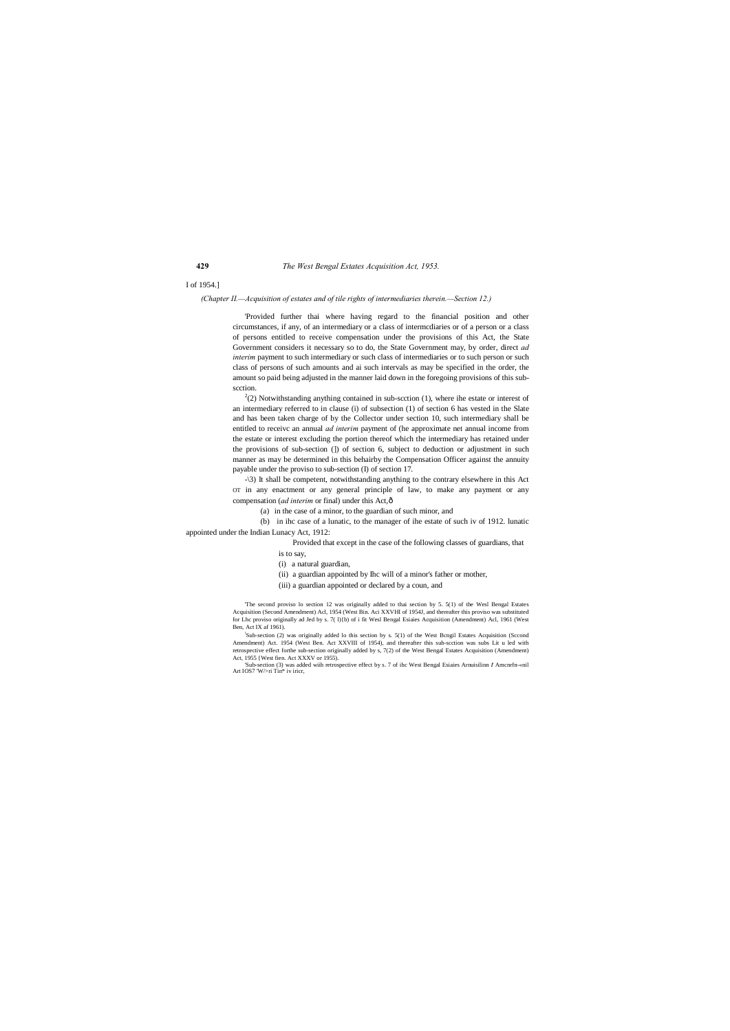#### I of 1954.]

#### *(Chapter II.—Acquisition of estates and of tile rights of intermediaries therein.—Section 12.)*

'Provided further thai where having regard to the financial position and other circumstances, if any, of an intermediary or a class of intermcdiaries or of a person or a class of persons entitled to receive compensation under the provisions of this Act, the State Government considers it necessary so to do, the State Government may, by order, direct *ad interim* payment to such intermediary or such class of intermediaries or to such person or such class of persons of such amounts and ai such intervals as may be specified in the order, the amount so paid being adjusted in the manner laid down in the foregoing provisions of this subscction.

 $2<sup>2</sup>(2)$  Notwithstanding anything contained in sub-scction (1), where ihe estate or interest of an intermediary referred to in clause (i) of subsection (1) of section 6 has vested in the Slate and has been taken charge of by the Collector under section 10, such intermediary shall be entitled to receivc an annual *ad interim* payment of (he approximate net annual income from the estate or interest excluding the portion thereof which the intermediary has retained under the provisions of sub-section (]) of section 6, subject to deduction or adjustment in such manner as may be determined in this behairby the Compensation Officer against the annuity payable under the proviso to sub-section (I) of section 17.

-\3) It shall be competent, notwithstanding anything to the contrary elsewhere in this Act OT in any enactment or any general principle of law, to make any payment or any compensation (*ad interim* or final) under this Act, ô

'Sub-section (3) was added wiih retrospective effect by s. 7 of ihc West Bengal Esiaies Arnuisilinn *t* Amcnrfn-«nil Art IOS7 'W/>ri Tin\* iv iricr,

(a) in the case of a minor, to the guardian of such minor, and

(b) in ihc case of a lunatic, to the manager of ihe estate of such iv of 1912. lunatic appointed under the Indian Lunacy Act, 1912:

Provided that except in the case of the following classes of guardians, that

is to say,

(i) a natural guardian,

(ii) a guardian appointed by Ihc will of a minor's father or mother,

(iii) a guardian appointed or declared by a coun, and

'The second proviso lo section 12 was originally added to thai section by 5. 5(1) of the Wesl Bengal Estates Acquisition (Second Amendment) Acl, 1954 (West Bin. Aci XXVHI of 1954J, and thereafter this proviso was substituted for Lhc proviso originally ad Jed by s. 7( l){b) of i fit Wesl Bengal Esiaies Acquisition (Amendment) Acl, 1961 (West Ben, Act IX af 1961).

! Sub-section (2) was originally added lo this section by s. 5(1) of the West Bcngil Estates Acquisition (Sccond Amendment) Act. 1954 (West Ben. Act XXVIII of 1954), and thereafter this sub-scction was subs Lit u led with retrospective effect forthe sub-section originally added by s, 7(2) of the West Bengal Estates Acquisition (Amendment) Act, 1955 {West fien. Act XXXV or 1955).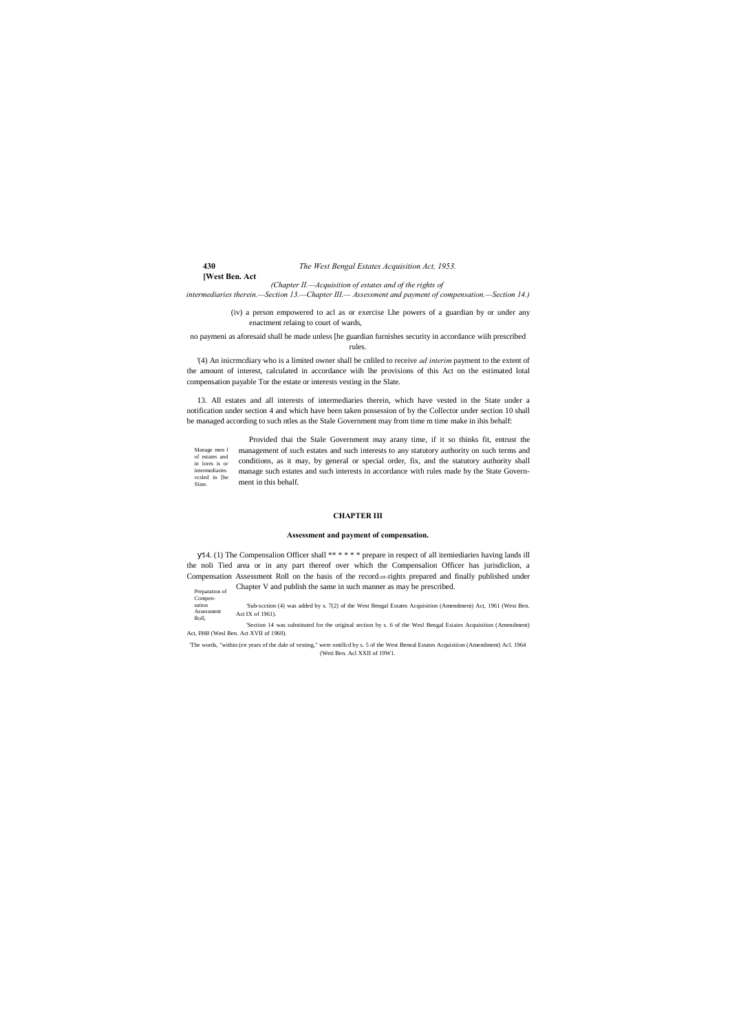**[West Ben. Act**

- Preparation of Chapter V and publish the same in such manner as may be prescribed.
- Compen-sation

*(Chapter II.—Acquisition of estates and of the rights of intermediaries therein.—Section 13.—Chapter III.— Assessment and payment of compensation.—Section 14.)*

> (iv) a person empowered to acl as or exercise Lhe powers of a guardian by or under any enactment relaing to court of wards,

no paymeni as aforesaid shall be made unless [he guardian furnishes security in accordance wiih prescribed rules.

'(4) An inicrmcdiary who is a limited owner shall be cnliled to receive *ad interim* payment to the extent of the amount of interest, calculated in accordance wiih lhe provisions of this Act on the estimated lotal compensation payable Tor the estate or interests vesting in the Slate.

14. (1) The Compensalion Officer shall \*\* \* \* \* \* prepare in respect of all itemiediaries having lands ill the noli Tied area or in any part thereof over which the Compensalion Officer has jurisdiclion, a Compensation Assessment Roll on the basis of the record-DF-rights prepared and finally published under

Manage men l of estates and in lores is or intermediaries vcsled in [he Slate. Provided thai the Stale Government may arany time, if it so thinks fit, entrust the management of such estates and such interests to any statutory authority on such terms and conditions, as it may, by general or special order, fix, and the statutory authority shall manage such estates and such interests in accordance with rules made by the State Government in this behalf.

13. All estates and all interests of intermediaries therein, which have vested in the State under a notification under section 4 and which have been taken possession of by the Collector under section 10 shall be managed according to such ntles as the Stale Government may from time m time make in ihis behalf:

Assessment Roll, 'Sub-scction (4) was added by s. 7(2) of the West Bengal Estates Acquisition (Amendment) Act, 1961 (West Ben. Act IX of 1961).

#### **CHAPTER III**

#### **Assessment and payment of compensation.**

'Section 14 was substituted for the original section by s. 6 of the Wesl Bengal Esiaies Acquisition (Amendment) Act, I960 (Wesl Ben. Act XVII of 1960).

'The words, "within (en years of the dale of vesting," were omillcd by s. 5 of the West Beneal Estates Acquisition (Amendment) Acl. 1964 (Weti Ben. Acl XXII of 19W1.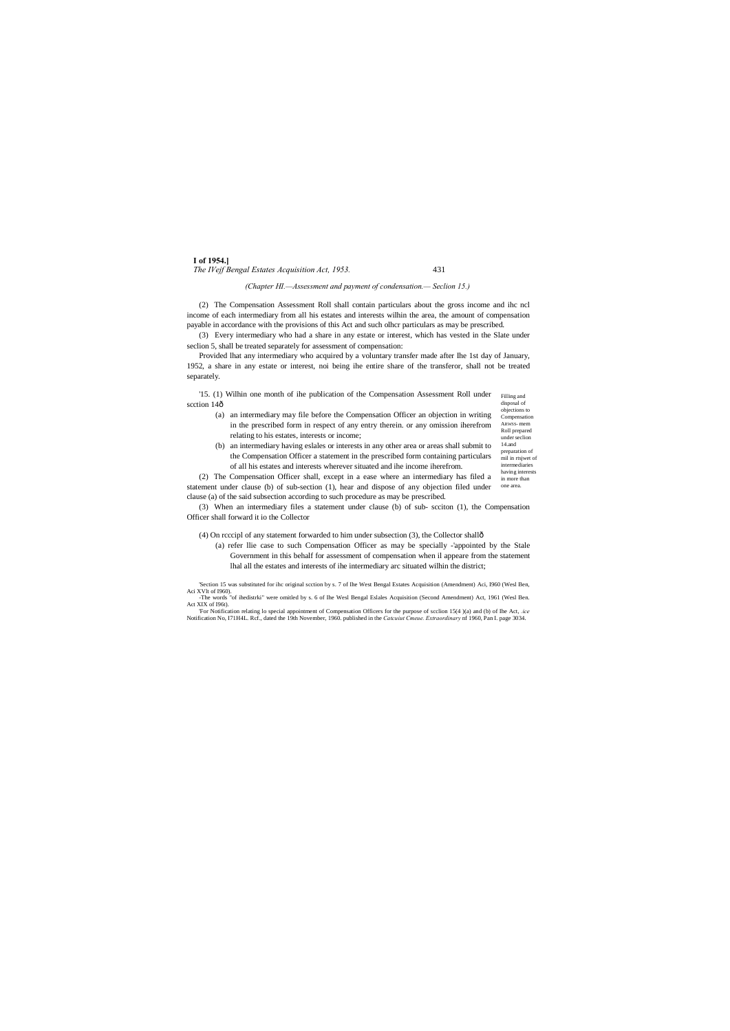#### **I of 1954.]** *The IVejf Bengal Estates Acquisition Act, 1953.* 431

Filling and disposal of '15. (1) Wilhin one month of ihe publication of the Compensation Assessment Roll under scction 14ô

objections to Compensation ARWSS- mem Roll prepared under seclion 14.and preparation of mil in rtsjwet of intermediaries having interests in more than

#### *(Chapter HI.—Assessment and payment of condensation.— Seclion 15.)*

(2) The Compensation Assessment Roll shall contain particulars about the gross income and ihc ncl income of each intermediary from all his estates and interests wilhin the area, the amount of compensation payable in accordance with the provisions of this Act and such olhcr particulars as may be prescribed.

(3) Every intermediary who had a share in any estate or interest, which has vested in the Slate under seclion 5, shall be treated separately for assessment of compensation:

Provided lhat any intermediary who acquired by a voluntary transfer made after Ihe 1st day of January, 1952, a share in any estate or interest, noi being ihe entire share of the transferor, shall not be treated separately.

one area. (2) The Compensation Officer shall, except in a ease where an intermediary has filed a statement under clause (b) of sub-section (1), hear and dispose of any objection filed under clause (a) of the said subsection according to such procedure as may be prescribed.

(a) an intermediary may file before the Compensation Officer an objection in writing in the prescribed form in respect of any entry therein. or any omission iherefrom relating to his estates, interests or income;

(b) an intermediary having eslales or interests in any other area or areas shall submit to the Compensation Officer a statement in the prescribed form containing particulars of all his estates and interests wherever situated and ihe income iherefrom.

(3) When an intermediary files a statement under clause (b) of sub- scciton (1), the Compensation Officer shall forward it io the Collector

(4) On rcccipl of any statement forwarded to him under subsection (3), the Collector shall—

(a) refer llie case to such Compensation Officer as may be specially -'appointed by the Stale Government in this behalf for assessment of compensation when il appeare from the statement lhal all the estates and interests of ihe intermediary arc situated wilhin the district;

'Section 15 was substituted for ihc original scction by s. 7 of Ihe West Bengal Estates Acquisition (Amendment) Aci, I960 (Wesl Ben, Aci XVlt of I960). -The words "of ihedistrki" were omitled by s. 6 of Ihe Wesl Bengal Eslales Acquisition (Second Amendment) Act, 1961 (Wesl Ben.

For Notification relating lo special appointment of Compensation Officers for the purpose of scclion 15(4)(a) and (b) of Ihe Act, *.ice*<br>Notification No, 171H4L. Rcf., dated the 19th November, 1960. published in the *Catcu* 

Act XIX of I96t).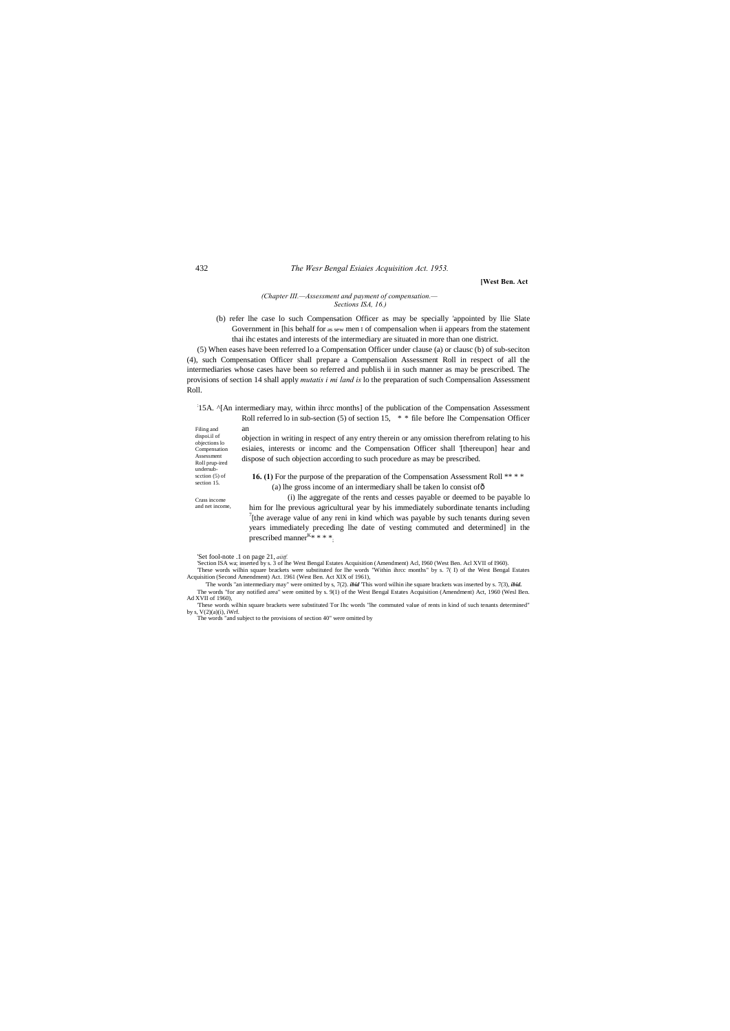Assessment Roll prup-ired undersubscction (5) of section 15.

**16. (1)** For the purpose of the preparation of the Compensation Assessment Roll \*\*\*\*

Crass income and net income, **[West Ben. Act**

#### *(Chapter III.—Assessment and payment of compensation.— Sections ISA, 16.)*

(b) refer lhe case lo such Compensation Officer as may be specially 'appointed by llie Slate Government in [his behalf for as sew men I of compensalion when ii appears from the statement thai ihc estates and interests of the intermediary are situated in more than one district.

Filing and dispoi.il of objections lo Compensation objection in writing in respect of any entry therein or any omission therefrom relating to his esiaies, interests or incomc and the Compensation Officer shall '[thereupon] hear and dispose of such objection according to such procedure as may be prescribed.

(5) When eases have been referred lo a Compensation Officer under clause (a) or clausc (b) of sub-seciton (4), such Compensation Officer shall prepare a Compensalion Assessment Roll in respect of all the intermediaries whose cases have been so referred and publish ii in such manner as may be prescribed. The provisions of section 14 shall apply *mutatis i mi land is* lo the preparation of such Compensalion Assessment Roll.

> him for lhe previous agricultural year by his immediately subordinate tenants including 7  $\int$ [the average value of any reni in kind which was payable by such tenants during seven years immediately preceding lhe date of vesting commuted and determined] in the prescribed manner $K^* * * *$ ;

'Set fool-note .1 on page 21, *aiitf.*<br>'Section ISA wa; inserted by s. 3 of lhe West Bengal Estates Acquisition (Amendment) Acl, 1960 (West Ben. Acl XVII of 1960).<br>These words wilhin square brackets were substituted for lh

#### : 15A. ^[An intermediary may, within ihrcc months] of the publication of the Compensation Assessment Roll referred lo in sub-section (5) of section 15, \* \* file before lhe Compensation Officer an

(a) lhe gross income of an intermediary shall be taken lo consist of— (i) lhe aggregate of the rents and cesses payable or deemed to be payable lo

Acquisition (Second Amendment) Act. 1961 (West Ben. Act XIX of 1961), 'The words "an intermediary may" were omitted by s, 7(2). *ibid* 'This word wilhin ihe square brackets was inserted by s. 7(3), *ibid.*

The words "for any notified area" were omitted by s. 9(1) of the West Bengal Estates Acquisition (Amendment) Act, 1960 (Wesl Ben. Ad XVII of 1960),

'These words wilhin square brackets were substituted Tor Ihc words "lhe commuted value of rents in kind of such tenants determined" by s, V(2)(a)(i), iWrf. The words "and subject to the provisions of section 40" were omitted by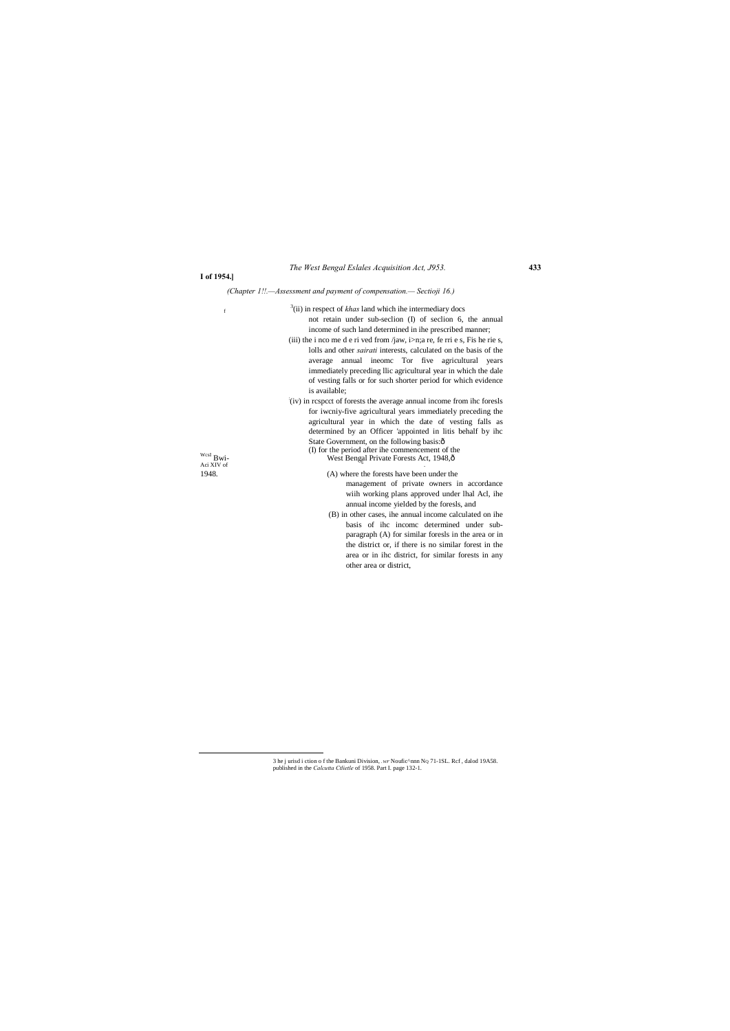# **I of 1954.]**

# *(Chapter 1!!.—Assessment and payment of compensation.— Sectioji 16.)*

|                                               | $3$ (ii) in respect of <i>khas</i> land which ihe intermediary docs          |
|-----------------------------------------------|------------------------------------------------------------------------------|
| $\mathbf f$                                   |                                                                              |
|                                               | not retain under sub-section (I) of section 6, the annual                    |
|                                               | income of such land determined in ihe prescribed manner;                     |
|                                               | (iii) the i nco me d e ri ved from /jaw, i>n;a re, fe rri e s, Fis he rie s, |
|                                               | lolls and other <i>sairati</i> interests, calculated on the basis of the     |
|                                               | annual ineome Tor five agricultural<br>average<br>years                      |
|                                               | immediately preceding llic agricultural year in which the dale               |
|                                               | of vesting falls or for such shorter period for which evidence               |
|                                               | is available;                                                                |
|                                               | (iv) in respect of forests the average annual income from the forests        |
|                                               | for iwoniy-five agricultural years immediately preceding the                 |
|                                               | agricultural year in which the date of vesting falls as                      |
|                                               | determined by an Officer 'appointed in litis behalf by ihc                   |
|                                               | State Government, on the following basis:ô                                   |
|                                               | (I) for the period after ihe commencement of the                             |
| $\ensuremath{\text{wcsI}}$ Bwi-<br>Aci XIV of | West Bengal Private Forests Act, 1948,ô                                      |
| 1948.                                         | (A) where the forests have been under the                                    |
|                                               | management of private owners in accordance                                   |
|                                               | with working plans approved under lhal Acl, ihe                              |
|                                               | annual income yielded by the foresls, and                                    |
|                                               | (B) in other cases, ihe annual income calculated on ihe                      |
|                                               | basis of ihc income determined under sub-                                    |
|                                               | paragraph (A) for similar foresls in the area or in                          |
|                                               | the district or, if there is no similar forest in the                        |
|                                               | area or in ihc district, for similar forests in any                          |

other area or district,

<sup>3</sup> he j urisd i ction o f the Bankuni Division, *.wr* Noufic<sup>A</sup>nnn NQ 71-1SL. Rcf, dalod 19A58. published in the *Calcutta Ctlietle* of 1958. Part I. page 132-1.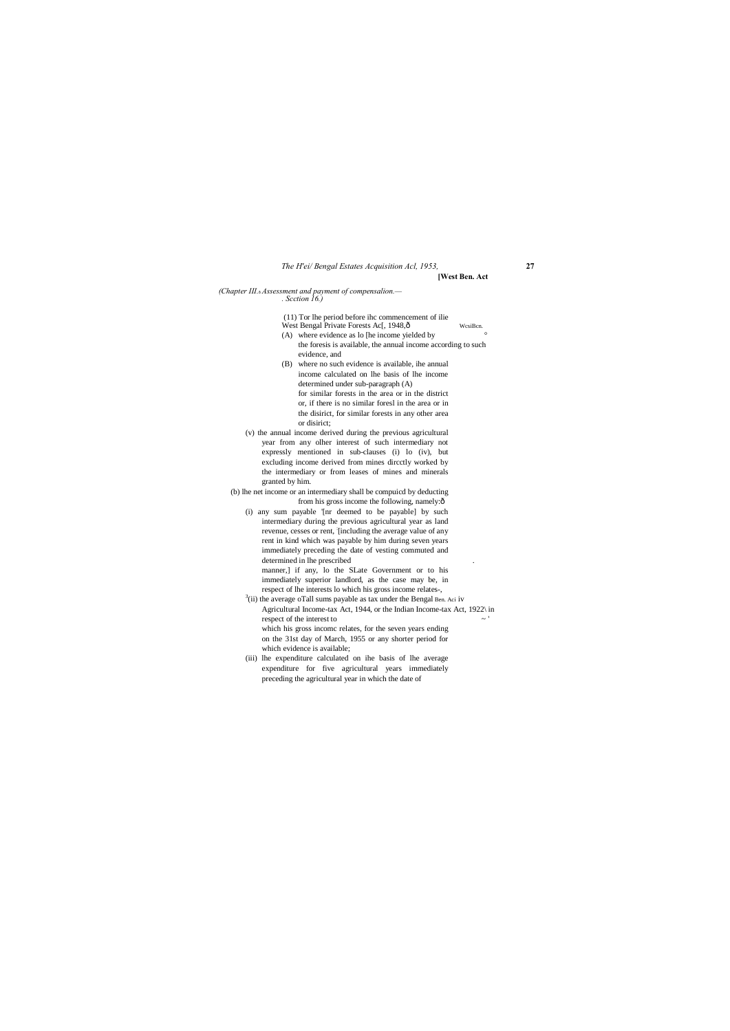# *The H'ei/ Bengal Estates Acquisition Acl, 1953,* **27**

**[West Ben. Act**

*(Chapter III.*—*Assessment and payment of compensalion.— . Scction 16.)*

(11) Tor lhe period before ihc commencement of ilie

- West Bengal Private Forests Ac[, 1948, $\delta$  WcsiBcn.
- (A) where evidence as lo [he income yielded by the foresis is available, the annual income according to such evidence, and
- (B) where no such evidence is available, ihe annual income calculated on lhe basis of lhe income determined under sub-paragraph (A) for similar forests in the area or in the district or, if there is no similar foresl in the area or in the disirict, for similar forests in any other area or disirict;
- (v) the annual income derived during the previous agricultural year from any olher interest of such intermediary not expressly mentioned in sub-clauses (i) lo (iv), but excluding income derived from mines dircctly worked by the intermediary or from leases of mines and minerals granted by him.

(b) lhe net income or an intermediary shall be compuicd by deducting from his gross income the following, namely: $\hat{o}$ 

(i) any sum payable '[nr deemed to be payable] by such intermediary during the previous agricultural year as land revenue, cesses or rent, [including the average value of any rent in kind which was payable by him during seven years immediately preceding the date of vesting commuted and determined in lhe prescribed

- $3$ (ii) the average oTall sums payable as tax under the Bengal Ben. Aci iv Agricultural Income-tax Act, 1944, or the Indian Income-tax Act, 1922\ in respect of the interest to  $\sim$  ' which his gross incomc relates, for the seven years ending on the 31st day of March, 1955 or any shorter period for which evidence is available;
- (iii) lhe expenditure calculated on ihe basis of lhe average expenditure for five agricultural years immediately preceding the agricultural year in which the date of

manner,] if any, lo the SLate Government or to his immediately superior landlord, as the case may be, in respect of lhe interests lo which his gross income relates-,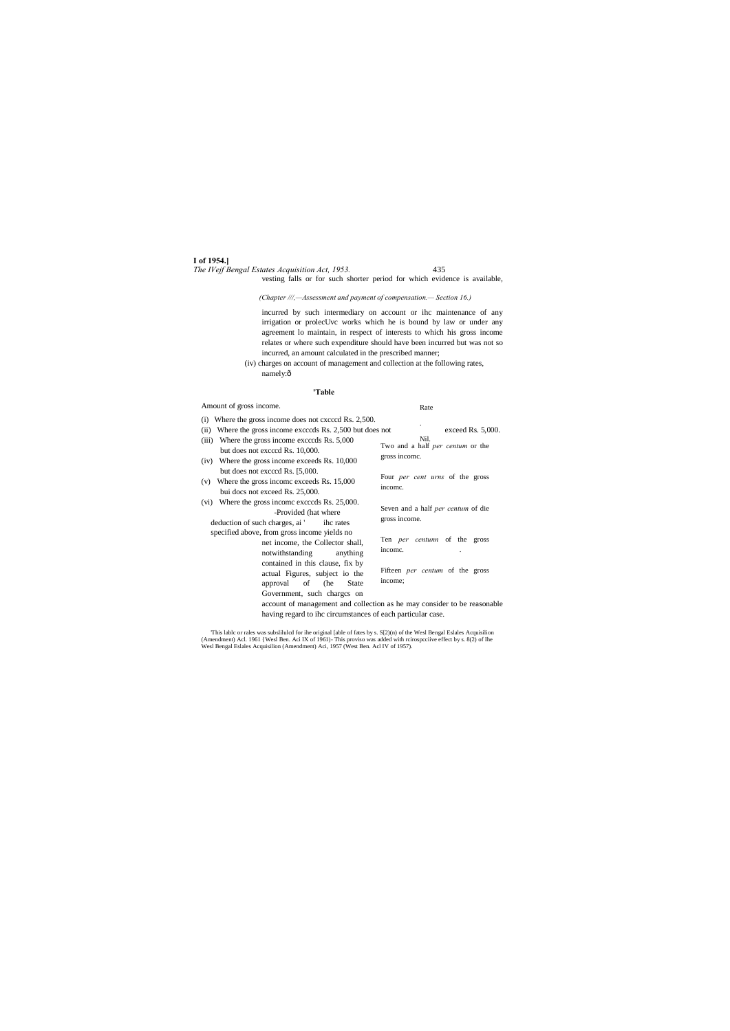#### **I of 1954.]** *The IVejf Bengal Estates Acquisition Act, 1953.* 435

#### Rate

*(Chapter ///,—Assessment and payment of compensation.— Section 16.)*

(iv) charges on account of management and collection at the following rates, namely:ô

vesting falls or for such shorter period for which evidence is available,

incurred by such intermediary on account or ihc maintenance of any irrigation or prolecUvc works which he is bound by law or under any agreement lo maintain, in respect of interests to which his gross income relates or where such expenditure should have been incurred but was not so incurred, an amount calculated in the prescribed manner;

**'Table**

### Amount of gross income.

|               | (i) Where the gross income does not exceed Rs. 2,500.                                                                                   |                                                            |  |  |
|---------------|-----------------------------------------------------------------------------------------------------------------------------------------|------------------------------------------------------------|--|--|
| (ii)          | Where the gross income exceeds Rs. 2,500 but does not                                                                                   | exceed Rs. 5,000.                                          |  |  |
| (iii)<br>(iv) | Where the gross income exceeds Rs. 5,000<br>but does not exceed Rs. 10,000.<br>Where the gross income exceeds Rs. 10,000                | Nil.<br>Two and a half per centum or the<br>gross income.  |  |  |
| (v)           | but does not exceed Rs. [5,000.]<br>Where the gross income exceeds Rs. 15,000<br>bui docs not exceed Rs. 25,000.                        | Four <i>per cent urns</i> of the gross<br>income.          |  |  |
| (vi)          | Where the gross income exceeds Rs. 25,000.<br>-Provided (hat where<br>deduction of such charges, ai ' ihc rates                         | Seven and a half <i>per centum</i> of die<br>gross income. |  |  |
|               | specified above, from gross income yields no<br>net income, the Collector shall,<br>notwithstanding<br>anything                         | Ten <i>per</i> centunn of the gross<br>income.             |  |  |
|               | contained in this clause, fix by<br>actual Figures, subject io the<br>approval of (he<br>State<br>Government, such charges on           | Fifteen <i>per centum</i> of the gross<br>income;          |  |  |
|               | account of management and collection as he may consider to be reasonable<br>having regard to ihe circumstances of each particular case. |                                                            |  |  |

This lable or rales was subsliluled for ihe original [able of fates by s. S[2)(n) of the Wesl Bengal Eslales Acquisilion (Amendment) Acl. 1961 {Wesl Ben. Aci IX of 1961}- This proviso was added with reirospeciive effect by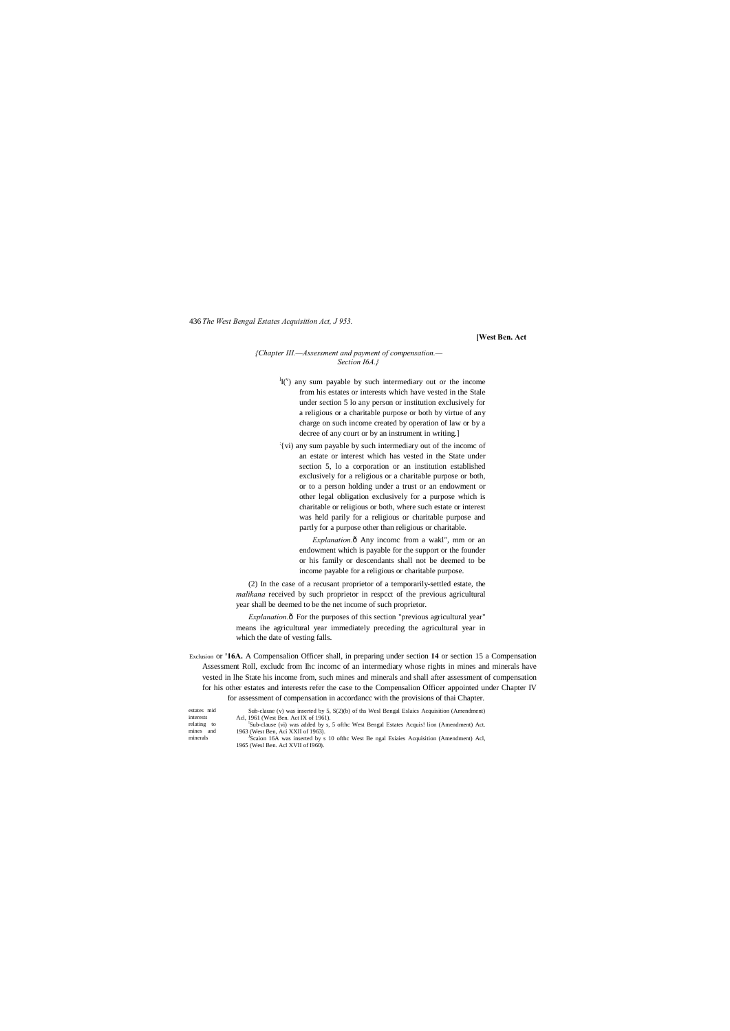**[West Ben. Act**

#### *{Chapter III.—Assessment and payment of compensation.— Section I6A.}*

 $\mathrm{H}(\mathbf{v})$  any sum payable by such intermediary out or the income from his estates or interests which have vested in the Stale under section 5 lo any person or institution exclusively for a religious or a charitable purpose or both by virtue of any charge on such income created by operation of law or by a decree of any court or by an instrument in writing.]

*Explanation.* $\hat{o}$  Any incomc from a wakl", mm or an endowment which is payable for the support or the founder or his family or descendants shall not be deemed to be income payable for a religious or charitable purpose.

: {vi) any sum payable by such intermediary out of the incomc of an estate or interest which has vested in the State under section 5, lo a corporation or an institution established exclusively for a religious or a charitable purpose or both, or to a person holding under a trust or an endowment or other legal obligation exclusively for a purpose which is charitable or religious or both, where such estate or interest was held parily for a religious or charitable purpose and partly for a purpose other than religious or charitable.

*Explanation.* $\hat{o}$  For the purposes of this section "previous agricultural year" means ihe agricultural year immediately preceding the agricultural year in which the date of vesting falls.

(2) In the case of a recusant proprietor of a temporarily-settled estate, the *malikana* received by such proprietor in respcct of the previous agricultural year shall be deemed to be the net income of such proprietor.

- Exclusion or **'16A.** A Compensalion Officer shall, in preparing under section **14** or section 15 a Compensation Assessment Roll, excludc from Ihc incomc of an intermediary whose rights in mines and minerals have vested in lhe State his income from, such mines and minerals and shall after assessment of compensation for his other estates and interests refer the case to the Compensalion Officer appointed under Chapter IV for assessment of compensation in accordancc with the provisions of thai Chapter.
- estates mid interests relating to mines and minerals Sub-clause (v) was inserted by 5, S(2)(b) of ths Wesl Bengal Eslaics Acquisition (Amendment) Acl. 1961 (West Ben. Act IX of 1961). Acl, 1961 (West Ben. Act IX of 1961). ! Sub-clause (vi) was added by s, 5 ofthc West Bengal Estates Acquis! lion (Amendment) Act. 1963 (West Ben, Aci XXII of 1963). <sup>J</sup> Scaion 16A was inserted by s 10 ofthc West Be ngal Esiaies Acquisition (Amendment) Acl, 1965 (Wesl Ben. Acl XVII of I960).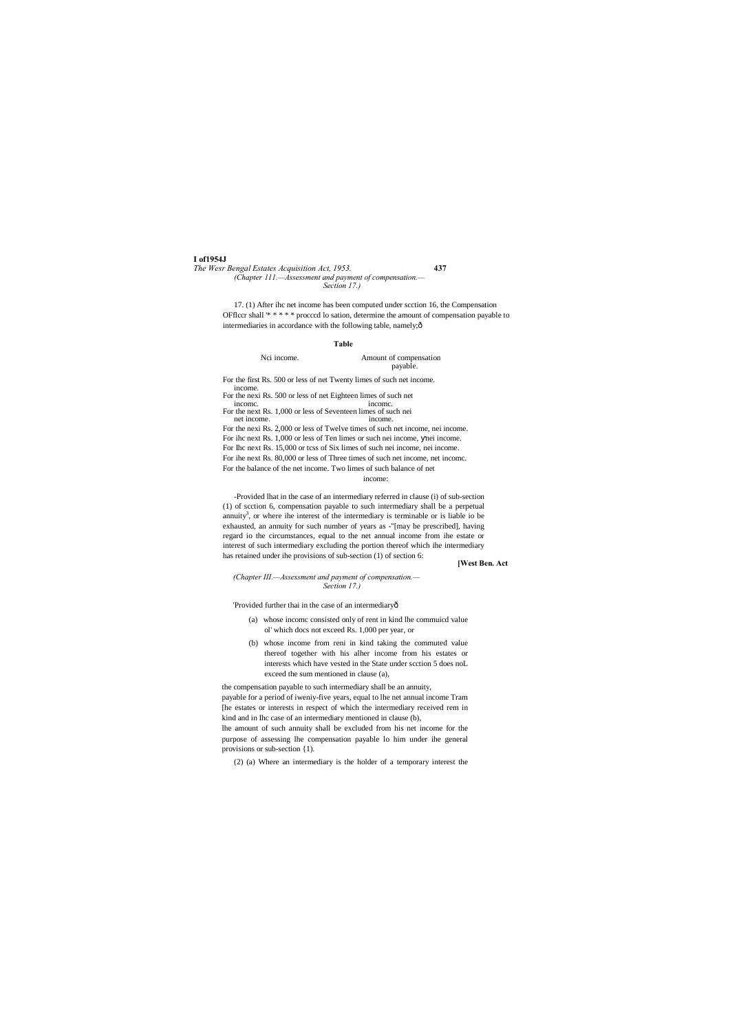**I of1954J**

17. (1) After ihc net income has been computed under scction 16, the Compensation OFflccr shall '\* \* \* \* \* procccd lo sation, determine the amount of compensation payable to intermediaries in accordance with the following table, namely; $\hat{o}$ 

*The Wesr Bengal Estates Acquisition Act, 1953.* **437** *(Chapter 111.—Assessment and payment of compensation.— Section 17.)*

> Nci income. Amount of compensation payable.

For the first Rs. 500 or less of net Twenty limes of such net income. income

For the nexi Rs. 500 or less of net Eighteen limes of such net income. income.

For the next Rs. 1,000 or less of Seventeen limes of such nei net income. income.

#### **Table**

For the nexi Rs. 2,000 or less of Twelve times of such net income, nei income. For ihc next Rs. 1,000 or less of Ten limes or such nei income, nei income. For Ihc next Rs. 15,000 or tcss of Six limes of such nei income, nei income. For ihe next Rs. 80,000 or less of Three times of such net income, net incomc. For the balance of the net income. Two limes of such balance of net

income:

-Provided lhat in the case of an intermediary referred in clause (i) of sub-section (1) of scction 6, compensation payable to such intermediary shall be a perpetual annuity<sup>3</sup>, or where ihe interest of the intermediary is terminable or is liable io be exhausted, an annuity for such number of years as -"[may be prescribed], having regard io the circumstances, equal to the net annual income from ihe estate or interest of such intermediary excluding the portion thereof which ihe intermediary has retained under ihe provisions of sub-section (1) of section 6:

#### **[West Ben. Act**

*(Chapter III.—Assessment and payment of compensation.— Section 17.)*

'Provided further thai in the case of an intermediaryô

- (a) whose incomc consisted only of rent in kind lhe commuicd value ol' which docs not exceed Rs. 1,000 per year, or
- (b) whose income from reni in kind taking the commuted value thereof together with his alher income from his estates or interests which have vested in the State under scction 5 does noL exceed the sum mentioned in clause (a),

the compensation payable to such intermediary shall be an annuity, payable for a period of iweniy-five years, equal to lhe net annual income Tram [he estates or interests in respect of which the intermediary received rem in kind and in Ihc case of an intermediary mentioned in clause (b),

lhe amount of such annuity shall be excluded from his net income for the purpose of assessing lhe compensation payable lo him under ihe general provisions or sub-section {1).

(2) (a) Where an intermediary is the holder of a temporary interest the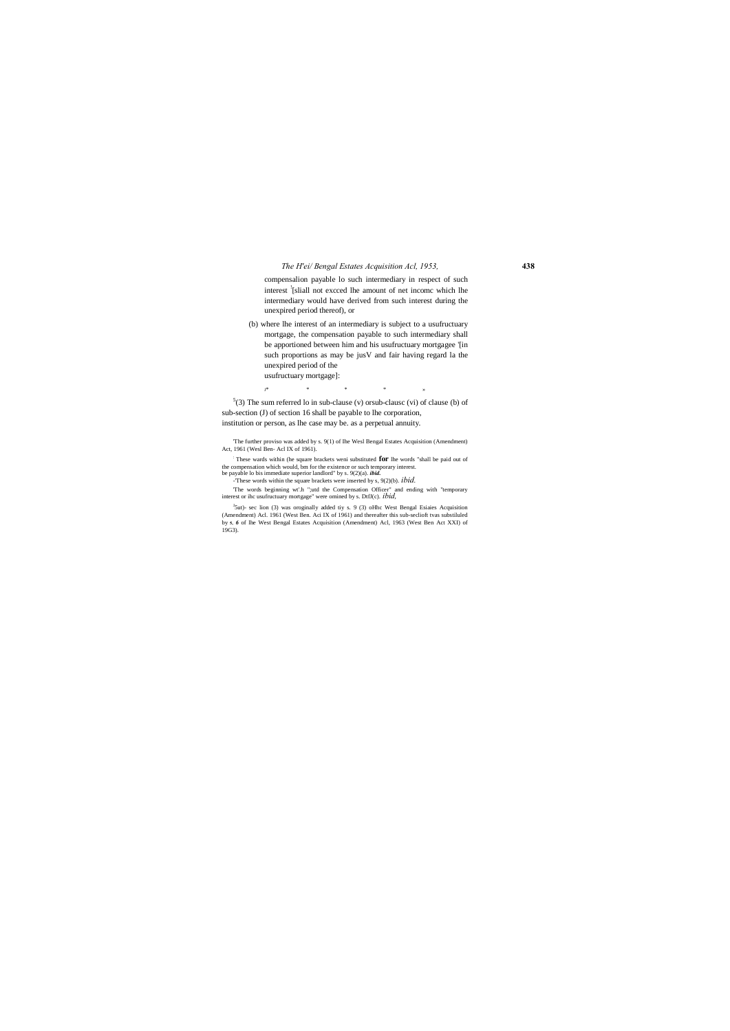### *The H'ei/ Bengal Estates Acquisition Acl, 1953,* **438**

compensalion payable lo such intermediary in respect of such interest ! [sliall not excced lhe amount of net incomc which lhe intermediary would have derived from such interest during the unexpired period thereof), or

 $5(3)$  The sum referred lo in sub-clause (v) or sub-clause (vi) of clause (b) of sub-section (J) of section 16 shall be payable to lhe corporation, institution or person, as lhe case may be. as a perpetual annuity.

(b) where lhe interest of an intermediary is subject to a usufructuary mortgage, the compensation payable to such intermediary shall be apportioned between him and his usufructuary mortgagee '[in such proportions as may be jusV and fair having regard la the unexpired period of the usufructuary mortgage]:

 $\mathbf{J}^*$  \* \* \* \* \* \* \*

<sup>J</sup>5ut)- sec lion (3) was oroginally added tiy s. 9 (3) oHhc West Bengal Esiaies Acquisition (Amendment) Acl. 1961 (West Ben. Aci IX of 1961) and thereafter this sub-seclioft tvas substiluled by **5,** *6* of lhe West Bengal Estates Acquisition (Amendment) Acl, 1963 (West Ben Act XXI) of 19G3).

'The further proviso was added by s. 9(1) of Ihe Wesl Bengal Estates Acquisition (Amendment) Act, 1961 (Wesl Ben- Acl IX of 1961).

: These wards within (he square brackets weni substituted **for** lhe words "shall be paid out of the compensation which would, bm for the existence or such temporary interest. be payable lo bis immediate superior landlord" by s. 9(2)(a). *ibid.*

-'These words within the square brackets were inserted by s, 9(2)(b). *ibid.*

'The words beginning wt'.h ";utd the Compensation Officer" and ending with "temporary interest or ihc usufructuary mortgage" were omined by s. DtfJ(c). *ibid,*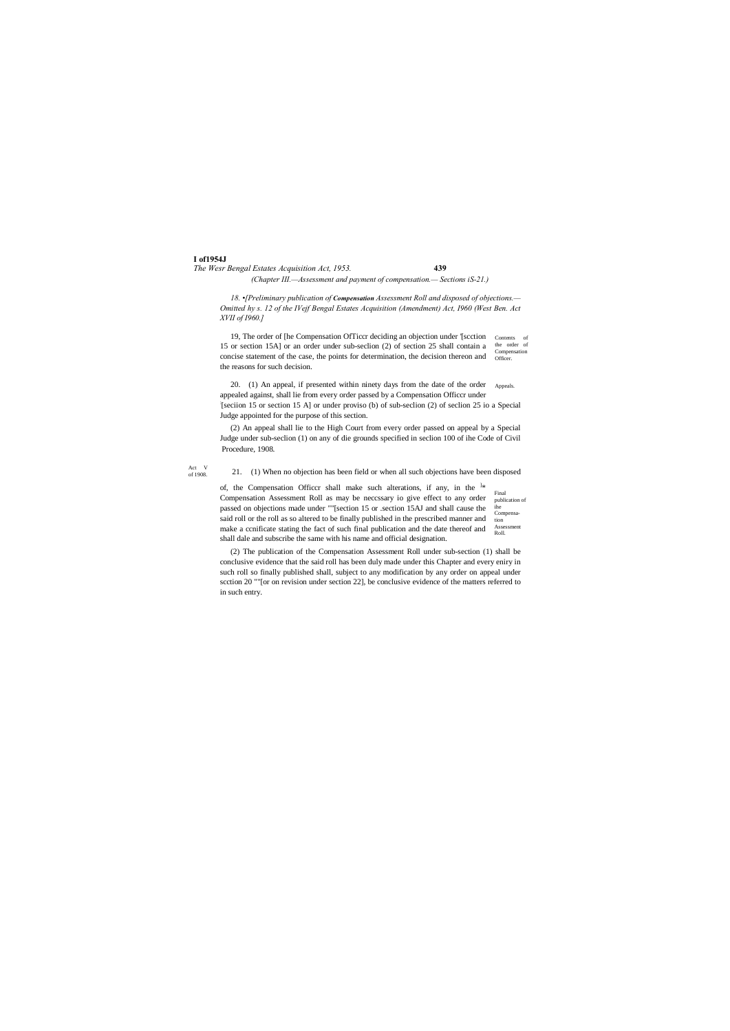**I of1954J**

*The Wesr Bengal Estates Acquisition Act, 1953.* **439**

Act V of 1908.

#### *(Chapter III.—Assessment and payment of compensation.— Sections iS-21.)*

*18. •[Preliminary publication of Compensation Assessment Roll and disposed of objections.— Omitted hy s. 12 of the IVejf Bengal Estates Acquisition (Amendment) Act, I960 (West Ben. Act XVII of I960.]*

Contents of the order of concise statement of the case, the points for determination, the decision thereon and Compensation 19, The order of [he Compensation OfTiccr deciding an objection under '[scction 15 or section 15A] or an order under sub-seclion (2) of section 25 shall contain a the reasons for such decision.

Appeals. 20. (1) An appeal, if presented within ninety days from the date of the order appealed against, shall lie from every order passed by a Compensation Officcr under : [seciion 15 or section 15 A] or under proviso (b) of sub-seclion (2) of seclion 25 io a Special Judge appointed for the purpose of this section.

Final publication of ihe Compensation Assessment Roll. of, the Compensation Officer shall make such alterations, if any, in the  $\frac{1}{2}$ Compensation Assessment Roll as may be neccssary io give effect to any order passed on objections made under ""[section 15 or .section 15AJ and shall cause the said roll or the roll as so altered to be finally published in the prescribed manner and make a ccnificate stating the fact of such final publication and the date thereof and shall dale and subscribe the same with his name and official designation.

(2) An appeal shall lie to the High Court from every order passed on appeal by a Special Judge under sub-seclion (1) on any of die grounds specified in seclion 100 of ihe Code of Civil Procedure, 1908.

21. (1) When no objection has been field or when all such objections have been disposed

(2) The publication of the Compensation Assessment Roll under sub-section (1) shall be conclusive evidence that the said roll has been duly made under this Chapter and every eniry in such roll so finally published shall, subject to any modification by any order on appeal under scction 20 ""[or on revision under section 22], be conclusive evidence of the matters referred to in such entry.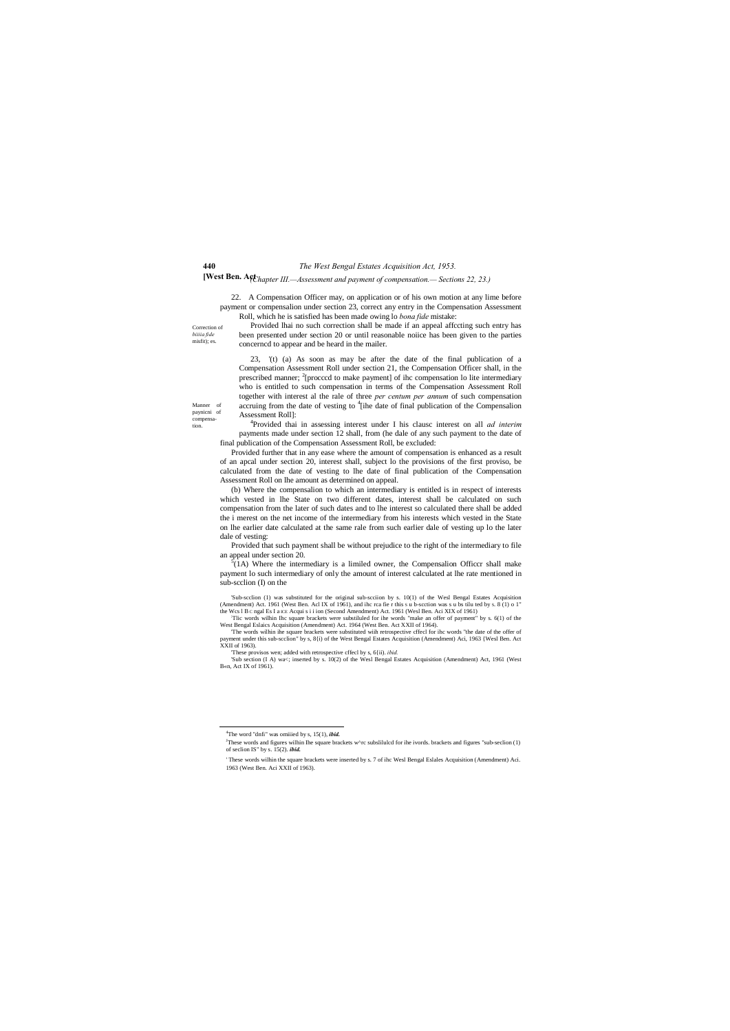Correction of *biiiia fide*  misfit); es.

Manner of paynicni of compensation.

# **[West Ben. Act** *(Chapter III.—Assessment and payment of compensation.— Sections 22, 23.)*

22. A Compensation Officer may, on application or of his own motion at any lime before payment or compensalion under section 23, correct any entry in the Compensation Assessment Roll, which he is satisfied has been made owing lo *bona fide* mistake:

Provided lhai no such correction shall be made if an appeal affccting such entry has been presented under section 20 or until reasonable noiice has been given to the parties concerncd to appear and be heard in the mailer.

23, '(t) (a) As soon as may be after the date of the final publication of a Compensation Assessment Roll under section 21, the Compensation Officer shall, in the prescribed manner; <sup>2</sup>[procccd to make payment] of ihc compensation lo lite intermediary who is entitled to such compensation in terms of the Compensation Assessment Roll together with interest al the rale of three *per centum per annum* of such compensation accruing from the date of vesting to <sup>4</sup>[ihe date of final publication of the Compensalion Assessment Roll]:

Provided that such payment shall be without prejudice to the right of the intermediary to file an appeal under section 20.

 $<sup>5</sup>(1A)$  Where the intermediary is a limiled owner, the Compensalion Officer shall make</sup> payment lo such intermediary of only the amount of interest calculated at lhe rate mentioned in sub-section (I) on the

'Sub-scclion (1) was substituted for the original sub-scciion by s. 10(1) of the Wesl Bengal Estates Acquisition (Amendment) Act. 1961 (West Ben. Acl IX of 1961), and ihc rca fie r this S u b-scction was s u bs tilu ted by S. 8 (1) o 1" the Wcs 1 B c ngal Es I a ICE Acqui s i i ion (Second Amendment) Act. 1961 (Wesl Ben. Aci XIX of 1961)

4 Provided thai in assessing interest under I his clausc interest on all *ad interim* payments made under section 12 shall, from (he dale of any such payment to the date of final publication of the Compensation Assessment Roll, be excluded:

Provided further that in any ease where the amount of compensation is enhanced as a result of an apcal under section 20, interest shall, subject lo the provisions of the first proviso, be calculated from the date of vesting to lhe date of final publication of the Compensation Assessment Roll on lhe amount as determined on appeal.

'Sub section (I A) wa<; inserted by s. 10(2) of the Wesl Bengal Estates Acquisition (Amendment) Act, 1961 (West B«n, Act IX of 1961).

(b) Where the compensalion to which an intermediary is entitled is in respect of interests which vested in lhe State on two different dates, interest shall be calculated on such compensation from the later of such dates and to lhe interest so calculated there shall be added the i merest on the net income of the intermediary from his interests which vested in the State on lhe earlier date calculated at the same rale from such earlier dale of vesting up lo the later dale of vesting:

Tlic words wilhin Ihc square brackets were substiluled for ihe words "make an offer of payment" by s. 6(1) of the West Bengal Eslaics Acquisition (Amendment) Act. 1964 (West Ben. Act XXII of 1964).

'The words wilhin ihe square brackets were substituted wiih retrospective cffecl for ihc words "the date of the offer of payment under this sub-scclion" by s, 8{i) of the West Bengal Estates Acquisition (Amendment) Aci, 1963 {Wesl Ben. Act XXII of 1963).

'These provisos wen; added with retrospective cffecl by s, 6{ii). *ibid.*

 $\frac{1}{4}$ The word "dnfi" was omiiied by s, 15(1), *ibid.*

J These words and figures wilhin Ihe square brackets w^rc subslilulcd for ihe ivords. brackets and figures "sub-seclion (1) of seclion IS" by s. 15(2). *ibid.*

<sup>&#</sup>x27; These words wilhin the square brackets were inserted by s. 7 of ihc Wesl Bengal Eslales Acquisition (Amendment) Aci. 1963 (West Ben. Aci XXII of 1963).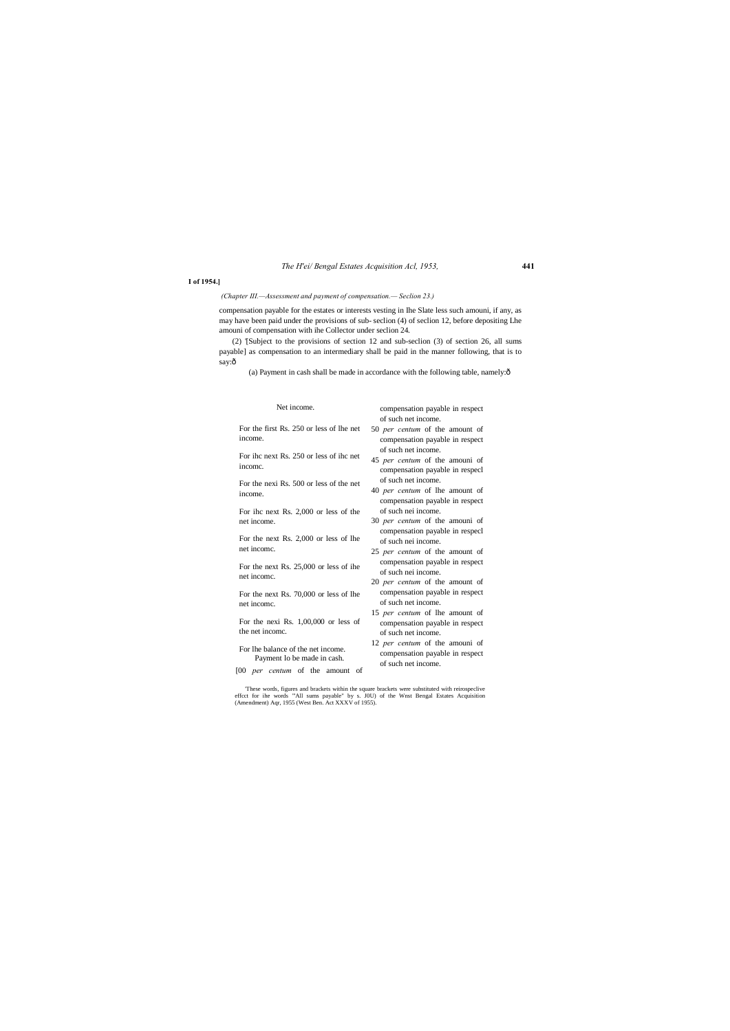### *The H'ei/ Bengal Estates Acquisition Acl, 1953,* **441**

### **I of 1954.]**

*(Chapter III.—Assessment and payment of compensation.— Seclion 23.)*

(2) '[Subject to the provisions of section 12 and sub-seclion (3) of section 26, all sums payable] as compensation to an intermediary shall be paid in the manner following, that is to say:ô

(a) Payment in cash shall be made in accordance with the following table, namely: $\hat{o}$ 

compensation payable for the estates or interests vesting in Ihe Slate less such amouni, if any, as may have been paid under the provisions of sub- seclion (4) of seclion 12, before depositing Lhe amouni of compensation with ihe Collector under seclion 24.

| Net income.                                                                                                 | compensation payable in respect                                                                 |
|-------------------------------------------------------------------------------------------------------------|-------------------------------------------------------------------------------------------------|
| For the first Rs. 250 or less of lhe net<br>income.                                                         | of such net income.<br>50 per centum of the amount of<br>compensation payable in respect        |
| For ihc next Rs. 250 or less of ihc net<br>income.                                                          | of such net income.<br>45 <i>per centum</i> of the amouni of<br>compensation payable in respecl |
| For the nexi Rs. 500 or less of the net<br>income.                                                          | of such net income.<br>40 per centum of lhe amount of<br>compensation payable in respect        |
| For ihc next Rs. 2,000 or less of the<br>net income.                                                        | of such nei income.<br>30 <i>per centum</i> of the amouni of<br>compensation payable in respecl |
| For the next Rs. 2,000 or less of lhe<br>net incomc.                                                        | of such nei income.<br>25 <i>per centum</i> of the amount of                                    |
| For the next Rs. 25,000 or less of ihe<br>net income.                                                       | compensation payable in respect<br>of such nei income.<br>20 <i>per centum</i> of the amount of |
| For the next Rs. 70,000 or less of lhe<br>net income.                                                       | compensation payable in respect<br>of such net income.<br>15 per centum of lhe amount of        |
| For the nexi Rs. $1,00,000$ or less of<br>the net income.                                                   | compensation payable in respect<br>of such net income.                                          |
| For the balance of the net income.<br>Payment lo be made in cash.<br>[00 <i>per centum</i> of the amount of | 12 per centum of the amouni of<br>compensation payable in respect<br>of such net income.        |
|                                                                                                             |                                                                                                 |

These words, figures and brackets within the square brackets were substituted with reirospeclive effect for ihe words "All sums payable" by s. J0U) of the Wnst Bengal Estates Acquisition (Amendment) Aqr, 1955 (West Ben. Ac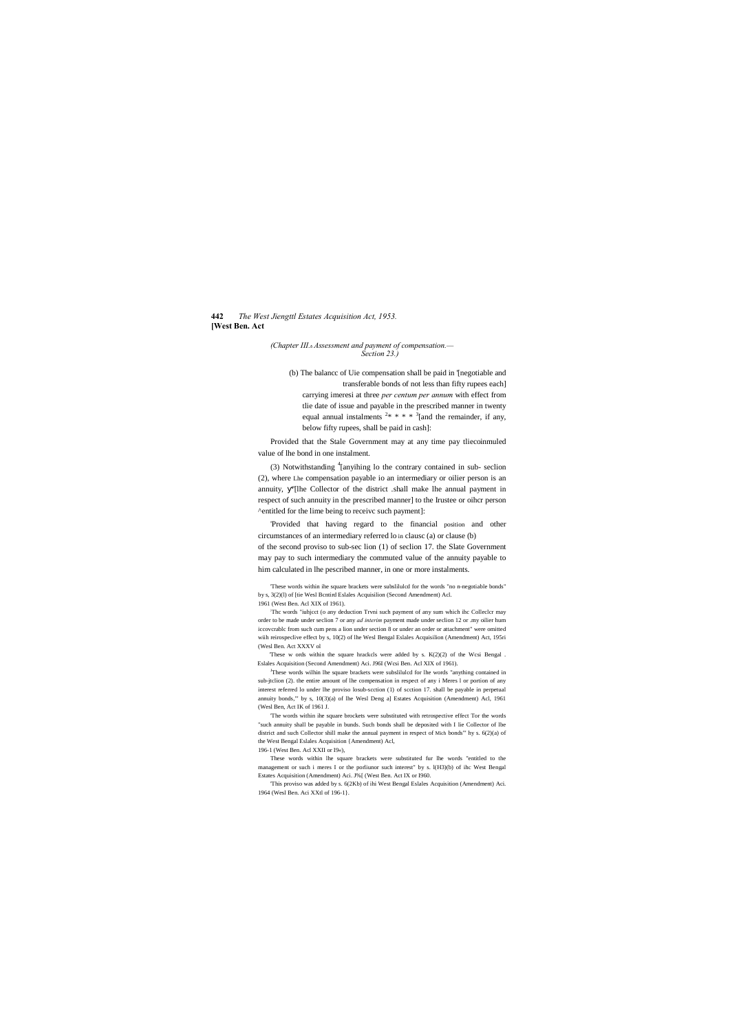#### **442** *The West Jiengttl Estates Acquisition Act, 1953.* **[West Ben. Act**

*(Chapter III.*—*Assessment and payment of compensation.— Section 23.)*

(b) The balancc of Uie compensation shall be paid in '[negotiable and transferable bonds of not less than fifty rupees each] carrying imeresi at three *per centum per annum* with effect from tlie date of issue and payable in the prescribed manner in twenty equal annual instalments  $2* * * * 3$  [and the remainder, if any, below fifty rupees, shall be paid in cash]:

(3) Notwithstanding <sup>4</sup>[anyihing lo the contrary contained in sub- seclion (2), where Lhe compensation payable io an intermediary or oilier person is an annuity, ''[lhe Collector of the district .shall make lhe annual payment in respect of such annuity in the prescribed manner] to the Irustee or oihcr person ^entitled for the lime being to receivc such payment]:

Provided that the Stale Government may at any time pay tliecoinmuled value of lhe bond in one instalment.

'Provided that having regard to the financial position and other circumstances of an intermediary referred lo in clausc (a) or clause (b)

These w ords within the square hrackcls were added by s.  $K(2)(2)$  of the Wcsi Bengal Eslales Acquisition (Second Amendment) Aci. J96I (Wcsi Ben. Acl XIX of 1961).

of the second proviso to sub-sec lion (1) of seclion 17. the Slate Government may pay to such intermediary the commuted value of the annuity payable to him calculated in lhe pescribed manner, in one or more instalments.

<sup>J</sup>These words wilhin lhe square brackets were subslilulcd for lhe words "anything contained in sub-jtclion (2). the entire amount of lhe compensation in respect of any i Meres l or portion of any interest referred lo under lhe proviso losub-scction (1) of scction 17. shall be payable in perpetual annuity bonds,"' by s, 10(3)(a) of lhe Wesl Deng a] Estates Acquisition (Amendment) Acl, 1961 (Wesl Ben, Act IK of 1961 J.

'These words within ihe square brackets were subslilulcd for the words "no n-negotiable bonds" by s, 3(2)(l) of [tie Wesl Bcntird Eslales Acquisilion (Second Amendment) Acl.

1961 (West Ben. Acl XIX of 1961).

; Thc words "iuhjcct (o any deduction Trvni such payment of any sum which ihc Colleclcr may order to be made under seclion 7 or any *ad interim* payment made under seclion 12 or .my oilier hum iccovcrablc from such cum pens a lion under section 8 or under an order or attachment" were omitted wiih reirospeclive effect by s, 10(2) of lhe Wesl Bengal Eslales Acquisilion (Amendment) Act, 195ri (Wesl Ben. Act XXXV ol

'The words within ihe square brockets were substituted with retrospective effect Tor the words "such annuity shall be payable in bunds. Such bonds shall be deposited with I lie Collector of lbe district and such Collector shill make the annual payment in respect of Mich bonds"' hy s. 6(2)(a) of the West Bengal Eslales Acquisition {Amendment) Acl,

196-1 (West Ben. Acl XXII or I9«),

These words within lhe square brackets were substituted fur lhe words "entitled to the management or such i meres I or the porliunor such interest" by s. l(H3)(b) of ihc West Bengal Estates Acquisition (Amendment) Aci. J%[ (West Ben. Act IX or I960.

'This proviso was added by s. 6(2Kb) of ihi West Bengal Eslales Acquisition (Amendment) Aci. 1964 (Wesl Ben. Aci XXtl of 196-1}.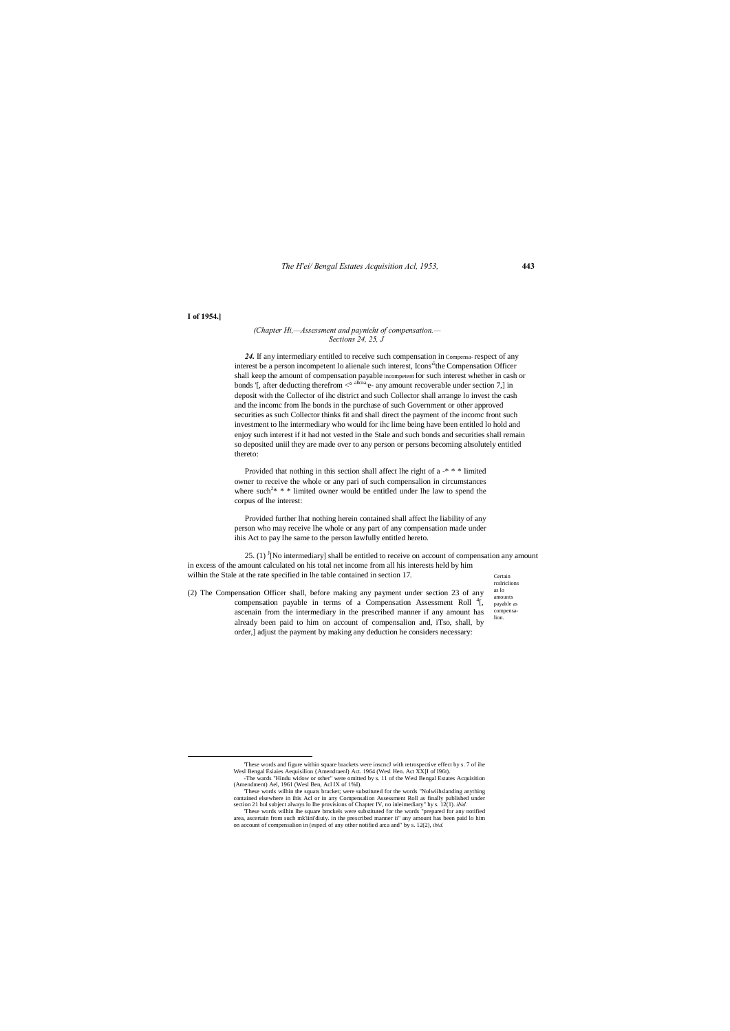*The H'ei/ Bengal Estates Acquisition Acl, 1953,* **443**

Certain rcslriclions as lo amounts payable as compensalion.

#### **I of 1954.]**

#### *(Chapter Hi,—Assessment and paynieht of compensation.— Sections 24, 25, J*

24. If any intermediary entitled to receive such compensation in Compensa- respect of any interest be a person incompetent lo alienale such interest, Icons<sup>5</sup>the Compensation Officer shall keep the amount of compensation payable incompetent for such interest whether in cash or bonds '[, after deducting therefrom  $\lt^{\circ}$  allena, e- any amount recoverable under section 7,] in deposit with the Collector of ihc district and such Collector shall arrange lo invest the cash and the incomc from lhe bonds in the purchase of such Government or other approved securities as such Collector thinks fit and shall direct the payment of the incomc front such investment to lhe intermediary who would for ihc lime being have been entitled lo hold and enjoy such interest if it had not vested in the Stale and such bonds and securities shall remain so deposited uniil they are made over to any person or persons becoming absolutely entitled thereto:

25. (1)  $\frac{1}{2}$ [No intermediary] shall be entitled to receive on account of compensation any amount in excess of the amount calculated on his total net income from all his interests held by him wilhin the Stale at the rate specified in lhe table contained in section 17.

Provided that nothing in this section shall affect lhe right of a -\* \* \* limited owner to receive the whole or any pari of such compensalion in circumstances where such<sup>2\*</sup>  $*$  \* limited owner would be entitled under lhe law to spend the corpus of lhe interest:

Provided further lhat nothing herein contained shall affect lhe liability of any person who may receive lhe whole or any part of any compensation made under ihis Act to pay lhe same to the person lawfully entitled hereto.

(2) The Compensation Officer shall, before making any payment under section 23 of any compensation payable in terms of a Compensation Assessment Roll <sup>4</sup>[, ascenain from the intermediary in the prescribed manner if any amount has already been paid to him on account of compensalion and, iTso, shall, by order,] adjust the payment by making any deduction he considers necessary:

(Amendment) Ael, 1961 (Wesl Ben, Acl IX of 1%I).

'These words wilhin the squats bracket; were substituted for the words "Nolwiihslanding anything contained elsewhere in ihis Acl or in any Compensalion Assessment Roll as finally published under section 21 bul subject always lo Ihe provisions of Chapter IV, no inleimediary" hy s. 12(1). *ibid.*

'These words wilhin lhe square bmckels were substituted for the words "prepared for any notified area, ascertain from such mk'iini'diuiy. in the prescribed manner ii" any amount has been paid lo him on account of compensalion in (especl of any other notified an:a and" by s. 12(2), *ibid.*

 <sup>&#</sup>x27;These words and figure within square brackets were inscncJ with retrospective effect by s. 7 of ihe Wesl Bengal Esiaies Aequisilion {Amendraenl) Act. 1964 (Wesl Hen. Act XX[I of I96t). other" were omitted by s. 11 of the Wesl Bengal Esta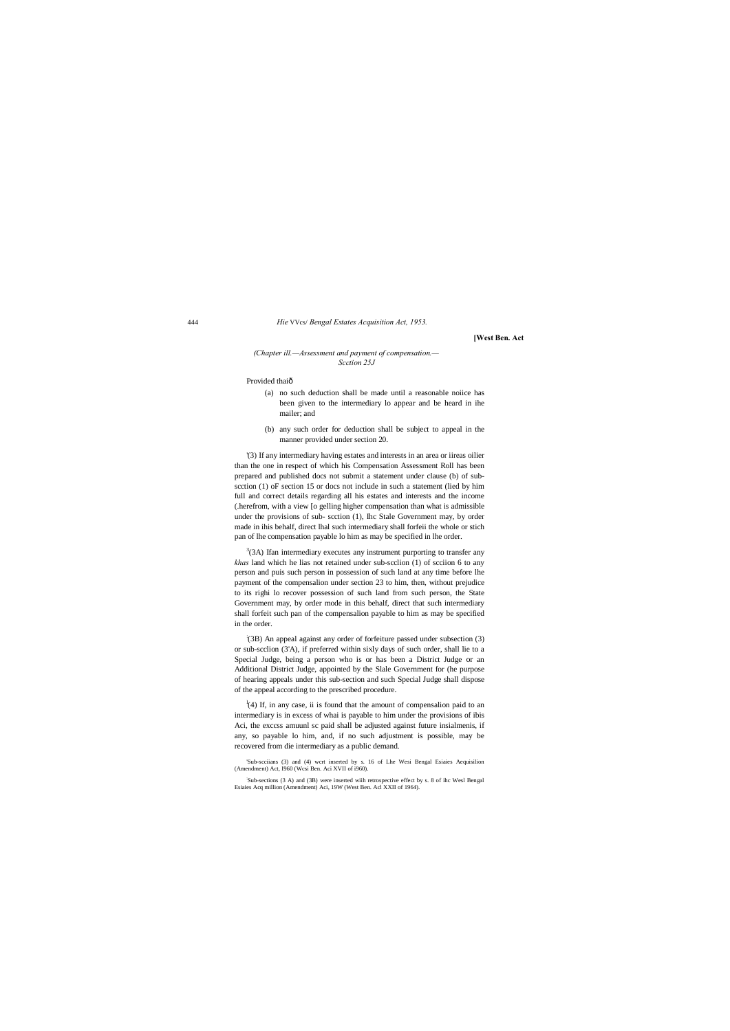444 *Hie* VVcs/ *Bengal Estates Acquisition Act, 1953.*

**[West Ben. Act**

#### *(Chapter ill.—Assessment and payment of compensation.— Scction 25J*

#### Provided thaiô

- (a) no such deduction shall be made until a reasonable noiice has been given to the intermediary lo appear and be heard in ihe mailer; and
- (b) any such order for deduction shall be subject to appeal in the manner provided under section 20.

'(3) If any intermediary having estates and interests in an area or iireas oilier than the one in respect of which his Compensation Assessment Roll has been prepared and published docs not submit a statement under clause (b) of subscction (1) oF section 15 or docs not include in such a statement (lied by him full and correct details regarding all his estates and interests and the income (.herefrom, with a view [o gelling higher compensation than what is admissible under the provisions of sub- scction (1), Ihc Stale Government may, by order made in ihis behalf, direct lhal such intermediary shall forfeii the whole or stich pan of lhe compensation payable lo him as may be specified in lhe order.

 $3$ (3A) Ifan intermediary executes any instrument purporting to transfer any *khas* land which he lias not retained under sub-scclion (1) of scciion 6 to any person and puis such person in possession of such land at any time before lhe payment of the compensalion under section 23 to him, then, without prejudice to its righi lo recover possession of such land from such person, the State Government may, by order mode in this behalf, direct that such intermediary shall forfeit such pan of the compensalion payable to him as may be specified in the order.

 $\frac{1}{4}$  (4) If, in any case, ii is found that the amount of compensalion paid to an intermediary is in excess of whai is payable to him under the provisions of ibis Aci, the exccss amuunl sc paid shall be adjusted against future insialmenis, if any, so payable lo him, and, if no such adjustment is possible, may be recovered from die intermediary as a public demand.

: (3B) An appeal against any order of forfeiture passed under subsection (3) or sub-scclion (3'A), if preferred within sixly days of such order, shall lie to a Special Judge, being a person who is or has been a District Judge or an Additional District Judge, appointed by the Slale Government for (he purpose of hearing appeals under this sub-section and such Special Judge shall dispose of the appeal according to the prescribed procedure.

'Sub-scciians (3) and (4) wcrt inserted by s. 16 of Lhe Wesi Bengal Esiaies Aequisilion (Amendment) Act, I960 (Wcsi Ben. Aci XVII of i960).

: Sub-sections (3 A) and (3B) were inserted wiih retrospective effect by s. 8 of ihc Wesl Bengal Esiaies Acq million (Amendment) Aci, 19W (West Ben. Acl XXII of 1964).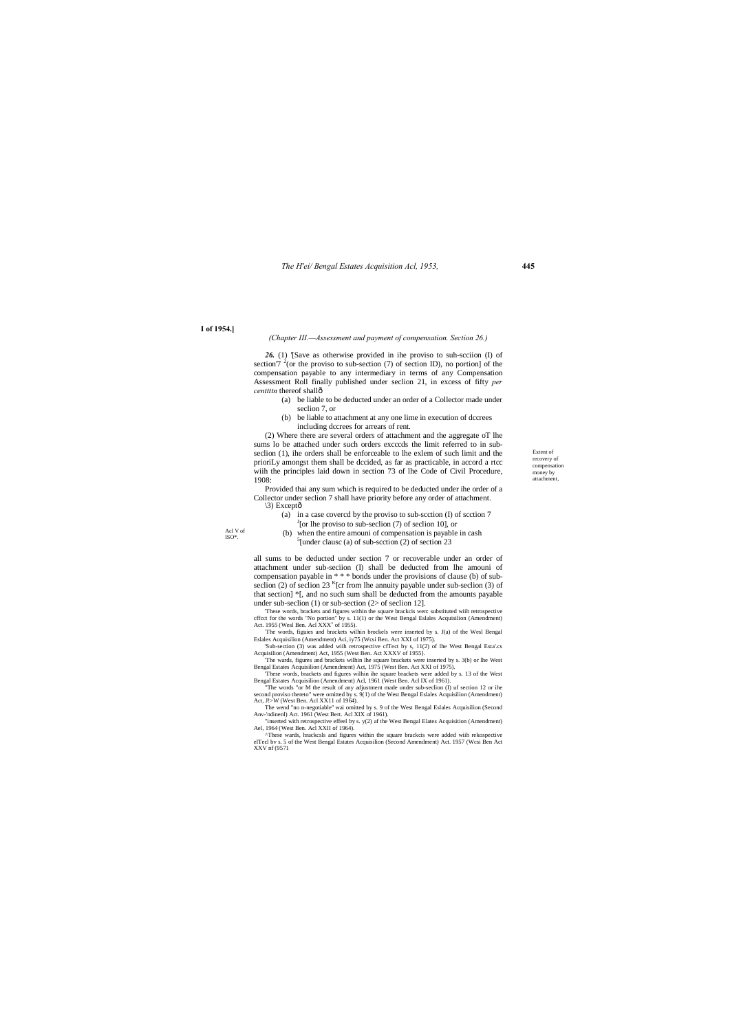*The H'ei/ Bengal Estates Acquisition Acl, 1953,* **445**

Extent of recovery of compensation money by attachment,

**I of 1954.]**

#### *(Chapter III.—Assessment and payment of compensation. Section 26.)*

*26.* (1) '[Save as otherwise provided in ihe proviso to suh-scciion (I) of section'7  $^{2}$ (or the proviso to sub-section (7) of section ID), no portion] of the compensation payable to any intermediary in terms of any Compensation Assessment Roll finally published under seclion 21, in excess of fifty *per centtttn* thereof shall—

Provided thai any sum which is required to be deducted under ihe order of a Collector under seclion 7 shall have priority before any order of attachment.  $\langle 3 \rangle$  Exceptô

> (a) in a case covercd by the proviso to sub-scction (I) of scction  $7$  $\int$ [or lhe proviso to sub-seclion (7) of seclion 10], or

- (a) be liable to be deducted under an order of a Collector made under seclion 7, or
- (b) be liable to attachment at any one lime in execution of dccrees including dccrees for arrears of rent.

(b) when the entire amouni of compensation is payable in cash  $5$ [under clausc (a) of sub-scction (2) of section 23

(2) Where there are several orders of attachment and the aggregate oT lhe sums lo be attached under such orders excccds the limit referred to in subseclion (1), ihe orders shall be enforceable to lhe exlem of such limit and the prioriLy amongst them shall be dccided, as far as practicable, in accord a rtcc wiih the principles laid down in section 73 of lhe Code of Civil Procedure, 1908:

'These words, brackets and figures within the square brackcis wen: substituted wiih retrospective cffcct for the words "No portion" by s. 11(1) or the West Bengal Eslales Acquisilion (Amendment) Act. 1955 (Wesl Ben. Acl  $XXX<sup>v</sup>$  of 1955).

Bengal Estates Acquisilion (Amendment) Act, 1975 (West Ben. Act XXI of 1975). These words, brackets and figures wilhin ihe square brackets were added by s. 13 of the West

second proviso thereto" were omitted by s. 9(1) of the West Bengal Eslales Acquisilion (Amendment) Act, J!>W (West Ben. Acl XX11 of 1964).

all sums to be deducted under section 7 or recoverable under an order of attachment under sub-seciion (I) shall be deducted from lhe amouni of compensation payable in \* \* \* bonds under the provisions of clause (b) of subseclion (2) of seclion 23  $K$ [cr from lhe annuity payable under sub-seclion (3) of that section] \*[, and no such sum shall be deducted from the amounts payable under sub-seclion (1) or sub-section (2> of seclion 12].

: The words, figuies and brackets wilhin brockels were inserted by s. J(a) of the Wesl Bengal Eslales Acquisilion (Amendment) Aci, iy75 (Wcsi Ben. Act XXI of 1975).

'Sub-section (3) was added wiih retrospective cfTect by s, 11(2) of lhe West Bengal Esta'.cs Acquisilion (Amendment) Act, 1955 (West Ben. Act XXXV of 1955}. 'The wards, figures and brackets wilhin lhe square brackets were inserted by s. 3(b) or lhe West

Bengal Estates Acquisilion (Amendment) Acl, 1961 (West Ben. Acl IX of 1961). "The words "or M the result of any adjustment made under sub-seclion (I) uf section 12 or ihe

The wend "no n-negotiable'' wai omitted by s. 9 of the West Bengal Eslales Acquisilion (Second Anv-'ndinenl) Act. 1961 (West Bert. Acl XIX of 1961). "inserted with retrospective effeel by s. y(2) af the West Bengal Elates Acquisition (Amendment)

Ael, 1964 (West Ben. Acl XXII of 1964). ^These wards, hrackcsls and figures within the square brackcis were added wiih rekospective elTecl bv s. 5 of the West Bengal Estates Acquisilion (Second Amendment) Act. 1957 (Wcsi Ben Act

XXV nf (9571

Acl V of ISO\*.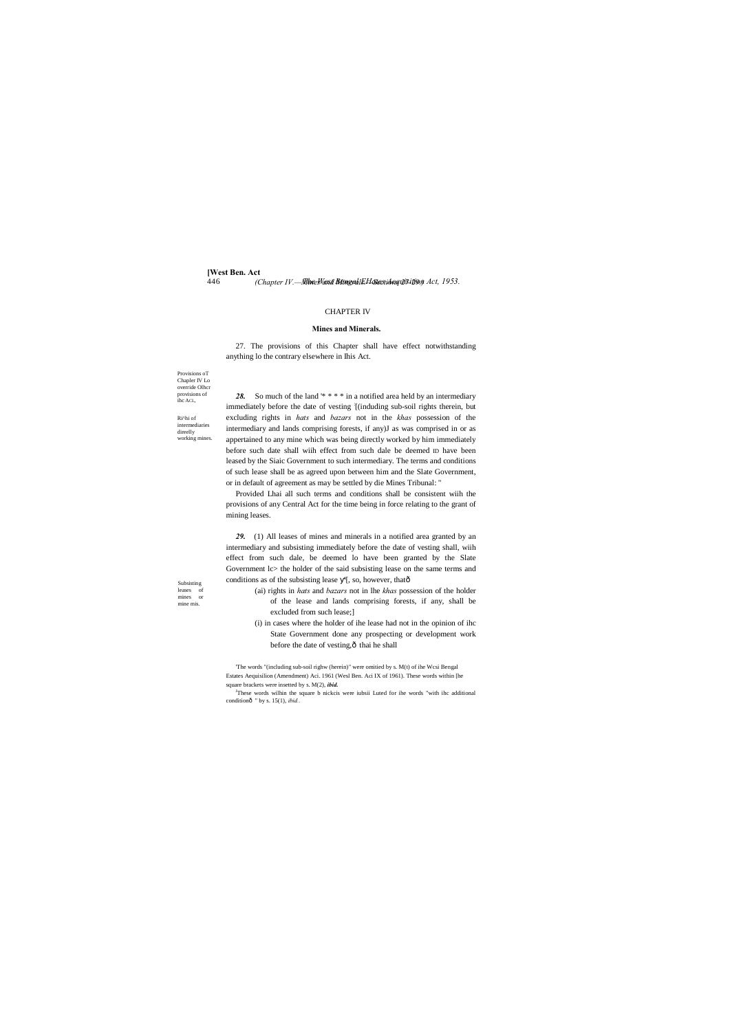Provisions oT Chapler IV Lo override Olhcr provisions of ihc ACL,

**[West Ben. Act** 446 *The West Bengal EHates Acquisition Act, 1953. (Chapter IV.—Mines and Minerals.—Sections 27-29.)*

Ri^hi of intermediarie direelly

working mines.

Subsisting leases of mines or mine mis.

#### CHAPTER IV

#### **Mines and Minerals.**

27. The provisions of this Chapter shall have effect notwithstanding anything lo the contrary elsewhere in Ihis Act.

*29.* (1) All leases of mines and minerals in a notified area granted by an intermediary and subsisting immediately before the date of vesting shall, wiih effect from such dale, be deemed lo have been granted by the Slate Government lc> the holder of the said subsisting lease on the same terms and conditions as of the subsisting lease '[, so, however, thatô

*28.* So much of the land '\* \* \* \* in a notified area held by an intermediary immediately before the date of vesting : [(induding sub-soil rights therein, but excluding rights in *hats* and *bazars* not in the *khas* possession of the intermediary and lands comprising forests, if any)J as was comprised in or as appertained to any mine which was being directly worked by him immediately before such date shall wiih effect from such dale be deemed ID have been leased by the Siaic Government to such intermediary. The terms and conditions of such lease shall be as agreed upon between him and the Slate Government, or in default of agreement as may be settled by die Mines Tribunal: "

- (ai) rights in *hats* and *bazars* not in lhe *khas* possession of the holder of the lease and lands comprising forests, if any, shall be excluded from such lease;]
- (i) in cases where the holder of ihe lease had not in the opinion of ihc State Government done any prospecting or development work before the date of vesting, $\hat{o}$  thai he shall

Provided Lhai all such terms and conditions shall be consistent wiih the provisions of any Central Act for the time being in force relating to the grant of mining leases.

'The words "(including sub-soil righw (herein)" were omitied by s. M(t) of ihe Wcsi Bengal Estates Aequisilion (Amendment) Aci. 1961 (Wesl Ben. Aci IX of 1961). These words within [he square brackets were insetted by s. M(2), *ibid.*

<sup>J</sup>These words wilhin the square b nickcis were iubsii Luted for ihe words "with ihc additional conditionô " by s. 15(1), *ibid.*.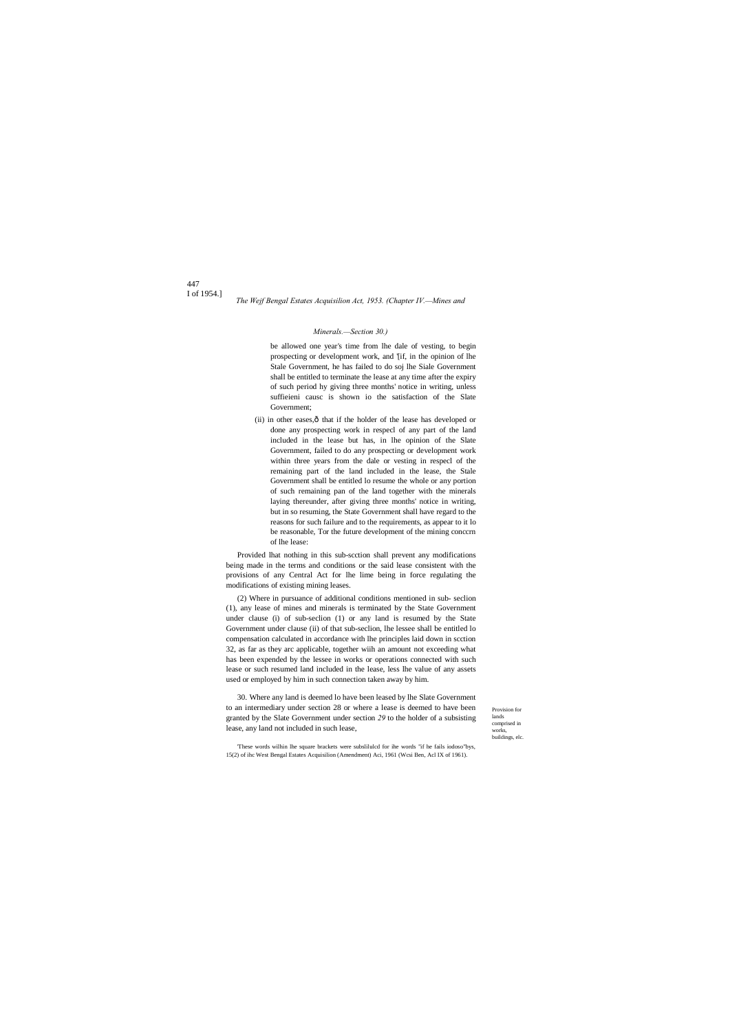447 I of 1954.]

> Provision for lands comprised in works, buildings, elc.

*The Wejf Bengal Estates Acquisilion Act, 1953. (Chapter IV.—Mines and* 

#### *Minerals.—Section 30.)*

be allowed one year's time from lhe dale of vesting, to begin prospecting or development work, and '[if, in the opinion of lhe Stale Government, he has failed to do soj lhe Siale Government shall be entitled to terminate the lease at any time after the expiry of such period hy giving three months' notice in writing, unless suffieieni causc is shown io the satisfaction of the Slate Government;

(ii) in other eases, $\hat{o}$  that if the holder of the lease has developed or done any prospecting work in respecl of any part of the land included in the lease but has, in lhe opinion of the Slate Government, failed to do any prospecting or development work within three years from the dale or vesting in respecl of the remaining part of the land included in the lease, the Stale Government shall be entitled lo resume the whole or any portion of such remaining pan of the land together with the minerals laying thereunder, after giving three months' notice in writing, but in so resuming, the State Government shall have regard to the reasons for such failure and to the requirements, as appear to it lo be reasonable, Tor the future development of the mining conccrn of lhe lease:

Provided lhat nothing in this sub-scction shall prevent any modifications being made in the terms and conditions or the said lease consistent with the provisions of any Central Act for lhe lime being in force regulating the modifications of existing mining leases.

(2) Where in pursuance of additional conditions mentioned in sub- seclion (1), any lease of mines and minerals is terminated by the State Government under clause (i) of sub-seclion (1) or any land is resumed by the State Government under clause (ii) of that sub-seclion, lhe lessee shall be entitled lo compensation calculated in accordance with lhe principles laid down in scction 32, as far as they arc applicable, together wiih an amount not exceeding what has been expended by the lessee in works or operations connected with such lease or such resumed land included in the lease, less lhe value of any assets used or employed by him in such connection taken away by him.

30. Where any land is deemed lo have been leased by lhe Slate Government to an intermediary under section 28 or where a lease is deemed to have been granted by the Slate Government under section *29* to the holder of a subsisting lease, any land not included in such lease,

'These words wilhin lhe square brackets were subslilulcd for ihe words "if he fails iodoso"bys, 15(2) of ihc West Bengal Estates Acquisilion (Amendment) Aci, 1961 (Wcsi Ben, Acl IX of 1961).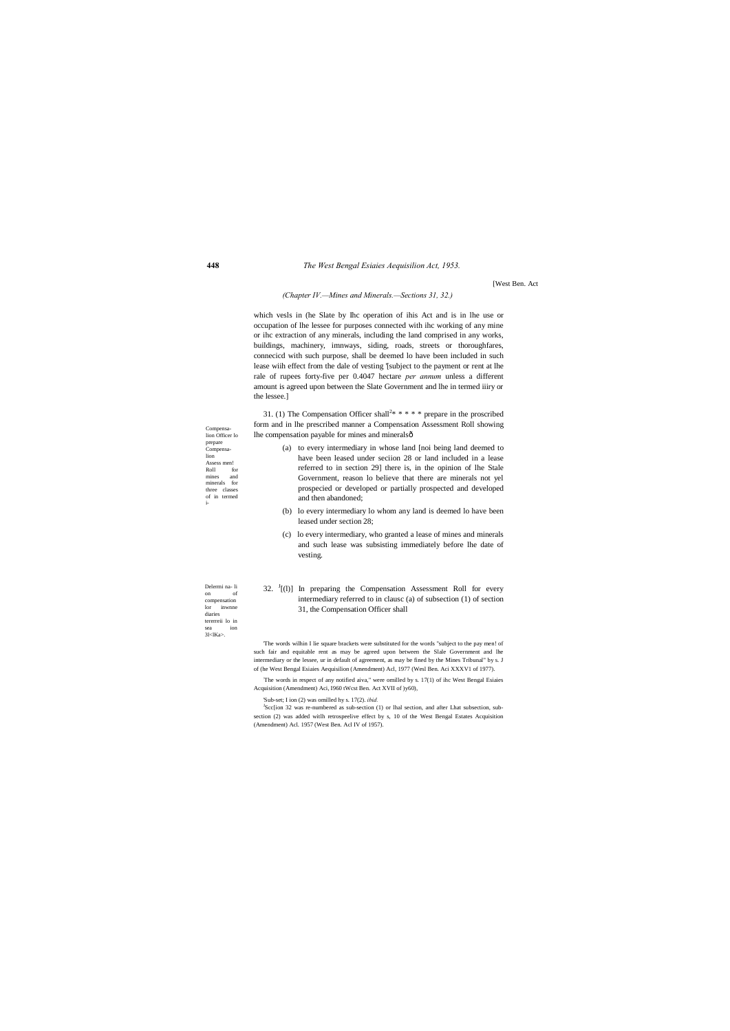#### **448** *The West Bengal Esiaies Aequisilion Act, 1953.*

on of compensation lor inwnne diaries tererreii lo in

[West Ben. Act

#### *(Chapter IV.—Mines and Minerals.—Sections 31, 32.)*

which vesls in (he Slate by Ihc operation of ihis Act and is in lhe use or occupation of lhe lessee for purposes connected with ihc working of any mine or ihc extraction of any minerals, including the land comprised in any works, buildings, machinery, imnways, siding, roads, streets or thoroughfares, connecicd with such purpose, shall be deemed lo have been included in such lease wiih effect from the dale of vesting '[subject to the payment or rent at lhe rale of rupees forty-five per 0.4047 hectare *per annum* unless a different amount is agreed upon between the Slate Government and lhe in termed iiiry or the lessee.]

Delermi na- li sea ion<br>31<lKa>. Compensalion Officer lo prepare Compensalion Assess men! Roll for mines and minerals for three classes of in termed i- 31. (1) The Compensation Officer shall<sup>2\*</sup> \* \* \* \* prepare in the proscribed form and in lhe prescribed manner a Compensation Assessment Roll showing lhe compensation payable for mines and minerals— (a) to every intermediary in whose land [noi being land deemed to have been leased under seciion 28 or land included in a lease referred to in section 29] there is, in the opinion of lhe Stale Government, reason lo believe that there are minerals not yel prospecied or developed or partially prospected and developed and then abandoned; (b) lo every intermediary lo whom any land is deemed lo have been leased under section 28; (c) lo every intermediary, who granted a lease of mines and minerals and such lease was subsisting immediately before lhe date of vesting. 32.  $J$ [(1)] In preparing the Compensation Assessment Roll for every intermediary referred to in clausc (a) of subsection (1) of section 31, the Compensation Officer shall 'The words wilhin I lie square brackets were substituted for the words "subject to the pay men! of such fair and equitable rent as may be agreed upon between the Slale Government and lhe intermediary or the lessee, ur in default of agreement, as may be fined by the Mines Tribunal" by s. J of (he West Bengal Esiaies Aequisilion (Amendment) Acl, 1977 (Wesl Ben. Aci XXXV1 of 1977). : The words in respect of any notified aiva," were omilled by s. 17(1) of ihc West Bengal Esiaies Acquisition (Amendment) Aci, I960 tWcst Ben. Act XVII of )y60), 'Sub-set; I ion (2) was omilled hy s. 17(2). *ibid.*

> <sup>J</sup>Scc[ion 32 was re-numbered as sub-section (1) or lhal section, and after Lhat subsection, subsection (2) was added witlh retrospeelive effect by s, 10 of the West Bengal Estates Acquisition (Amendment) Acl. 1957 (West Ben. Acl IV of 1957).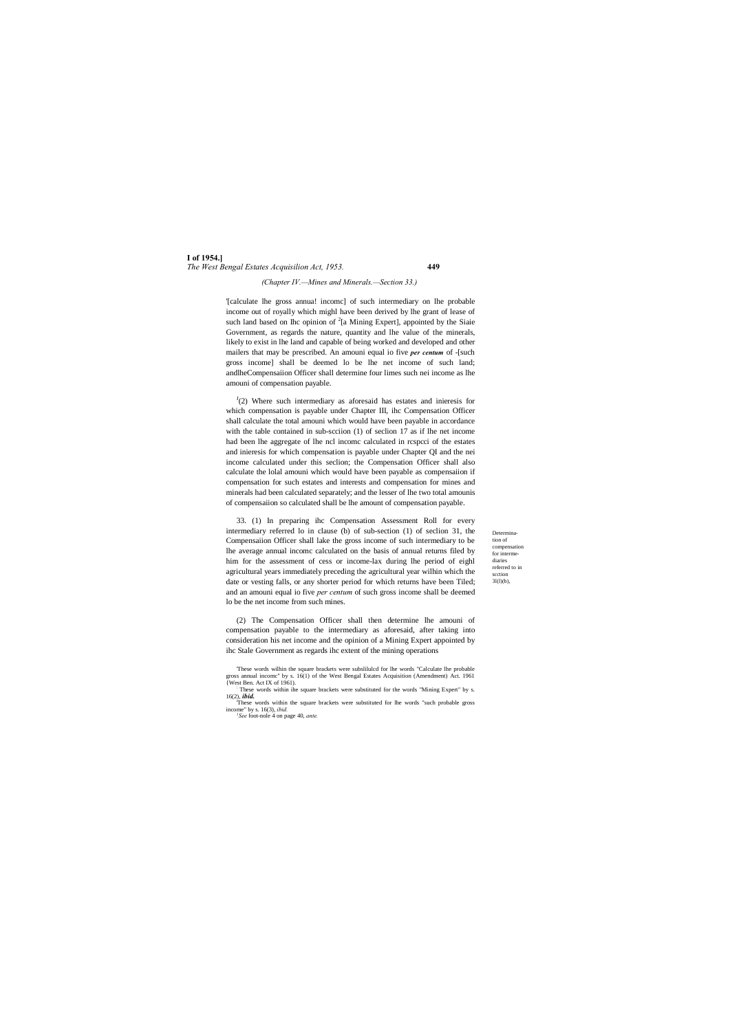**I of 1954.]** *The West Bengal Estates Acquisilion Act, 1953.* **449**

> Determination of compensation for intermediaries referred to in scction 3l(l)(b),

#### *(Chapter IV.—Mines and Minerals.—Section 33.)*

'[calculate lhe gross annua! incomc] of such intermediary on lhe probable income out of royally which mighl have been derived by lhe grant of lease of such land based on Ihc opinion of  $2$ [a Mining Expert], appointed by the Siaie Government, as regards the nature, quantity and lhe value of the minerals, likely to exist in lhe land and capable of being worked and developed and other mailers that may be prescribed. An amouni equal io five *per centum* of -[such gross income] shall be deemed lo be lhe net income of such land; andlheCompensaiion Officer shall determine four limes such nei income as lhe amouni of compensation payable.

 $J(2)$  Where such intermediary as aforesaid has estates and inieresis for which compensation is payable under Chapter III, ihc Compensation Officer shall calculate the total amouni which would have been payable in accordance with the table contained in sub-scciion (1) of seclion 17 as if lhe net income had been lhe aggregate of lhe ncl incomc calculated in rcspcci of the estates and inieresis for which compensation is payable under Chapter QI and the nei income calculated under this seclion; the Compensation Officer shall also calculate the lolal amouni which would have been payable as compensaiion if compensation for such estates and interests and compensation for mines and minerals had been calculated separately; and the lesser of lhe two total amounis of compensaiion so calculated shall be lhe amount of compensation payable.

33. (1) In preparing ihc Compensation Assessment Roll for every intermediary referred lo in clause (b) of sub-section (1) of seclion 31, the Compensaiion Officer shall lake the gross income of such intermediary to be lhe average annual incomc calculated on the basis of annual returns filed by him for the assessment of cess or income-lax during lhe period of eighl agricultural years immediately preceding the agricultural year wilhin which the date or vesting falls, or any shorter period for which returns have been Tiled; and an amouni equal io five *per centum* of such gross income shall be deemed lo be the net income from such mines.

(2) The Compensation Officer shall then determine lhe amouni of compensation payable to the intermediary as aforesaid, after taking into consideration his net income and the opinion of a Mining Expert appointed by ihc Stale Government as regards ihc extent of the mining operations

<sup>&#</sup>x27;These words wilhin the square brackets were subslilulcd for lhe words "Calculate lhe probable gross annual incomc'' by s. 16(1) of the West Bengal Estates Acquisition (Amendment) Act. 1961 {West Ben. Act IX of 1961). : These words within ihe square brackets were substituted for the words "Mining Expert" by s.

<sup>16(2),</sup> *ibid.*

<sup>&#</sup>x27;These words within the square brackets were substituted for lhe words "such probable gross income" by s. 16(3), *ibid. <sup>1</sup> See* foot-nole 4 on page 40, *ante.*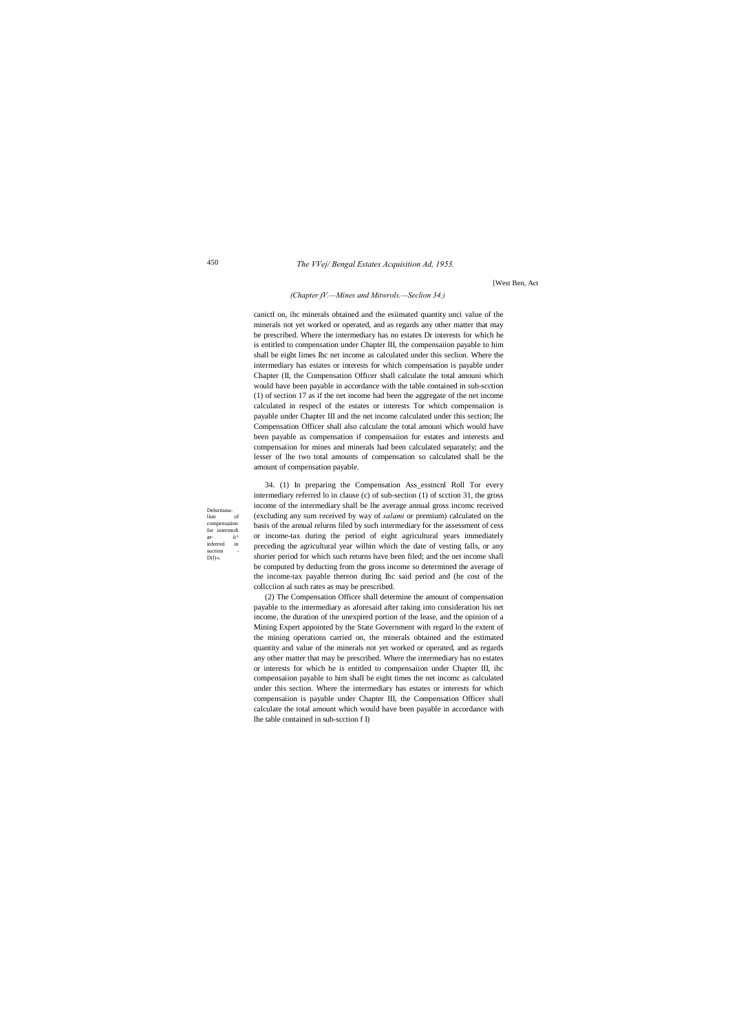*The VVej/ Bengal Estates Acquisition Ad, 1953.*

Delurnuna- $_{\rm{liun}}$ compensaiion for iniermed ar-<br>inferred in inferred suction  $D(1)$ «.

450

[West Ben, Act

#### *(Chapter fV.—Mines and Mitwrols.—Seclion 34.)*

canictl on, ihc minerals obtained and the esiimated quantity unci value of the minerals not yet worked or operated, and as regards any other matter that may be prescribed. Where the intermediary has no estates Dr interests for which he is entitled to compensation under Chapter III, the compensaiion payable to him shall be eight limes Ihc net income as calculated under this seclion. Where the intermediary has estates or interests for which compensation is payable under Chapter (II, the Compensation Officer shall calculate the total amouni which would have been payable in accordance with the table contained in sub-scction (1) of section 17 as if the net income had been the aggregate of the net income calculated in respecl of the estates or interests Tor which compensaiion is payable under Chapter III and the net income calculated under this section; lhe Compensation Officer shall also calculate the total amouni which would have been payable as compensation if compensaiion for estates and interests and compensaiion for mines and minerals had been calculated separately; and the lesser of lhe two total amounts of compensation so calculated shall be the amount of compensation payable.

34. (1) In preparing the Compensation Ass\_esstncnl Roll Tor every intermediary referred lo in clause (c) of sub-section (1) of scction 31, the gross income of the intermediary shall be lhe average annual gross incomc received (excluding any sum received by way of *salami* or premium) calculated on the basis of the annual relurns filed by such intermediary for the assessment of cess or income-tax during the period of eight agricultural years immediately preceding the agricultural year wilhin which the date of vesting falls, or any shorter period for which such returns have been filed; and the net income shall be computed by deducting from the gross income so determined the average of the income-tax payable thereon during Ihc said period and (he cost of the collcciion al such rates as may be prescribed.

(2) The Compensation Officer shall determine the amount of compensation payable to the intermediary as aforesaid after taking into consideration his net income, the duration of the unexpired portion of the lease, and the opinion of a Mining Expert appointed by the State Government with regard lo the extent of the mining operations carried on, the minerals obtained and the estimated quantity and value of the minerals not yet worked or operated, and as regards any other matter that may be prescribed. Where the intermediary has no estates or interests for which he is entitled to compensaiion under Chapter III, ihc compensaiion payable to him shall be eight times the net incomc as calculated under this section. Where the intermediary has estates or interests for which compensaiion is payable under Chapter III, the Compensation Officer shall calculate the total amount which would have been payable in accordance with lhe table contained in sub-scction f I)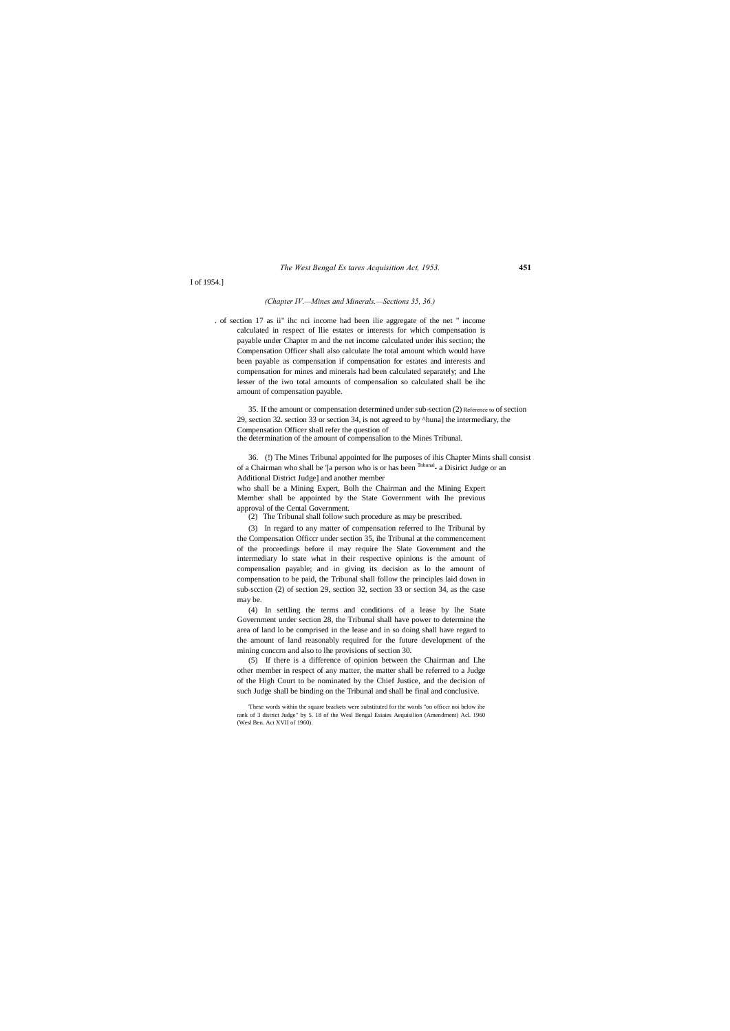*The West Bengal Es tares Acquisition Act, 1953.* **451**

I of 1954.]

#### *(Chapter IV.—Mines and Minerals.—Sections 35, 36.)*

. of section 17 as ii" ihc nci income had been ilie aggregate of the net " income calculated in respect of llie estates or interests for which compensation is payable under Chapter m and the net income calculated under ihis section; the Compensation Officer shall also calculate lhe total amount which would have been payable as compensation if compensation for estates and interests and compensation for mines and minerals had been calculated separately; and Lhe lesser of the iwo total amounts of compensalion so calculated shall be ihc amount of compensation payable.

35. If the amount or compensation determined under sub-section (2) Reference to of section 29, section 32. section 33 or section 34, is not agreed to by ^huna] the intermediary, the Compensation Officer shall refer the question of the determination of the amount of compensalion to the Mines Tribunal.

36. (!) The Mines Tribunal appointed for lhe purposes of ihis Chapter Mints shall consist of a Chairman who shall be '[a person who is or has been Tnbunal- a Disirict Judge or an Additional District Judge] and another member

who shall be a Mining Expert, Bolh the Chairman and the Mining Expert Member shall be appointed by the State Government with lhe previous approval of the Cental Government.

(2) The Tribunal shall follow such procedure as may be prescribed.

(3) In regard to any matter of compensation referred to lhe Tribunal by the Compensation Officcr under section 35, ihe Tribunal at the commencement of the proceedings before il may require lhe Slate Government and the intermediary lo state what in their respective opinions is the amount of compensalion payable; and in giving its decision as lo the amount of compensation to be paid, the Tribunal shall follow the principles laid down in sub-scction (2) of section 29, section 32, section 33 or section 34, as the case may be.

(4) In settling the terms and conditions of a lease by lhe State Government under section 28, the Tribunal shall have power to determine the area of land lo be comprised in the lease and in so doing shall have regard to the amount of land reasonably required for the future development of the mining conccrn and also to lhe provisions of section 30.

(5) If there is a difference of opinion between the Chairman and Lhe other member in respect of any matter, the matter shall be referred to a Judge of the High Court to be nominated by the Chief Justice, and the decision of such Judge shall be binding on the Tribunal and shall be final and conclusive.

'These words within the square brackets were substituted for the words "on officcr noi below ihe rank of 3 district Judge" by 5. 18 of the Wesl Bengal Esiaies Aequisilion (Amendment) Acl. 1960 (Wesl Ben. Act XVII of 1960).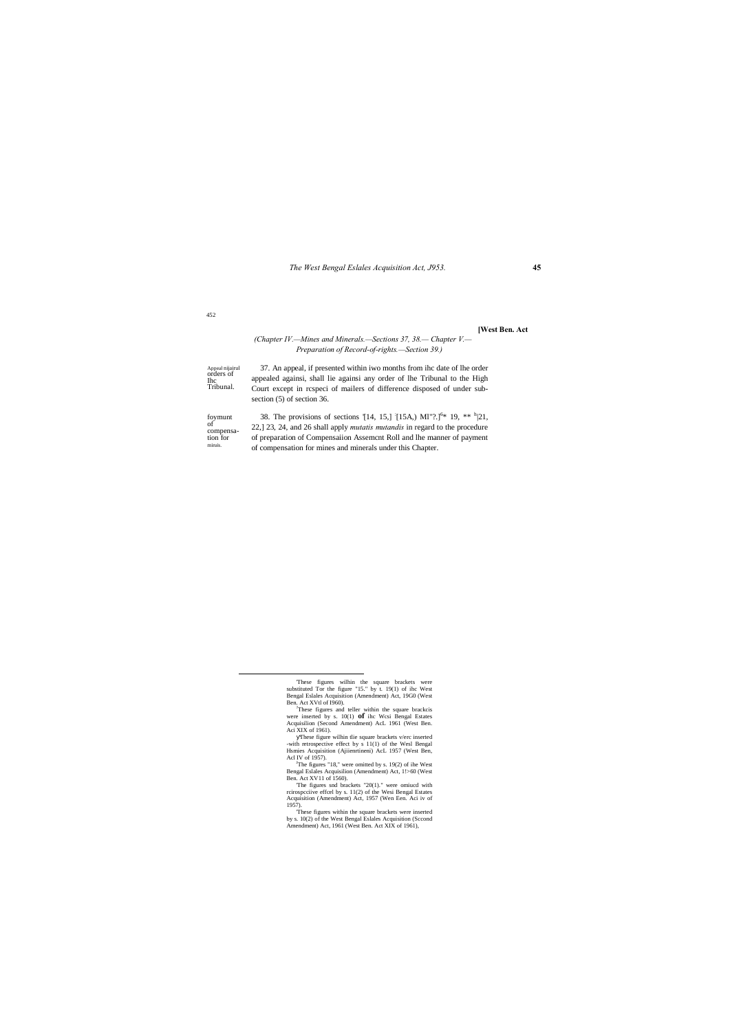*The West Bengal Eslales Acquisition Act, J953.* **45**

### 452

#### **[West Ben. Act**

#### Appeal nijairul orders of Ihc Tribunal. foymunt of compensa- tion for miruis. *(Chapter IV.—Mines and Minerals.—Sections 37, 38.— Chapter V.— Preparation of Record-of-rights.—Section 39.)* 37. An appeal, if presented within iwo months from ihc date of lhe order appealed againsi, shall lie againsi any order of lhe Tribunal to the High Court except in rcspeci of mailers of difference disposed of under subsection (5) of section 36. 38. The provisions of sections [14, 15,]  $[15A, M1"$ ?.]<sup>6\*</sup> 19, \*\* <sup>h</sup>|21, 22,] 23, 24, and 26 shall apply *mutatis mutandis* in regard to the procedure of preparation of Compensaiion Assemcnt Roll and lhe manner of payment of compensation for mines and minerals under this Chapter.

'The figures snd brackets "20(1)." were omiucd with rcirospcciive effcel by s. 11(2) of the Wesi Bengal Estates Acquisition (Amendment) Act, 1957 (Wen Een. Aci iv of 1957).

'These figures within the square brackets were inserted by s. 10(2) of the West Bengal Eslales Acquisition (Sccond Amendment) Act, 1961 (West Ben. Act XIX of 1961),

These figures wilhin the square brackets were substituted Tor the figure "15." by t. 19(1) of ihc West Bengal Eslales Acquisition (Amendment) Act, 19G0 (West

Ben. Act XVtl of I960). ? These figures and teller within the square brackcis were inserted by s. 10(1) **of** ihc Wcsi Bengal Estates Acquisilion (Second Amendment) AcL 1961 (West Ben. Aci XIX of 1961).

These figure wilhin tlie square brackets v/erc inserted -with retrospective effect by s 11(1) of the Wesl Bengal Hsmies Acquisition (Ajiienrtineni) AcL 1957 (West Ben,

Acl IV of 1957).<br><sup>J</sup>The figures "18," were omitted by s. 19(2) of ihe West<br>Bengal Eslales Acquisilion (Amendment) Act, 1!>60 (West Act XV11 of 1560).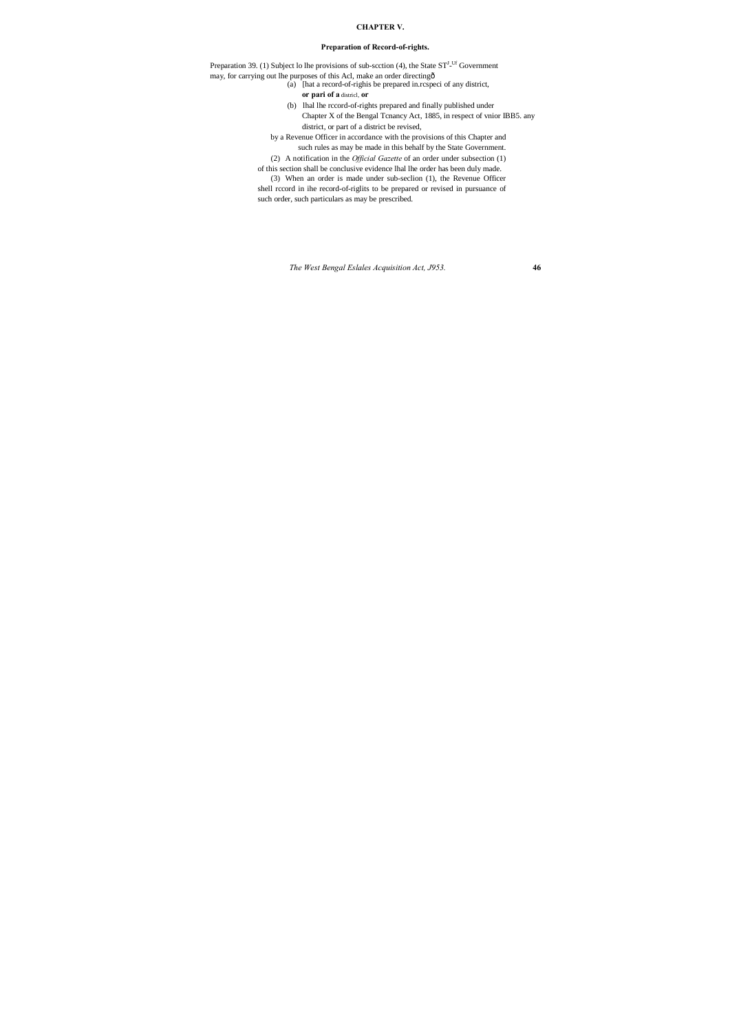*The West Bengal Eslales Acquisition Act, J953.* **46**

### **CHAPTER V.**

### **Preparation of Record-of-rights.**

Preparation 39. (1) Subject lo lhe provisions of sub-scction (4), the State  $ST^{J_U(f)}$  Government may, for carrying out lhe purposes of this Acl, make an order directing—

(a) [hat a record-of-righis be prepared in.rcspeci of any district, **or pari of a** districl, **or**

(b) lhal lhe rccord-of-rights prepared and finally published under Chapter X of the Bengal Tcnancy Act, 1885, in respect of vnior IBB5. any district, or part of a district be revised,

by a Revenue Officer in accordance with the provisions of this Chapter and such rules as may be made in this behalf by the State Government.

(2) A notification in the *Official Gazette* of an order under subsection (1) of this section shall be conclusive evidence lhal lhe order has been duly made.

(3) When an order is made under sub-seclion (1), the Revenue Officer shell rccord in ihe record-of-riglits to be prepared or revised in pursuance of such order, such particulars as may be prescribed.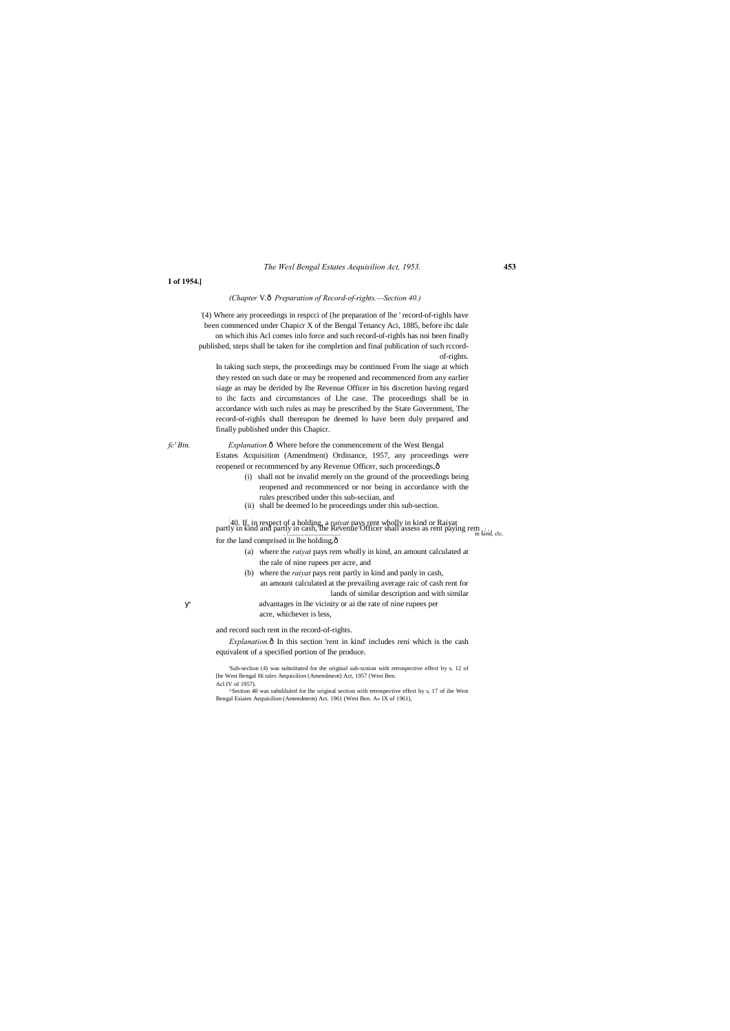#### *The Wesl Bengal Estates Aequisilion Act, 1953.* **453**

#### **I of 1954.]**

#### *(Chapter* V.—*Preparation of Record-of-rights.—Section 40.)*

'(4) Where any proceedings in respcci of (he preparation of lhe ' record-of-righls have been commenced under Chapicr X of the Bengal Tenancy Aci, 1885, before ihc dale on which ihis Acl comes inlo force and such record-of-righls has noi been finally published, steps shall be taken for ihe completion and final publication of such rccordof-rights.

In taking such steps, the proceedings may be continued From lhe siage at which they rested on such date or may be reopened and recommenced from any earlier siage as may be derided by lhe Revenue Officer in his discretion having regard to ihc facts and circumstances of Lhe case. The proceedings shall be in accordance with such rules as may be prescribed by the State Government, The record-of-righls shall thereupon be deemed lo have been duly prepared and finally published under this Chapicr.

*fc' Btn. Explanation.* $\hat{\text{o}}$  Where before the commencement of the West Bengal Estates Acquisition (Amendment) Ordinance, 1957, any proceedings were reopened or recommenced by any Revenue Officer, such proceedings, $\hat{o}$ 

> *Explanation.* $\hat{o}$  In this section 'rent in kind' includes reni which is the cash equivalent of a specified portion of lhe produce.

- (i) shall not be invalid merely on the ground of the proceedings being reopened and recommenced or nor being in accordance with the rules prescribed under this sub-seciian, and
- (ii) shall be deemed lo be proceedings under this sub-section.

40. If, in respect of a holding, a *raivat* pays rent wholly in kind or Raiyat partly in kind and partly in cash, the Revenue Officer shall assess as rent paying rem  $\ldots$ ; for the land comprised in lhe holding, $\hat{o}$ 

- (a) where the *raiyat* pays rem wholly in kind, an amount calculated at the rale of nine rupees per acre, and
- (b) where the *raiyat* pays rent partly in kind and panly in cash, an amount calculated at the prevailing average raic of cash rent for lands of similar description and with similar
	- advantages in lhe vicinity or ai the rate of nine rupees per acre, whichever is less,

and record such rent in the record-of-rights.

'Sub-seclion (4) was substituted for the original sub-scnion with retrospective effect by s. 12 of [he West Bengal Hi tales Aequisilion (Amendment) Act, 1957 (West Ben. Acl IV of 1957).

^Section 40 was subsliluled for lhe original section wiih retrospective effect by s, 17 of ihe West Bengal Esiaies Aequisilion (Amendmem) Act. 1961 (West Ben. A« IX of 1961),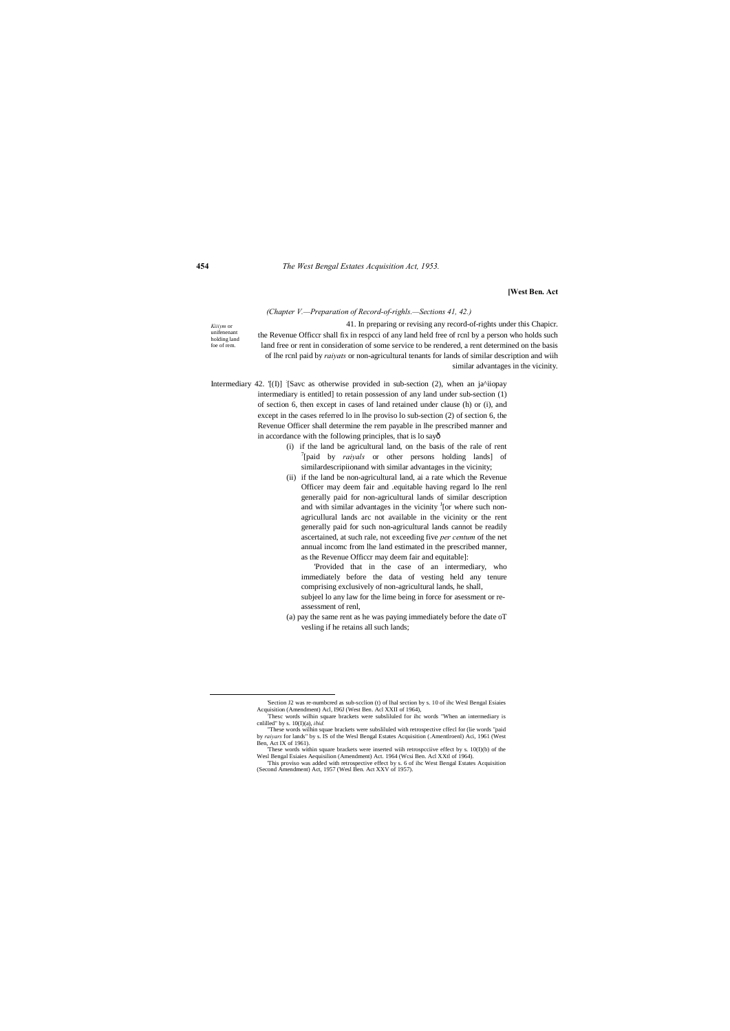#### **454** *The West Bengal Estates Acquisition Act, 1953.*

#### **[West Ben. Act**

#### *(Chapter V.—Preparation of Record-of-righls.—Sections 41, 42.)*

*Kiiiym* or unifenenan holding land foe of rem. 41. In preparing or revising any record-of-rights under this Chapicr. the Revenue Officcr shall fix in respcci of any land held free of rcnl by a person who holds such land free or rent in consideration of some service to be rendered, a rent determined on the basis of lhe rcnl paid by *raiyats* or non-agricultural tenants for lands of similar description and wiih similar advantages in the vicinity.

Intermediary 42. [(I)] [Savc as otherwise provided in sub-section (2), when an ja^iiopay intermediary is entitled] to retain possession of any land under sub-section (1) of section 6, then except in cases of land retained under clause (h) or (i), and except in the cases referred lo in lhe proviso lo sub-section (2) of section 6, the Revenue Officer shall determine the rem payable in lhe prescribed manner and in accordance with the following principles, that is lo sayô

- (i) if the land be agricultural land, on the basis of the rale of rent 7 [paid by *raiyals* or other persons holding lands] of similardescripiionand with similar advantages in the vicinity;
- (ii) if the land be non-agricultural land, ai a rate which the Revenue Officer may deem fair and .equitable having regard lo lhe renl generally paid for non-agricultural lands of similar description and with similar advantages in the vicinity  $\frac{1}{1}$  [or where such nonagricullural lands arc not available in the vicinity or the rent generally paid for such non-agricultural lands cannot be readily ascertained, at such rale, not exceeding five *per centum* of the net annual incomc from lhe land estimated in the prescribed manner, as the Revenue Officcr may deem fair and equitable]:

'Provided that in the case of an intermediary, who immediately before the data of vesting held any tenure comprising exclusively of non-agricultural lands, he shall, subjeel lo any law for the lime being in force for asessment or reassessment of renl,

(a) pay the same rent as he was paying immediately before the date oT vesling if he retains all such lands;

<sup>&</sup>quot;These words wilhin squae brackets were subsliluled with retrospective cffecl for (lie words "paid by *raiyars* for lands" by s. IS of the Wesl Bengal Estates Acquisition (.Amentlroenl) Aci, 1961 (West Ben, Act IX of 1961).

 <sup>&#</sup>x27;Section J2 was re-numbcred as sub-scclion (t) of lhal section by s. 10 of ihc Wesl Bengal Esiaies Acquisition (Amendment) Acl, I96J (West Ben. Acl XXII of 1964), :

Thesc words wilhin square brackets were subsliluled for ihc words "When an intermediary is cnlilled" by s. 10(I)(a), *ibid.*

<sup>&#</sup>x27;These words within square brackets were inserted wiih retrospcciive effect by s. 10(I)(b) of the Wesl Bengal Esiaies Aequisilion (Amendment) Act. 1964 (Wcsi Ben. Acl XXtl of 1964).

<sup>&#</sup>x27;This proviso was added with retrospective effect by s. 6 of ihc West Bengal Estates Acquisition (Second Amendment) Act, 1957 (Wesl Ben. Act XXV of 1957).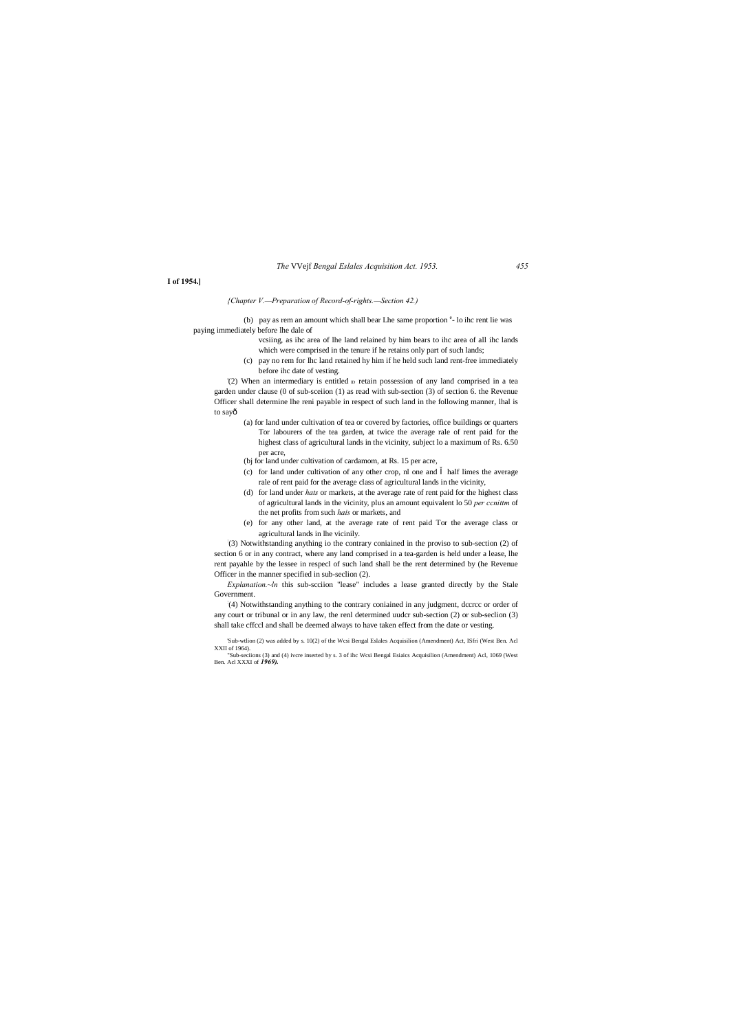#### *The* VVejf *Bengal Eslales Acquisition Act. 1953. 455*

#### **I of 1954.]**

#### *{Chapter V.—Preparation of Record-of-rights.—Section 42.)*

(b) pay as rem an amount which shall bear Lhe same proportion  $e$ - lo ihc rent lie was paying immediately before lhe dale of

- vcsiing, as ihc area of lhe land relained by him bears to ihc area of all ihc lands which were comprised in the tenure if he retains only part of such lands;
- (c) pay no rem for Ihc land retained hy him if he held such land rent-free immediately before ihc date of vesting.

'(2) When an intermediary is entitled  $D$  retain possession of any land comprised in a tea garden under clause (0 of sub-sceiion (1) as read with sub-section (3) of section 6. the Revenue Officer shall determine lhe reni payable in respect of such land in the following manner, lhal is to sayô

*Explanation.~ln* this sub-scciion "lease" includes a lease granted directly by the Stale Government.

- (a) for land under cultivation of tea or covered by factories, office buildings or quarters Tor labourers of the tea garden, at twice the average rale of rent paid for the highest class of agricultural lands in the vicinity, subject lo a maximum of Rs. 6.50 per acre,
- (bj for land under cultivation of cardamom, at Rs. 15 per acre,
- (c) for land under cultivation of any other crop, nl one and half limes the average rale of rent paid for the average class of agricultural lands in the vicinity,
- (d) for land under *hats* or markets, at the average rate of rent paid for the highest class of agricultural lands in the vicinity, plus an amount equivalent lo 50 *per ccnittm* of the net profits from such *hais* or markets, and
- (e) for any other land, at the average rate of rent paid Tor the average class or agricultural lands in lhe vicinily.

: (3) Notwithstanding anything io the contrary coniained in the proviso to sub-section (2) of section 6 or in any contract, where any land comprised in a tea-garden is held under a lease, lhe rent payahle by the lessee in respecl of such land shall be the rent determined by (he Revenue Officer in the manner specified in sub-seclion (2).

: (4) Notwithstanding anything to the contrary coniained in any judgment, dccrcc or order of any court or tribunal or in any law, the renl determined uudcr sub-section (2) or sub-seclion (3) shall take cffccl and shall be deemed always to have taken effect from the date or vesting.

'Sub-wtlion (2) was added by s. 10(2) of the Wcsi Bengal Eslales Acquisilion (Amendment) Act, ISfri (West Ben. Acl XXII of 1964).

"Sub-seciions (3) and (4) ivcre inserted by s. 3 of ihc Wcsi Bengal Esiaics Acquisilion (Amendment) Acl, 1069 (West Ben. Acl XXXI of *1969).*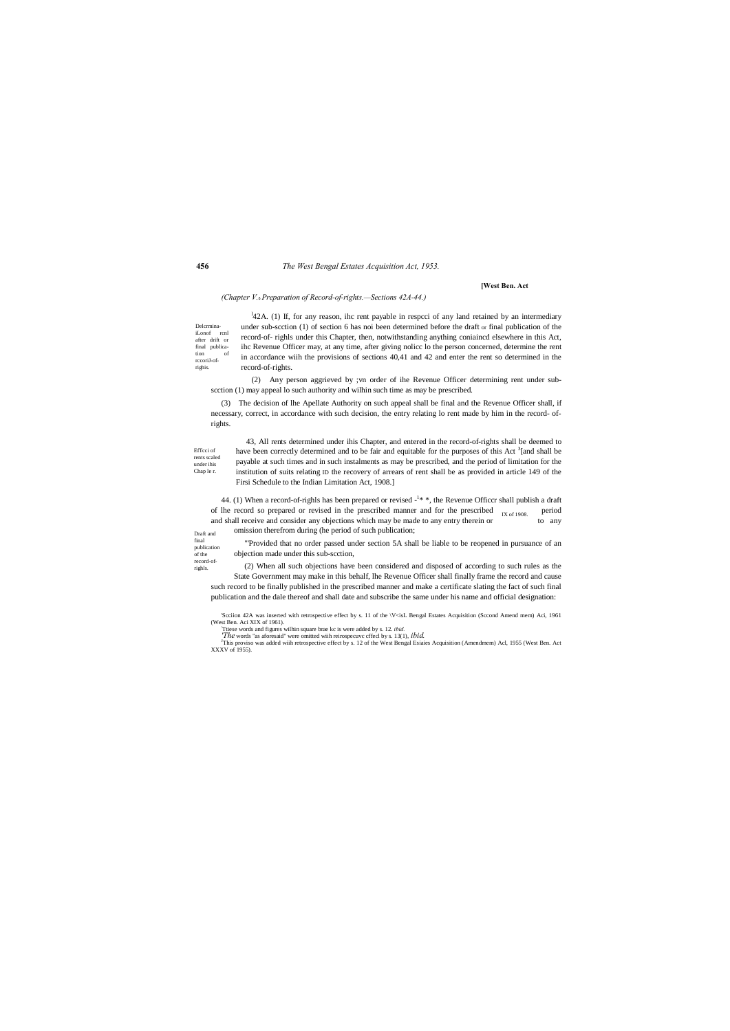#### **456** *The West Bengal Estates Acquisition Act, 1953.*

Draft and final publication of the record-of-

righls.

#### **[West Ben. Act**

#### *(Chapter V.*—*Preparation of Record-of-rights.—Sections 42A-44.)*

DelcrminaiLonof rcnl after drift or final publication of rccoriJ-ofrighis.  $\frac{1}{4}$ 2A. (1) If, for any reason, ihc rent payable in respeci of any land retained by an intermediary under sub-scction (1) of section 6 has noi been determined before the draft or final publication of the record-of- righls under this Chapter, then, notwithstanding anything coniaincd elsewhere in this Act, ihc Revenue Officer may, at any time, after giving nolicc lo the person concerned, determine the rent in accordance wiih the provisions of sections 40,41 and 42 and enter the rent so determined in the record-of-rights.

EfTcci of rents scaled under ihis Chap le r. 43, All rents determined under ihis Chapter, and entered in the record-of-rights shall be deemed to have been correctly determined and to be fair and equitable for the purposes of this Act <sup>3</sup>[and shall be payable at such times and in such instalments as may be prescribed, and the period of limitation for the institution of suits relating ID the recovery of arrears of rent shall be as provided in article 149 of the Firsi Schedule to the Indian Limitation Act, 1908.]

(2) Any person aggrieved by ;vn order of ihe Revenue Officer determining rent under subscction (1) may appeal lo such authority and wilhin such time as may be prescribed.

IX of 1908. 44. (1) When a record-of-righls has been prepared or revised -<sup>1\*</sup>, the Revenue Officcr shall publish a draft of lhe record so prepared or revised in the prescribed manner and for the prescribed  $_{\text{IV of 1008}}$  period and shall receive and consider any objections which may be made to any entry therein or to any omission therefrom during (he period of such publication;

(3) The decision of lhe Apellate Authority on such appeal shall be final and the Revenue Officer shall, if necessary, correct, in accordance with such decision, the entry relating lo rent made by him in the record- ofrights.

The words "as aforesaid" were omitted wiih reirospecuvc cffecl by s. 13(1), *ibid*.<br><sup>J</sup>This proviso was added wiih retrospective effect by s. 12 of the West Bengal Esiaies Acquisition (Amendmem) Acl, 1955 (West Ben. Act XXXV of 1955).

"'Provided that no order passed under section 5A shall be liable to be reopened in pursuance of an objection made under this sub-scction,

(2) When all such objections have been considered and disposed of according to such rules as the State Government may make in this behalf, lhe Revenue Officer shall finally frame the record and cause such record to be finally published in the prescribed manner and make a certificate slating the fact of such final publication and the dale thereof and shall date and subscribe the same under his name and official designation:

'Scciion 42A was inserted with retrospective effect by s. 11 of the \V<isL Bengal Estates Acquisition (Sccond Amend mem) Aci, 1961 (West Ben. Aci XIX of 1961).<br>Ttiese words and figures wilhin square brae kc is were added by s. 12. *ibid.*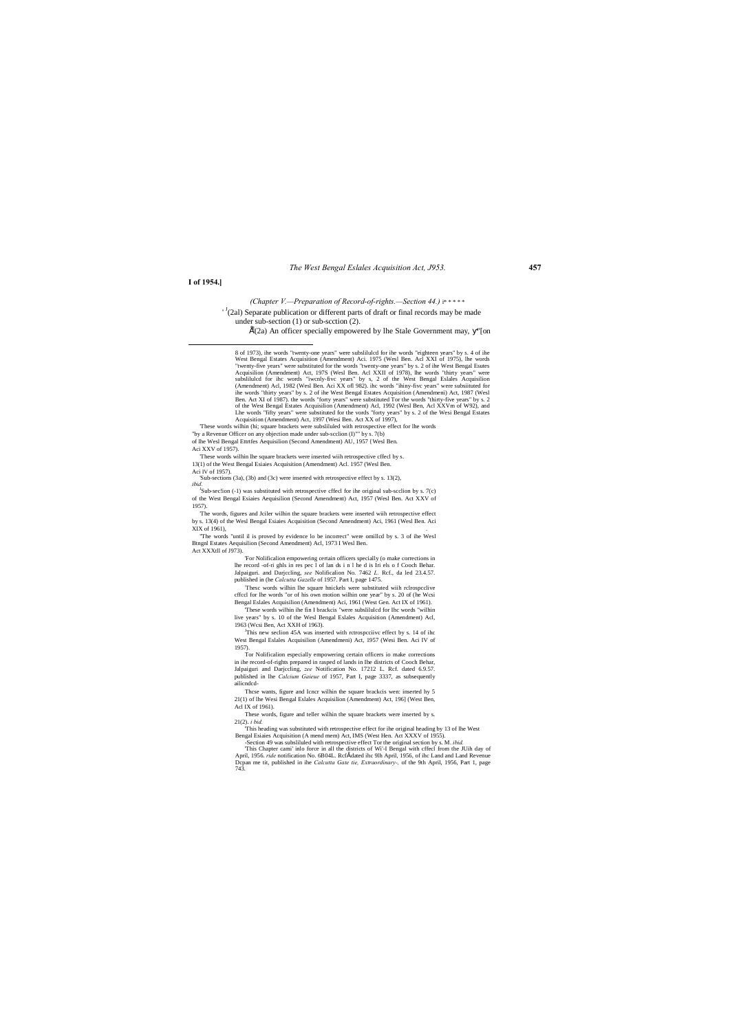#### *The West Bengal Eslales Acquisition Act, J953.* **457**

#### **I of 1954.]**

*(Chapter V.—Preparation of Record-of-rights.—Section 44.)* i\* \* \* \* \*

 $\binom{J}{2al}$  Separate publication or different parts of draft or final records may be made under sub-section (1) or sub-scction (2).

 $\hat{E}$ (2a) An officer specially empowered by lhe Stale Government may, "[on

 $J<sup>J</sup>$ Sub-sec!ion (-1) was substituted with retrospective cffecl for ihe original sub-seclion by s. 7(c) of the West Bengal Esiaies Aequisilion (Second Amendment) Act, 1957 (Wesl Ben. Act XXV of 1957).

'The words, figures and Jciler wilhin the square brackets were inserted wiih retrospective effect by s. 13(4) of the Wesl Bengal Esiaies Acquisition (Second Amendment) Aci, 1961 (Wesl Ben. Aci XIX of 1961),

"The words "until il is proved by evidence lo be incorrect" were omilled by s. 3 of ihe Wesl Btngnl Estates Aequisilion (Second Amendment) Acl, 1973 I Wesl Ben. Act XXXtll of J973).

'These words wilhin (hi; square brackets were subsliluled with retrospective effect for lhe words

"by a Revenue Officer on any objection made under sub-scclion (I)"" by s. 7(b) of lhe Wesl Bengal Ettrtfes Aequisilion (Second Amendment) AU, 1957 {Wesl Ben.

Aci XXV of 1957).

'These words wilhin lhe square brackets were inserted wiih retrospective cffecl by s.

<sup>J</sup>This new seclion 45A was inserted with rctrospcciivc effect by s. 14 of ihc West Bengal Eslales Acquisilion (Amendmeni) Act, 1957 (Wesi Ben. Aci IV of 1957).

13(1) of the West Bengal Esiaies Acquisition (Amendment) Acl. 1957 (Wesl Ben.

Aci IV of 1957). 'Sub-sections (3a), (3b) and (3c) were inserted with retrospective effect by s. 13(2), *ibid.*

> 'For Nolificalion empowering certain officers specially (o make corrections in lhe record -of-ri ghls in res pec l of lan ds i n l he d is Iri els o f Cooch Behar. Jalpaiguri. and Darjccling, *see* Nolificalion No. 7462 *L.* Rcf., da led 23.4.57. published in (he *Calcutta Gazelle* of 1957. Part I, page 1475.

> : Thesc words wilhin lhe square hnickels were substituted wiih rclrospcclive cffccl for lhe words "or of his own motion wilhin one year" by s. 20 of (he Wcsi Bengal Eslales Acquisilion (Amendment) Aci, 1961 (West Gen. Act IX of 1961).

> 'These words wilhin ihe fin I brackcis "were subslilulcd for Ihc words "wilhin live years" by s. 10 of the Wesl Bengal Eslales Acquisition (Amendment) Acl, 1963 (Wcsi Ben, Act XXH of 1963).

> Tor Nolificalion especially empowering certain officers io make corrections in ihe record-of-rights prepared in rasped of lands in Ihe districts of Cooch Behar, Jalpaiguri and Darjccling, *zee* Notification No. 17212 L. Rcf. dated 6.9.57. published in lhe *Calcium Gaieue* of 1957, Part I, page 3337, as subsequently ailicndcd-

> Thcse wants, figure and Icncr wilhin the square brackcis wen: inserted hy 5 21(1) of lhe Wesi Bengal Eslales Acquisilion (Amendment) Act, 196] (West Ben, Acl IX of 1961).

These words, figure and teller wilhin the square brackets were inserted by s. 21(2). *i bid.*

'This heading was substituted with retrospective effect for ihe original heading by 13 of lhe West Bengal Esiaies Acquisition (A mend mem) Act, IMS (West Hen. Act XXXV of 1955).

-Section 49 was subsliluled with retrospective effect Tor the original section by s. M. *ibid.* 'This Chapter cami' inlo force in all the districts of Wi'-I Bengal with cffecl from the JUih day of April, 1956. *ride* notification No. 6B04L. Rcf" dated ihc 9lh April, 1956, of ihc Land and Land Revenue Dcpan me tit, published in ihe *Calcutta Gate tie, Extraordinary-,* of the 9th April, 1956, Part 1, page 743.

 <sup>8</sup> of 1973), ihe words "twenty-one years" were subslilulcd for ihe words "eighteen years" by s. 4 of ihe West Bengal Estates Acquisition (Amendment) Aci. 1975 (Wesl Ben. Acl XXI of 1975), lhe words "twenty-five years" were substituted for the words "twenty-one years" by s. 2 of ihe West Bengal Esutes Acquisilion (Amendment) Act, 197S (Wesl Ben. Acl XXII of 1978), lhe words "thirty years" were subslilulcd for ihc words "iwcnly-fivc years" by s, 2 of the West Bengal Eslales Acquisilion (Amendment) Acl, 1982 (Wesl Ben. Aci XX ofl 982). ihc words "ihiny-fivc years" were subsiituted for ihe words "thirty years" by s. 2 of ihe West Bengal Estates Acquisition (Amendmeni) Act, 1987 (Wesl Ben. Act XI of 1987). the words "forty years" were substituted Tor the words "thirty-five years" by s. 2 of the West Bengal Estates Acquisilion (Amendment) Acl, 1992 (Wesl Ben, Acl XXVm of W92), and Lhe words "fifty years" were substituted for the vords "forty years" by s. 2 of the Wesi Bengal Estates Acquisition (Amendment) Act, 1997 (Wesi Ben. Act XX of 1997),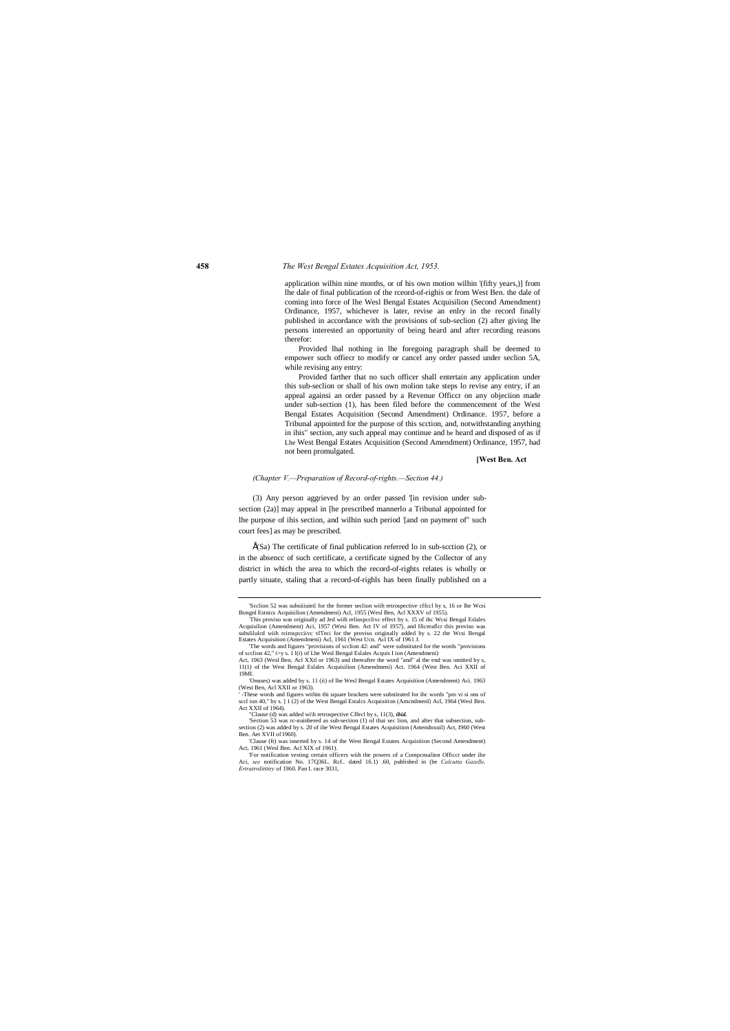#### **458** *The West Bengal Estates Acquisition Act, 1953.*

application wilhin nine months, or of his own motion wilhin '(fifty years,)] from lhe dale of final publication of the rceord-of-righis or from West Ben. the dale of coming into force of lhe Wesl Bengal Estates Acquisilion (Second Amendment) Ordinance, 1957, whichever is later, revise an enlry in the record finally published in accordance with the provisions of sub-seclion (2) after giving lhe persons interested an opportunity of being heard and after recording reasons therefor:

Provided lhal nothing in lhe foregoing paragraph shall be deemed to empower such offiecr to modify or cancel any order passed under seclion 5A, while revising any entry:

 $\hat{E}(Sa)$  The certificate of final publication referred lo in sub-scction (2), or in the absencc of such certificate, a certificate signed by the Collector of any district in which the area to which the record-of-rights relates is wholly or partly situate, staling that a record-of-righls has been finally published on a

Provided farther that no such officer shall entertain any application under this sub-seclion or shall of his own molion take steps lo revise any entry, if an appeal againsi an order passed by a Revenue Officcr on any objeciion made under sub-section (1), has been filed before the commencement of the West Bengal Estates Acquisition (Second Amendment) Ordinance. 1957, before a Tribunal appointed for the purpose of this scction, and, notwithstanding anything in ihis" section, any such appeal may continue and be heard and disposed of as if Lhe West Bengal Estates Acquisition (Second Amendment) Ordinance, 1957, had not been promulgated.

#### **[West Ben. Act**

#### *(Chapter V.—Preparation of Record-of-rights.—Section 44.)*

(3) Any person aggrieved by an order passed '[in revision under subsection (2a)] may appeal in [he prescribed mannerlo a Tribunal appointed for lhe purpose of ihis section, and wilhin such period : [and on payment of" such court fees] as may be prescribed.

 <sup>&#</sup>x27;Scclion 52 was subsiiiuieil for the former seclion wiih retrospective cffccl by s, 16 or lhe Wcsi Bongnl Estnics Acquisilion (Amendmeni) Acl, 1955 (Wesl Ben, Acl XXXV of 1955).

<sup>&#</sup>x27;Onuses) was added by s. 11 (ii) of lhe Wesl Bengal Estates Acquisition (Amendment) Aci. 1963 (West Ben, Acl XXII or 1963).

This proviso was originally ad Jed wiih reliospcclivc effect by s. 15 of ihc Wcsi Bengal Eslales Acquisilion (Amendment) Aci, 1957 (Wesi Ben. Act IV of 1957), and Ificreaflcr this proviso was subslilulcd wiih rcirospcciivc vlTeci for the proviso originally added by s. 22 the Wcsi Bengal Estates Acquisition (Amendmeni) Acl, 1961 (West Ucn. Acl IX of 1961 J.

<sup>&#</sup>x27;The words and figures "provisions of scclion 42: and" were substituted for the words "provisions of scclion 42," t>y s. 1 l(i) of Lhe Wesl Bengal Eslales Acquis I ion (Amendmeni) Act, 1963 (Wesl Ben, Acl XXtl or 1963) and thereafter the word "and" al the end was omitted by s,

<sup>11(1)</sup> of the West Bengal Eslales Acquisilion (Amendmeni) Act. 1964 (West Ben. Aci XXII of 19MI.

<sup>&#</sup>x27; -These words and figures within thi square brackets were substituted for ihc words "pro vi si ons of sccl ion 40," by s. ] 1 (2) of the West Bengal Estalcs Acquisition (Amcndmenl) Acl, 1964 (Wesl Ben. Act XXII of 1964).

<sup>&</sup>quot;Clause (d) was added wi\h retrospective Cffecl by s, 11(3), *ibid.*

<sup>&#</sup>x27;Section 53 was rc-nuinbered as sub-section (1) of thai sec lion, and after that subsection, sub-section (2) was added by s. 20 of ihe West Bengal Estates Acquisition (Amendnxuil) Act, I960 (West Ben. Aet XVII of I960).

<sup>&#</sup>x27;Clause (ft) was inserted by s. 14 of the West Bengal Estates Acquisition (Second Amendment) Act, 1961 (Wesl Ben. Acl XIX of 1961).

<sup>&#</sup>x27;For notification vesting certain officers wiih the powers of a Compcnsalinn Officcr under ihe Aci, *see* notification No. 17Q36L. Rcf.. dated 16.1) .60, published in (be *Calcutta Gazelle, Ertratrrditttiry* of 1960. Pan I. race 3031,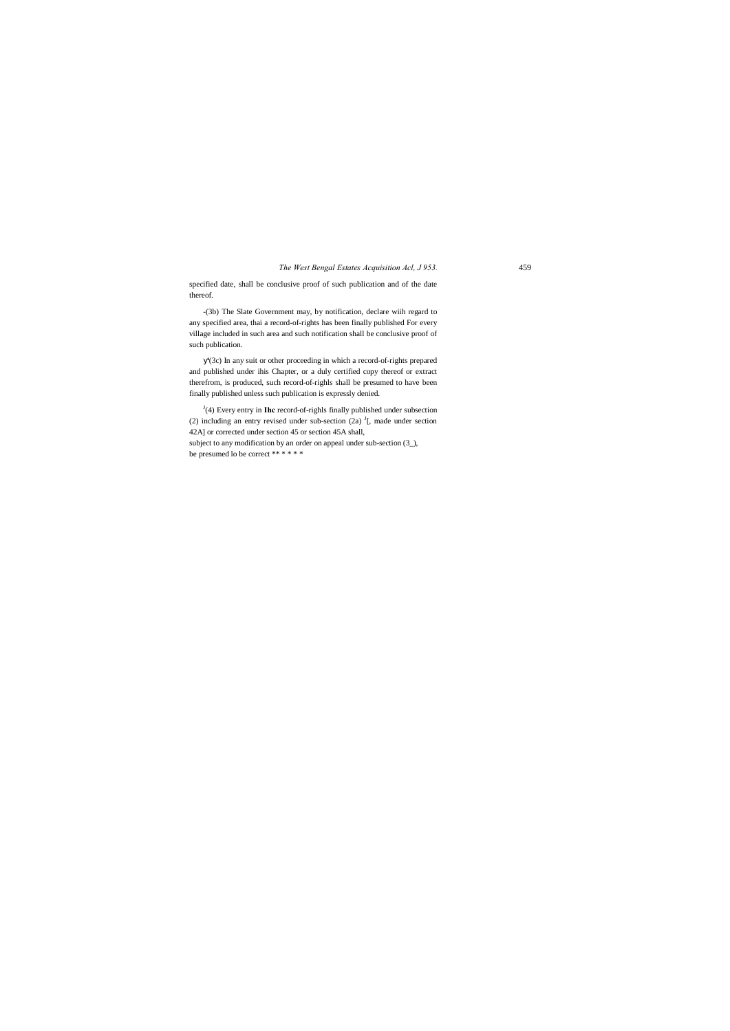#### *The West Bengal Estates Acquisition Acl, J 953.* 459

specified date, shall be conclusive proof of such publication and of the date thereof.

-(3b) The Slate Government may, by notification, declare wiih regard to any specified area, thai a record-of-rights has been finally published For every village included in such area and such notification shall be conclusive proof of such publication.

'(3c) In any suit or other proceeding in which a record-of-rights prepared and published under ihis Chapter, or a duly certified copy thereof or extract therefrom, is produced, such record-of-righls shall be presumed to have been finally published unless such publication is expressly denied.

 $J$ <sup> $J$ </sup>(4) Every entry in **Ihc** record-of-righls finally published under subsection (2) including an entry revised under sub-section (2a)  $\frac{J}{I}$ , made under section 42A] or corrected under section 45 or section 45A shall, subject to any modification by an order on appeal under sub-section (3\_), be presumed lo be correct \*\*\*\*\*\*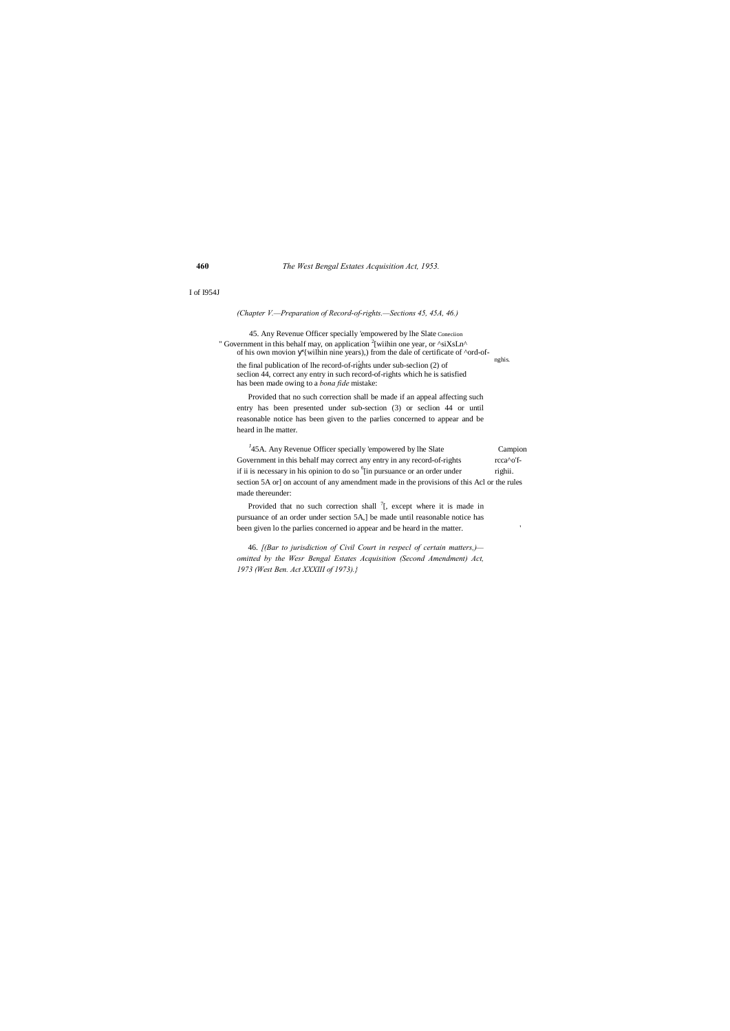**460** *The West Bengal Estates Acquisition Act, 1953.*

#### I of I954J

45. Any Revenue Officer specially 'empowered by lhe Slate Coneciion " Government in this behalf may, on application  $2$ [wiihin one year, or  $\alpha$ siXsLn $\alpha$ of his own movion '{wilhin nine years),) from the dale of certificate of  $\alpha$ ord-of-  $_{\text{nghis.}}$ 

*(Chapter V.—Preparation of Record-of-rights.—Sections 45, 45A, 46.)*

the final publication of lhe record-of-rights under sub-seclion (2) of seclion 44, correct any entry in such record-of-rights which he is satisfied has been made owing to a *bona fide* mistake:

<sup>J</sup>45A. Any Revenue Officer specially 'empowered by lhe Slate Campion Government in this behalf may correct any entry in any record-of-rights rcca^o'fif ii is necessary in his opinion to do so  $\delta$ [in pursuance or an order under righii. section 5A or] on account of any amendment made in the provisions of this Acl or the rules made thereunder:

Provided that no such correction shall be made if an appeal affecting such entry has been presented under sub-section (3) or seclion 44 or until reasonable notice has been given to the parlies concerned to appear and be heard in lhe matter.

Provided that no such correction shall  $\frac{7}{1}$ , except where it is made in pursuance of an order under section 5A,] be made until reasonable notice has been given lo the parlies concerned io appear and be heard in the matter. '

46. *[(Bar to jurisdiction of Civil Court in respecl of certain matters,) omitted by the Wesr Bengal Estates Acquisition (Second Amendment) Act, 1973 (West Ben. Act XXXIII of 1973).}*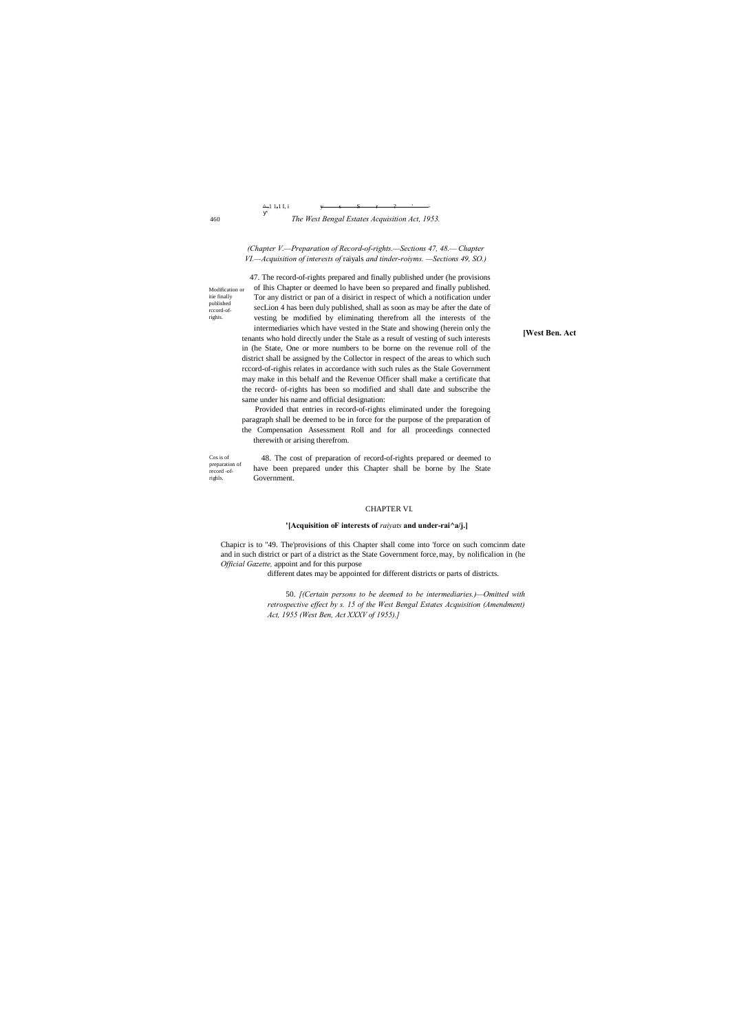**[West Ben. Act**

460

published rccord-ofrighis.

 $^{\Delta}$  -1 1,1 I, i

#### *The West Bengal Estates Acquisition Act, 1953.*

*(Chapter V.—Preparation of Record-of-rights.—Sections 47, 48.— Chapter VI.—Acquisition of interests of* raiyals *and tinder-roiyms. —Sections 49, SO.)*

Modification or itie finally 47. The record-of-rights prepared and finally published under (he provisions of Ihis Chapter or deemed lo have been so prepared and finally published. Tor any district or pan of a disirict in respect of which a notification under secLion 4 has been duly published, shall as soon as may be after the date of vesting be modified by eliminating therefrom all the interests of the intermediaries which have vested in the State and showing (herein only the

Cos is of preparation of record -ofrighls. 48. The cost of preparation of record-of-rights prepared or deemed to have been prepared under this Chapter shall be borne by lhe State Government.

tenants who hold directly under the Stale as a result of vesting of such interests in (he State, One or more numbers to be borne on the revenue roll of the district shall be assigned by the Collector in respect of the areas to which such rccord-of-righis relates in accordance with such rules as the Stale Government may make in this behalf and the Revenue Officer shall make a certificate that the record- of-rights has been so modified and shall date and subscribe the same under his name and official designation:

Provided that entries in record-of-rights eliminated under the foregoing paragraph shall be deemed to be in force for the purpose of the preparation of the Compensation Assessment Roll and for all proceedings connected therewith or arising therefrom.

#### CHAPTER VI.

#### **'[Acquisition oF interests of** *raiyats* **and under-rai^a/j.]**

Chapicr is to "49. The'provisions of this Chapter shall come into 'force on such comcinm date and in such district or part of a district as the State Government force,may, by nolificalion in (he *Official Gazette,* appoint and for this purpose

different dates may be appointed for different districts or parts of districts.

50. *[(Certain persons to be deemed to be intermediaries.)—Omitted with retrospective effect by s. 15 of the West Bengal Estates Acquisition (Amendment) Act, 1955 (West Ben, Act XXXV of 1955).]*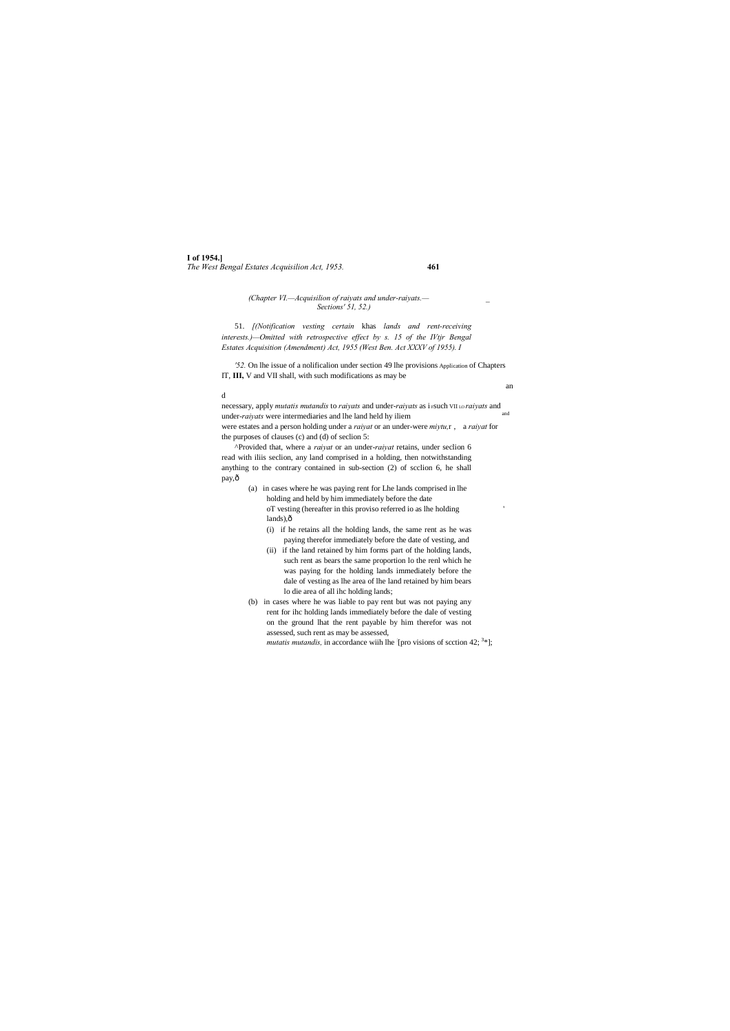### **I of 1954.]** *The West Bengal Estates Acquisilion Act, 1953.* **461**

#### *(Chapter VI.—Acquisilion of raiyats and under-raiyats.— \_ Sections' 51, 52.)*

51. *[(Notification vesting certain* khas *lands and rent-receiving interests.)—Omitted with retrospective effect by s. 15 of the IVtjr Bengal Estates Acquisition (Amendment) Act, 1955 (West Ben. Act XXXV of 1955). I*

^Provided that, where a *raiyat* or an under-*raiyat* retains, under seclion 6 read with iliis seclion, any land comprised in a holding, then notwithstanding anything to the contrary contained in sub-section (2) of scclion 6, he shall pay,ô

*'52.* On lhe issue of a nolificalion under section 49 lhe provisions Application of Chapters IT, **III,** V and VII shall, with such modifications as may be

an

#### d

(a) in cases where he was paying rent for Lhe lands comprised in lhe holding and held by him immediately before the date oT vesting (hereafter in this proviso referred io as lhe holding ' lands), $\hat{o}$ 

necessary, apply *mutatis mutandis* to *raiyats* and under-*raiyats* as i Fsuch VII LO *raiyats* and under-*raiyats* were intermediaries and lhe land held hy iliem were estates and a person holding under a *raiyat* or an under-were *miytu,*r , a *raiyat* for the purposes of clauses (c) and (d) of seclion 5:

> (i) if he retains all the holding lands, the same rent as he was paying therefor immediately before the date of vesting, and

- (ii) if the land retained by him forms part of the holding lands, such rent as bears the same proportion lo the renl which he was paying for the holding lands immediately before the dale of vesting as lhe area of lhe land retained by him bears lo die area of all ihc holding lands;
- (b) in cases where he was liable to pay rent but was not paying any rent for ihc holding lands immediately before the dale of vesting on the ground lhat the rent payable by him therefor was not assessed, such rent as may be assessed,

*mutatis mutandis,* in accordance wiih lhe [pro visions of scction 42;  $\frac{3*}{2}$ ];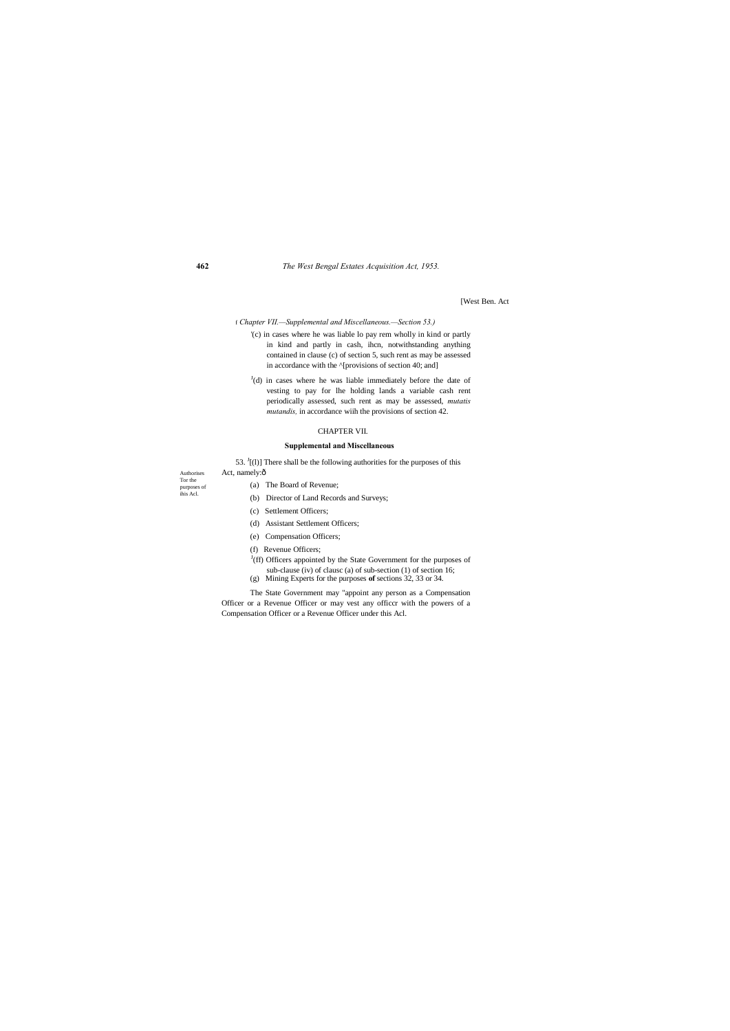**462** *The West Bengal Estates Acquisition Act, 1953.*

Authorises Tor the purposes of ihis Acl. [West Ben. Act

f *Chapter VII.—Supplemental and Miscellaneous.—Section 53.)*

- '(c) in cases where he was liable lo pay rem wholly in kind or partly in kind and partly in cash, ihcn, notwithstanding anything contained in clause (c) of section 5, such rent as may be assessed in accordance with the  $\land$ [provisions of section 40; and]
- $J(d)$  in cases where he was liable immediately before the date of vesting to pay for lhe holding lands a variable cash rent periodically assessed, such rent as may be assessed, *mutatis mutandis,* in accordance wiih the provisions of section 42.

#### CHAPTER VII.

#### **Supplemental and Miscellaneous**

53.  $J(1)$ ] There shall be the following authorities for the purposes of this Act, namely: $\hat{o}$ 

- (a) The Board of Revenue;
- (b) Director of Land Records and Surveys;
- (c) Settlement Officers;
- (d) Assistant Settlement Officers;
- (e) Compensation Officers;
- (f) Revenue Officers;
- $J(ff)$  Officers appointed by the State Government for the purposes of sub-clause (iv) of clausc (a) of sub-section (1) of section 16;
- (g) Mining Experts for the purposes **of** sections 32, 33 or 34.

The State Government may "appoint any person as a Compensation Officer or a Revenue Officer or may vest any officcr with the powers of a Compensation Officer or a Revenue Officer under this Acl.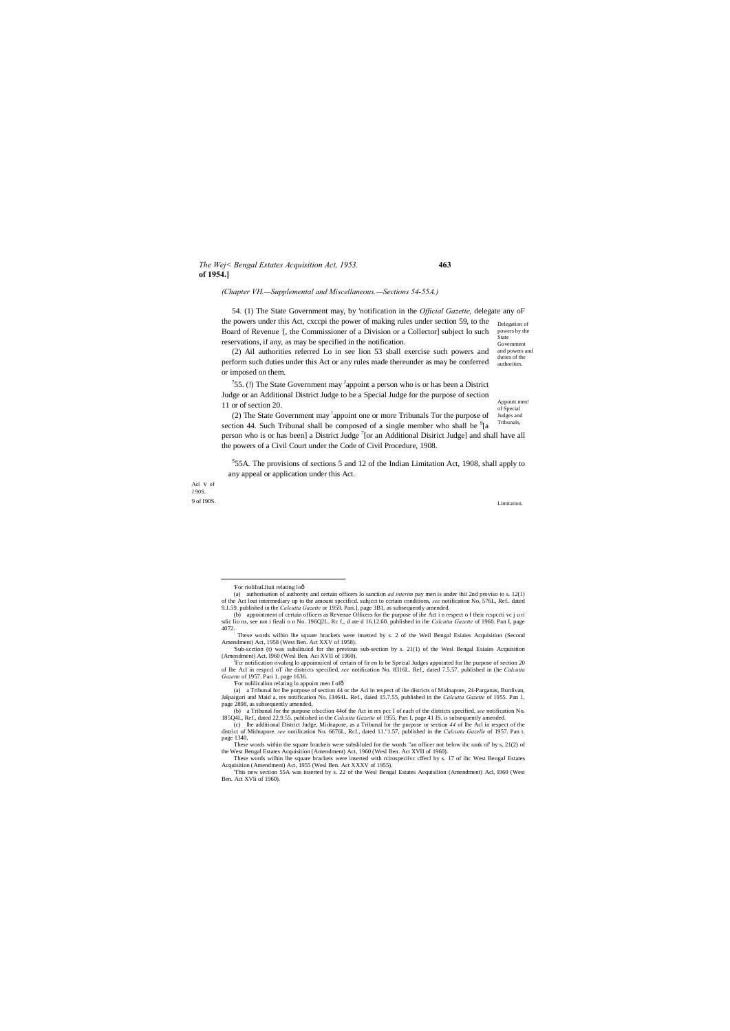#### *The Wej< Bengal Estates Acquisition Act, 1953.* **463 of 1954.]**

Appoint men! of Special Judges and Tribunals,

Acl v of J 90S.

9 of I90S. Limitation.

#### *(Chapter VH.—Supplemental and Miscellaneous.—Sections 54-55A.)*

the powers under this Act, cxccpi the power of making rules under section 59, to the Delegation of powers by the State Government 54. (1) The State Government may, by 'notification in the *Official Gazette,* delegate any oF Board of Revenue [, the Commissioner of a Division or a Collector] subject lo such reservations, if any, as may be specified in the notification.

and powers and duties of the authorities. (2) Ail authorities referred Lo in see lion 53 shall exercise such powers and perform such duties under this Act or any rules made thereunder as may be conferred or imposed on them.

 ${}^{7}$ 55. (!) The State Government may <sup>J</sup>appoint a person who is or has been a District Judge or an Additional District Judge to be a Special Judge for the purpose of section 11 or of section 20.

(2) The State Government may <sup>!</sup>appoint one or more Tribunals Tor the purpose of section 44. Such Tribunal shall be composed of a single member who shall be  $^9$ [a person who is or has been] a District Judge<sup>7</sup>[or an Additional Disirict Judge] and shall have all the powers of a Civil Court under the Code of Civil Procedure, 1908.

 $S$ 55A. The provisions of sections 5 and 12 of the Indian Limitation Act, 1908, shall apply to any appeal or application under this Act.

(a) authorisation of authority and certain officers lo sanction *ad interim* pay men is under ihii 2nd proviso to s. 12(1) of the Act lout intermediary up to the amount specificd. suhject to certain conditions, *see* notification No, 576L, Ref.. dated 9.1.59. published in the *Calcutta Gazette* or 1959. Pari.], page 3B1, as subsequently amende

<sup>&</sup>lt;sup>1</sup> These words wilhin lhe square brackets were insetted by s. 2 of the Weil Bengal Esiaies Acquisition (Second Amendment) Act, 1958 (West Ben. Act XXV of 1958).

<sup>&#</sup>x27;Sub-scction (t) was subslituicd for the previous sub-section by s. 21(1) of the Wesl Bengal Esiaies Acquisition (Amendment) Act, I960 (Wesl Ben. Aci XVII of 1960).

<sup>&</sup>lt;sup>J</sup>Fcr notification rivaling lo appoinniicnl of certain of fir en lo be Special Judges appointed for lhe purpose of section 20 of lhe Acl in respccl oT ihe districts specified, *see* notification No. 8316L. Ref., dated 7.5.57. published in (he *Calcutta Gazette* of 1957. Pari 1. page 1636.

 <sup>&#</sup>x27;For rioliliuLliuii relating lo—

These words within the square brackeis were subslituted for the words "an officer not below ihc rank of' by s, 21(2) of the West Bengal Estates Acquisition (Amendment) Act, 1960 (Wesl Ben. Act XVII of 1960).

<sup>(</sup>b) appointment of certain officers as Revenue Officers for the purpose of ihe Act i n respect o f their rcspccti vc j u ri sdic lio ns, see not i fieali o n No. 196Q2L. Rc f,, d ate d 16.12.60. published in ihe *Calcutta Gazette* of 1960. Pan I, page

<sup>&#</sup>x27;For nolilicalion relating lo appoint men I of—

<sup>(</sup>a) a Tribunal for lhe purpose of section 44 or the Aci in respect of ihe districts of Midnapore, 24-Parganas, Burdivan, Jalpaiguri and Maid a, res notification No. I3464L. Ref., daied 15.7.55, published in the *Calcutta Gazette* of 1955. Pan 1, page 2898, as subsequently amended,

<sup>(</sup>b) a Tribunal for the purpose ofscclion 44of the Act in res pcc I of each of the districts specified, see notification No. 185Q4L, Ref., dated 22.9.55. published in the *Calcutta Gazette* of 1955, Pari I, page 41 IS. is s

<sup>(</sup>c) lhe additional District Judge, Midnapore, as a Tribunal for the purpose or section *44* of lhe Acl in respect of the district of Midnapore. *see* notification No. 6676L, Rcf., dated 11."1.57, published in the *Calcutta Gazelle* of 1957. Pan t. page 1340,

These words wilhin lhe square brackets were inserted with rcirospeciivc cffecl by s. 17 of ihc West BengaJ Estates Acquisition (Amendment) Act, 1955 (Wesl Ben. Act XXXV of 1955).

<sup>&#</sup>x27;This new section 55A was inserted by s. 22 of the Wesl Bengal Estates Aequisilion (Amendment) Acl, I960 (West Ben. Act XVli of 1960).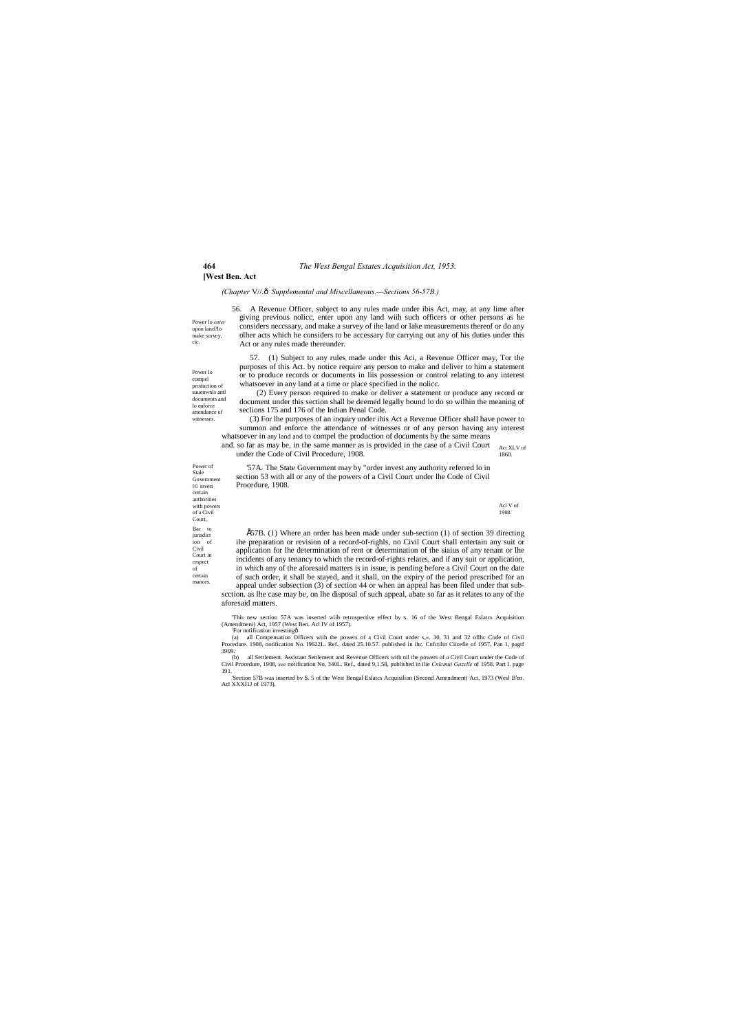#### **464** *The West Bengal Estates Acquisition Act, 1953.*

**[West Ben. Act**

Power of Stale Government l© invest certain authorities with powers of a Civil Court, Bar to jurisdict ion of Civil Court in respect of certain manors.

Power lo *enter* upon land?lo make survey, cic.

Power lo compel production of suuenwnls antl documents and lo enforce attendance of witnesses.

> Acl V of 1908.

*(Chapter* V//.—*Supplemental and Miscellaneous.—Sections 56-57B.)*

56. A Revenue Officer, subject to any rules made under ibis Act, may, at any lime after giving previous nolicc, enter upon any land wiih such officers or other persons as he considers neccssary, and make a survey of ihe land or lake measurements thereof or do any olher acts which he considers to be accessary for carrying out any of his duties under this Act or any rules made thereunder.

(3) For lhe purposes of an inquiry under ihis Act a Revenue Officer shall have power to summon and enforce the attendance of witnesses or of any person having any interest whatsoever in any land and to compel the production of documents by the same means

and. so far as may be, in the same manner as is provided in the case of a Civil Court Act XLV of 1860. under the Code of Civil Procedure, 1908.

57. (1) Subject to any rules made under this Aci, a Revenue Officer may, Tor the purposes of this Act. by notice require any person to make and deliver to him a statement or to produce records or documents in liis possession or control relating to any interest whatsoever in any land at a time or place specified in the nolicc.

 $E57B$ . (1) Where an order has been made under sub-section (1) of section 39 directing ihe preparation or revision of a record-of-righls, no Civil Court shall entertain any suit or application for lhe determination of rent or determination of the siaius of any tenant or lhe incidents of any tenancy to which the record-of-rights relates, and if any suit or application, in which any of the aforesaid matters is in issue, is pending before a Civil Court on the date of such order, it shall be stayed, and it shall, on the expiry of the period prescribed for an

(2) Every person required to make or deliver a statement or produce any record or document under this section shall be deemed legally bound lo do so wilhin the meaning of seclions 175 and 176 of the Indian Penal Code.

'57A. The State Government may by "order invest any authority referred lo in section 53 with all or any of the powers of a Civil Court under lhe Code of Civil Procedure, 1908.

appeal under subsection (3) of section 44 or when an appeal has been filed under that subscction. as lhe case may be, on lhe disposal of such appeal, abate so far as it relates to any of the aforesaid matters.

This new section 57A was inserted wiih retrospective effect by s. 16 of the West Bengal Eslatcs Acquisition (Amendmeni) Act, 1957 (West Ben. Acl IV of 1957). (Amendmeni) Act, 1957 (West Ben. Acl IV of 1957).<br>
<sup>1</sup>For notification investingô<br>
(a) all Compensation Officers with the powers of a Civil Court under s,«. 30, 31 and 32 oflhc Code of Civil

Procedure. 1908, notification No. I9622L. Ref.. dated 25.10.57. published in ihc. Cnfctiltn Ciizefie of 1957, Pan 1, pagtf 3909.

(b) all Settlement. Assistant Settlement and Revenue Officers with nil the powers of a Civil Court under the Code of Civil Procedure, 1908, *see* notification No, 340L. Ref., dated 9,1.58, published in ilie *Cnlcmui Gazelle* of 1958. Part I. page

191. 'Section 57B was inserted bv \$. 5 of the West Bengal Eslatcs Acquisilion (Second Amendment) Act, 1973 (Wesl B'en. Acl XXXI1J of 1973).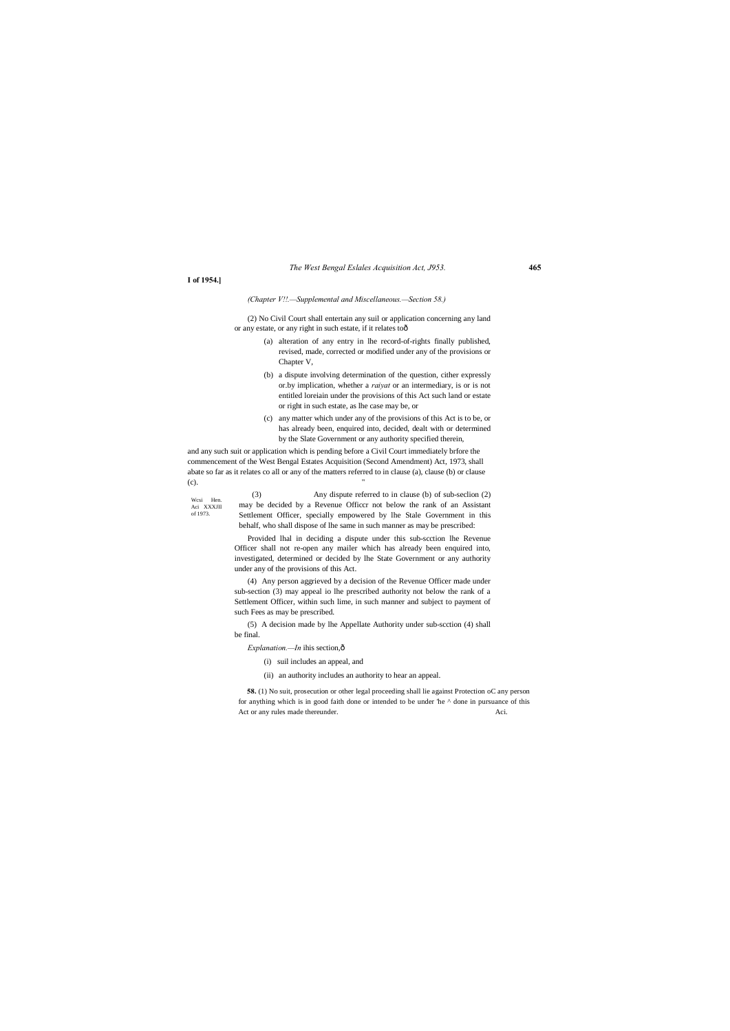#### *The West Bengal Eslales Acquisition Act, J953.* **465**

**58.** (1) No suit, prosecution or other legal proceeding shall lie against Protection oC any person for anything which is in good faith done or intended to be under 'he ^ done in pursuance of this Act or any rules made thereunder. Aci.

Wcsi Hen. Aci XXXJII of 1973.

**I of 1954.]**

*(Chapter V!!.—Supplemental and Miscellaneous.—Section 58.)*

(2) No Civil Court shall entertain any suil or application concerning any land or any estate, or any right in such estate, if it relates to—

- (a) alteration of any entry in lhe record-of-rights finally published, revised, made, corrected or modified under any of the provisions or Chapter V,
- (b) a dispute involving determination of the question, cither expressly or.by implication, whether a *raiyat* or an intermediary, is or is not entitled loreiain under the provisions of this Act such land or estate or right in such estate, as lhe case may be, or
- (c) any matter which under any of the provisions of this Act is to be, or has already been, enquired into, decided, dealt with or determined by the Slate Government or any authority specified therein,

and any such suit or application which is pending before a Civil Court immediately brfore the commencement of the West Bengal Estates Acquisition (Second Amendment) Act, 1973, shall abate so far as it relates co all or any of the matters referred to in clause (a), clause (b) or clause (c). "

> (3) Any dispute referred to in clause (b) of sub-seclion (2) may be decided by a Revenue Officcr not below the rank of an Assistant Settlement Officer, specially empowered by lhe Stale Government in this behalf, who shall dispose of lhe same in such manner as may be prescribed:

> Provided lhal in deciding a dispute under this sub-scction lhe Revenue Officer shall not re-open any mailer which has already been enquired into, investigated, determined or decided by lhe State Government or any authority under any of the provisions of this Act.

> (4) Any person aggrieved by a decision of the Revenue Officer made under sub-section (3) may appeal io lhe prescribed authority not below the rank of a Settlement Officer, within such lime, in such manner and subject to payment of such Fees as may be prescribed.

> (5) A decision made by lhe Appellate Authority under sub-scction (4) shall be final.

*Explanation.—In* ihis section, $\hat{o}$ 

(i) suil includes an appeal, and

(ii) an authority includes an authority to hear an appeal.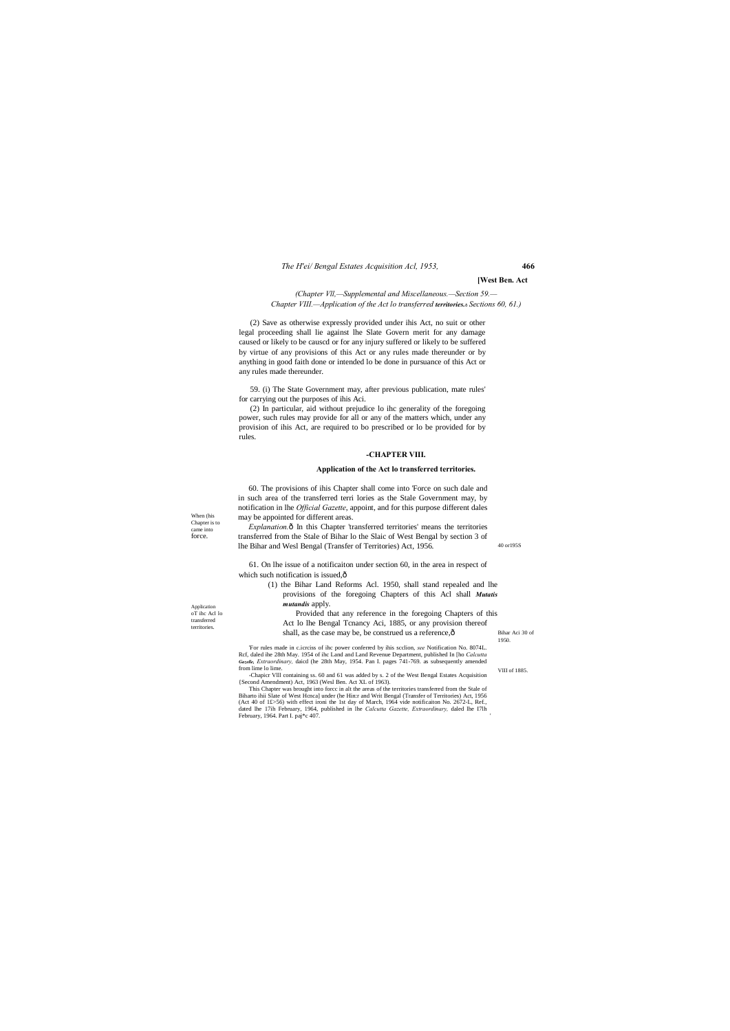#### *The H'ei/ Bengal Estates Acquisition Acl, 1953,* **466**

When (his Chapter is to came into force.

40 or195S

Application oT ihc Acl lo transferred territories.

VIII of 1885.

#### **[West Ben. Act**

*(Chapter Vll,—Supplemental and Miscellaneous.—Section 59.— Chapter VIII.—Application of the Act lo transferred territories.*—*Sections 60, 61.)*

(2) Save as otherwise expressly provided under ihis Act, no suit or other legal proceeding shall lie against lhe Slate Govern merit for any damage caused or likely to be causcd or for any injury suffered or likely to be suffered by virtue of any provisions of this Act or any rules made thereunder or by anything in good faith done or intended lo be done in pursuance of this Act or any rules made thereunder.

59. (i) The State Government may, after previous publication, mate rules' for carrying out the purposes of ihis Aci.

*Explanation.* $\hat{o}$  In this Chapter 'transferred territories' means the territories transferred from the Stale of Bihar lo the Slaic of West Bengal by section 3 of lhe Bihar and Wesl Bengal (Transfer of Territories) Act, 1956.

61. On lhe issue of a notificaiton under section 60, in the area in respect of which such notification is issued, $\hat{o}$ 

- (1) the Bihar Land Reforms Acl. 1950, shall stand repealed and lhe provisions of the foregoing Chapters of this Acl shall *Mutatis mutandis* apply.
- Bihar Aci 30 of 1950. Provided that any reference in the foregoing Chapters of this Act lo lhe Bengal Tcnancy Aci, 1885, or any provision thereof shall, as the case may be, be construed us a reference, $\hat{o}$

(2) In particular, aid without prejudice lo ihc generality of the foregoing power, such rules may provide for all or any of the matters which, under any provision of ihis Act, are required to bo prescribed or lo be provided for by rules.

#### **-CHAPTER VIII.**

#### **Application of the Act lo transferred territories.**

60. The provisions of ihis Chapter shall come into 'Force on such dale and in such area of the transferred terri lories as the Stale Government may, by notification in lhe *Official Gazette*, appoint, and for this purpose different dales may be appointed for different areas.

Biharto ihii Slate of West Hcnca] under (he Hin:r and Writ Bengal (Transfer of Territories) Act, 1956 (Act 40 of 1£>56) with effect ironi the 1st day of March, 1964 vide notificaiton No. 2672-L, Ref., dated lhe 17ih February, 1964, published in lhe *Calcutta Gazette, Extraordinary,* daled lhe I7lh February, 1964. Part I. paj\*c 407

'For rules made in c.icrciss of ihc power conferred by ihis scclion, *see* Notification No. 8074L. Rcf, daled ihe 28th May. 1954 of ihc Land and Land Revenue Department, published In [ho *Calcutta Gazelle, Extraordinary,* daicd (he 28th May, 1954. Pan I. pages 741-769. as subsequently amended from lime lo lime. -Chapicr Vlll containing ss. 60 and 61 was added by s. 2 of the West Bengal Estates Acquisition

{Second Amendment) Act, 1963 (Wesl Ben. Act XL of 1963). This Chapter was brought into forcc in alt the areas of the territories transferred from the Stale of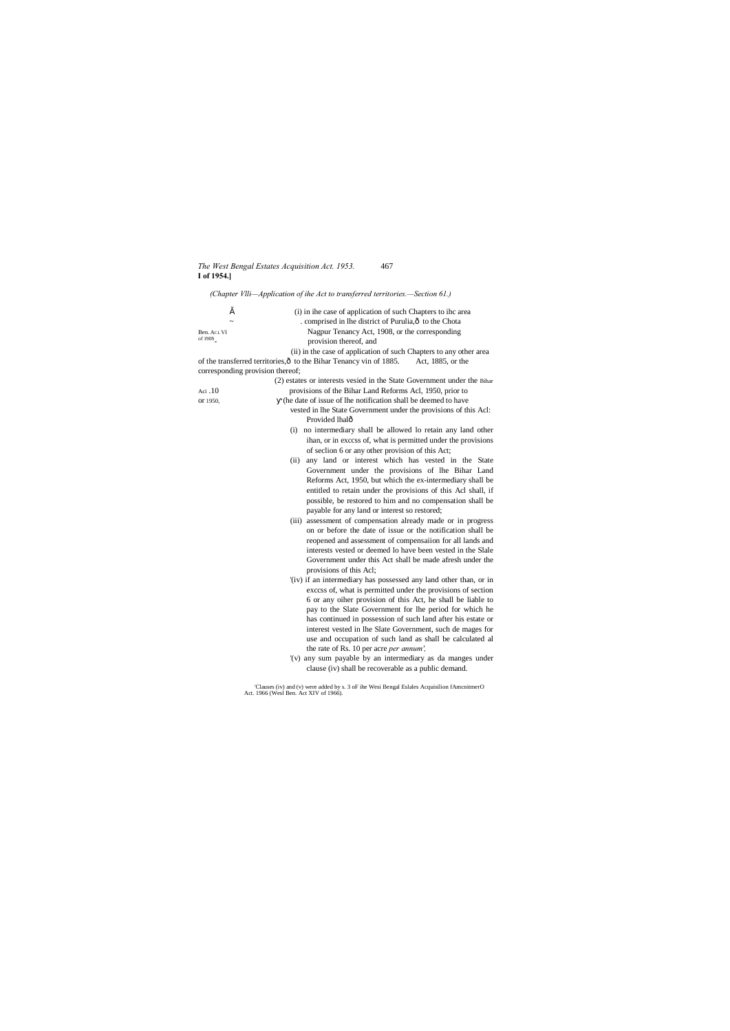### *The West Bengal Estates Acquisition Act. 1953.* 467 **I of 1954.]**

*(Chapter Vlli—Application of ihe Act to transferred territories.—Section 61.)*

| š                                | (i) in ihe case of application of such Chapters to ihc area                              |
|----------------------------------|------------------------------------------------------------------------------------------|
|                                  | . comprised in lhe district of Purulia, ô to the Chota                                   |
| Ben. ACL VI                      | Nagpur Tenancy Act, 1908, or the corresponding                                           |
| of 190S                          | provision thereof, and                                                                   |
|                                  | (ii) in the case of application of such Chapters to any other area                       |
|                                  | of the transferred territories, ô to the Bihar Tenancy vin of 1885.<br>Act, 1885, or the |
| corresponding provision thereof; |                                                                                          |
|                                  | (2) estates or interests vesied in the State Government under the Bihar                  |
| Aci $.10$                        | provisions of the Bihar Land Reforms Acl, 1950, prior to                                 |
| or 1950,                         | (he date of issue of lhe notification shall be deemed to have                            |
|                                  | vested in the State Government under the provisions of this Acl:                         |
|                                  | Provided lhalô                                                                           |
|                                  | no intermediary shall be allowed lo retain any land other<br>(i)                         |
|                                  | ihan, or in excess of, what is permitted under the provisions                            |
|                                  | of seclion 6 or any other provision of this Act;                                         |
|                                  | any land or interest which has vested in the State<br>(ii)                               |
|                                  | Government under the provisions of lhe Bihar Land                                        |
|                                  | Reforms Act, 1950, but which the ex-intermediary shall be                                |
|                                  | entitled to retain under the provisions of this Acl shall, if                            |
|                                  | possible, be restored to him and no compensation shall be                                |
|                                  | payable for any land or interest so restored;                                            |
|                                  | (iii) assessment of compensation already made or in progress                             |
|                                  | on or before the date of issue or the notification shall be                              |
|                                  | reopened and assessment of compensation for all lands and                                |
|                                  | interests vested or deemed lo have been vested in the Slale                              |
|                                  | Government under this Act shall be made afresh under the                                 |
|                                  | provisions of this Acl;                                                                  |
|                                  | '(iv) if an intermediary has possessed any land other than, or in                        |
|                                  | excess of, what is permitted under the provisions of section                             |
|                                  | 6 or any oiher provision of this Act, he shall be liable to                              |
|                                  | pay to the Slate Government for lhe period for which he                                  |
|                                  | has continued in possession of such land after his estate or                             |
|                                  | interest vested in lhe Slate Government, such de mages for                               |
|                                  | use and occupation of such land as shall be calculated al                                |
|                                  | the rate of Rs. 10 per acre per annum',                                                  |
|                                  | '(v) any sum payable by an intermediary as da manges under                               |
|                                  | clause (iv) shall be recoverable as a public demand.                                     |
|                                  |                                                                                          |

'Clauses (iv) and (v) were added by s. 3 oF ihe Wesi Bengal Eslales Acquisilion fAmcnitmerO Act. 1966 (Wesl Ben. Act XIV of 1966).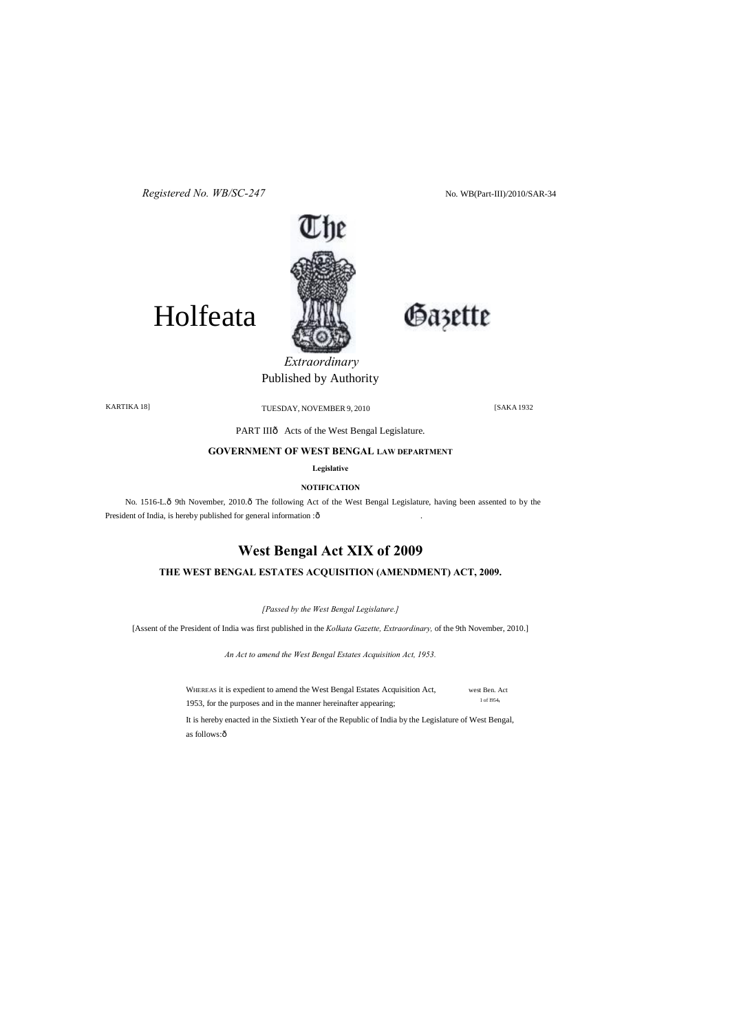No. WB(Part-III)/2010/SAR-34

Gazette



*Registered No. WB/SC-247*

# Holfeata

KARTIKA 18] [SAKA 1932 TUESDAY, NOVEMBER 9, 2010

PART IIIô Acts of the West Bengal Legislature.

# *Extraordinary*  Published by Authority

### **GOVERNMENT OF WEST BENGAL LAW DEPARTMENT**

**Legislative**

**NOTIFICATION**

No. 1516-L.ô 9th November, 2010.ô The following Act of the West Bengal Legislature, having been assented to by the President of India, is hereby published for general information : ô

> WHEREAS it is expedient to amend the West Bengal Estates Acquisition Act, west Ben. Act 1953, for the purposes and in the manner hereinafter appearing; 1 of 1954,

It is hereby enacted in the Sixtieth Year of the Republic of India by the Legislature of West Bengal, as follows:ô

# **West Bengal Act XIX of 2009**

## **THE WEST BENGAL ESTATES ACQUISITION (AMENDMENT) ACT, 2009.**

*[Passed by the West Bengal Legislature.]*

[Assent of the President of India was first published in the *Kolkata Gazette, Extraordinary,* of the 9th November, 2010.]

*An Act to amend the West Bengal Estates Acquisition Act, 1953.*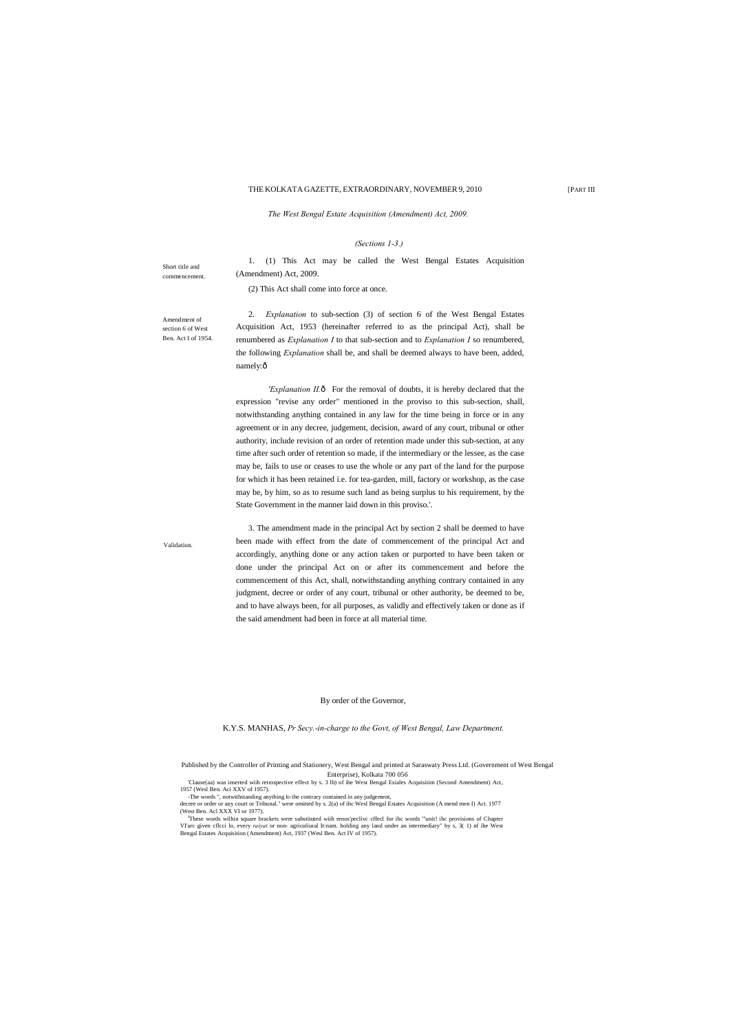[PART III

Short title and commencement.

Amendment of section 6 of West Ben. Act I of 1954.

#### THE KOLKATA GAZETTE, EXTRAORDINARY, NOVEMBER 9, 2010

2. *Explanation* to sub-section (3) of section 6 of the West Bengal Estates Acquisition Act, 1953 (hereinafter referred to as the principal Act), shall be renumbered as *Explanation I* to that sub-section and to *Explanation I* so renumbered, the following *Explanation* shall be, and shall be deemed always to have been, added, namely:ô

*The West Bengal Estate Acquisition (Amendment) Act, 2009.*

#### *(Sections 1-3.)*

1. (1) This Act may be called the West Bengal Estates Acquisition

(Amendment) Act, 2009. (2) This Act shall come into force at once.

'Explanation II.ô For the removal of doubts, it is hereby declared that the expression "revise any order" mentioned in the proviso to this sub-section, shall, notwithstanding anything contained in any law for the time being in force or in any agreement or in any decree, judgement, decision, award of any court, tribunal or other authority, include revision of an order of retention made under this sub-section, at any time after such order of retention so made, if the intermediary or the lessee, as the case may be, fails to use or ceases to use the whole or any part of the land for the purpose for which it has been retained i.e. for tea-garden, mill, factory or workshop, as the case may be, by him, so as to resume such land as being surplus to his requirement, by the State Government in the manner laid down in this proviso.'.

**Validation** 

3. The amendment made in the principal Act by section 2 shall be deemed to have been made with effect from the date of commencement of the principal Act and accordingly, anything done or any action taken or purported to have been taken or done under the principal Act on or after its commencement and before the commencement of this Act, shall, notwithstanding anything contrary contained in any judgment, decree or order of any court, tribunal or other authority, be deemed to be, and to have always been, for all purposes, as validly and effectively taken or done as if the said amendment had been in force at all material time.

#### By order of the Governor,

K.Y.S. MANHAS, *Pr Secy.-in-charge to the Govt, of West Bengal, Law Department.*

'Clause(aa) was inserted wiih retrospective effect by s. 3 lb) of ihe West Bengal Esiales Acquisitim (Second Amendment) Act, 1957 (Wesl Ben. Aci XXV of 1957).

-The words ", notwithstanding anything ID the contrary contained in any judgement,

decree or order or any court or Tribunal." were omitted by s. 2(a) of ihc Wesl Bengal Estates Acquisition (A mend men I) Act. 1977 (West Ben. Acl XXX VI or 1977).

J These words wilhin square brackets were substituted wiih renos'peclivc cffecl for ihc words '"unit! ihc provisions of Chapter VI'arc given cflcci lo, every *raiyat* or non- agriculiural It:nam. holding any land under an intermediary" by s, 3( 1) nf ihe West Bengal Estates Acquisition (Amendment) Act, 1937 (Wesl Ben. Act IV of 1957).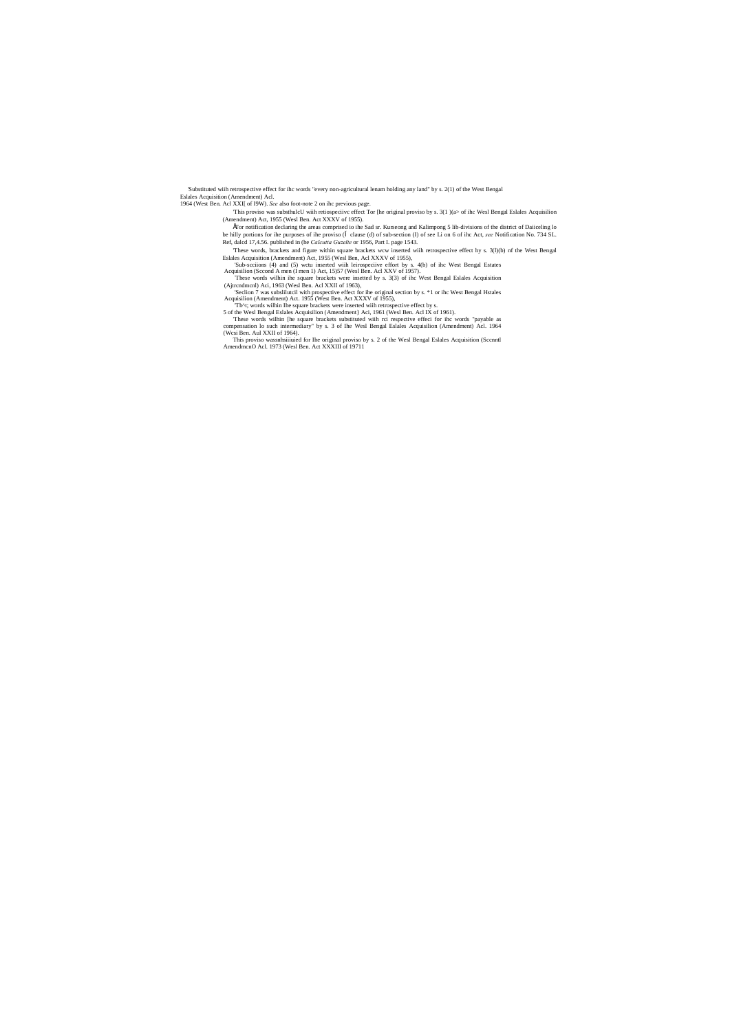'Substituted wiih retrospective effect for ihc words "every non-agricultural lenam holding any land" by s. 2(1) of the West Bengal Eslales Acquisition (Amendment) Acl.

1964 (West Ben. Acl XXI[ of I9W). *See* also foot-note 2 on ihc previous page.

'This proviso was substhulcU wiih retiospeciivc effect Tor [he original proviso by s. 3(1 )(a> of ihc Wesl Bengal Eslales Acquisilion (Amendment) Act, 1955 (Wesl Ben. Act XXXV of 1955).

•Tor notification declaring the areas comprised io ihe Sad sr. Kurseong and Kalimpong 5 lib-divisions of the district of Daiiceling lo be hilly portions for ihe purposes of ihe proviso ( clause (d) of sub-section (I) of see Li on 6 of ihc Act, *see* Notification No. 734 SL. Ref, dalcd 17,4.56. published in (he *Calcutta Guzelte* or 1956, Part I. page 1543.

'These words, brackets and figure within square brackets wcw inserted wiih retrospective effect hy s. 3(l)(b) nf the West Bengal Eslales Acquisition (Amendment) Act, 1955 (Wesl Ben, Acl XXXV of 1955),

'Sub-scciions (4) and (5) wetu inserted with leirospeciive effort by s. 4(b) of ihe West Bengal Estates Acquisition (Second A men (I men 1) Act, 15)57 (West Ben. Act XXV of 1957).<br>These words wilhin ihe square brackets wer

(Ajtrcndmcnl) Aci, 1963 (Wesl Ben. Acl XXII of 1963),

'Seclion 7 was subslilutcil with prospective effect for ihe original section by s. \*1 or ihc West Bengal Hstales Acquisilion (Amendment) Act. 1955 (West Ben. Act XXXV of 1955),

'Th^t; words wilhin Ihe square brackets were inserted wiih retrospective effect by s. 5 of the Wesl Bengal Eslales Acquisilion (Amendment} Aci, 1961 (Wesl Ben. Acl IX of 1961).

These words wilhin [he square brackets substituted with rci respective effect for the words "payable as compensation lo such intermediary" by s. 3 of Ihe Wesl Bengal Eslales Acquisition (Amendment) Acl. 1964 (West Ben. Aul

This proviso wassnhsiiiuied for Ihe original proviso by s. 2 of the Wesl Bengal Eslales Acquisition (Sccnntl AmendmcnO Acl. 1973 (Wesl Ben. Act XXXIII of 19711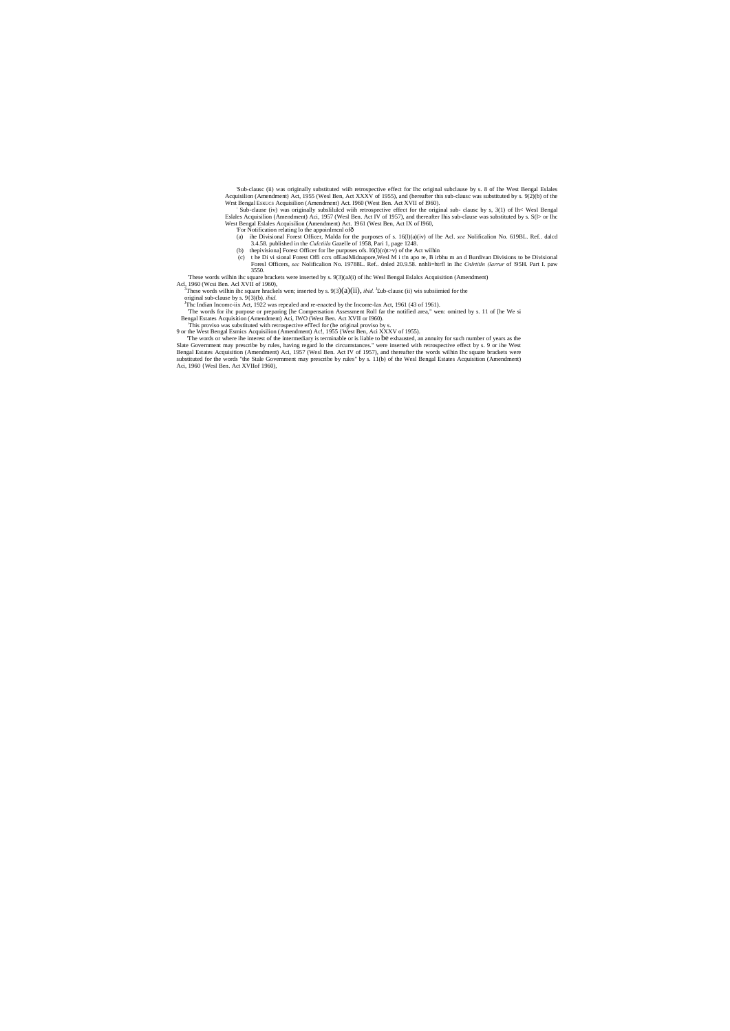'Sub-clausc (ii) was originally substituted with retrospective effect for Ihc original subclause by s. 8 of Ihe West Bengal Eslales<br>Acquisilion (Amendment) Act, 1955 (Wesl Ben, Act XXXV of 1955), and (hereafter this sub-cl

Wrst Bengal Eskucs Acquisition (Amendment) Act. 1960 (West Ben. Act XVII of 1960).<br>Sub-clause (iv) was originally subslituted with retrospective effect for the original sub-clause by s, 3(1) of  $\ln$ < West Bengal<br>Eslales Ac West Bengal Eslales Acquisilion (Amendment) Act. 1961 (West Ben, Act IX of I960,

- Tor Notification relating lo the appoinlmcnl of ô<br>(a) ihe Divisional Forest Officer, Malda for the purposes of s. 16(l)(a)(iv) of lbe Acl. *see* Nolificalion No. 619BL. Ref.. dalcd 3.4.58. published in the *Culctiila* Gazelle of 1958, Pari 1, page 1248.
	-
- (b) the pivisional Forest Officer for lbe purposes ofs.  $I(0)(n) \rightarrow \infty$  of the Act wilhin<br>(c) the Di vi sional Forest Officers of EasiMidnapore, Wesl M i than pore, B irbhu m and Burdivan Divisions to be Divisional Foresl Officers, *sec* Nolificalion No. 19788L. Ref.. dnled 20.9.58. nnhli=htrfl in Ihc *Cnlrtitln (larrur* of !95H. Part I. paw 3550.

These words wilhin ihc square brackets were inserted by s. 9(3)(aJ(i) of ihc Wesl Bengal Eslalcs Acquisition (Amendment)<br>Acl, 1960 (Wcsi Ben. Acl XVII of 1960),<br><sup>3</sup>These words wilhin ihc square brackels wen: inserted by s

These words wilhin ihc square hrackels wen; inserted by s.  $9(3)(a)(ii)$ , *ibid.* <sup>1</sup>£ub-clausc (ii) wis subsiimied for the

original sub-clause by s. 9{3)(b). *ibid.*<br><sup>J</sup>The Indian Income-iix Act, 1922 was repealed and re-enacted by the Income-lax Act, 1961 (43 of 1961).<br>The words for ihe purpose or preparing [he Compensation Assessment Roll fa

Bengal Estates Acquisition (Amendment) Aci, IWO (West Ben. Act XVII or I960).<br>This proviso was substituted with retrospective efTecl for (he original proviso by s.

9 or the West Bengal Esmics Acquisilion (Amendment) Ac!, 1955 {West Ben, Aci XXXV of 1955).<br>The words or where ihe interest of the intermediary is terminable or is liable to be exhausted, an annuity for such number of year Slate Government may prescribe by rules, having regard lo the circumstances." were inserted with retrospective effect by s. 9 or ihe West<br>Bengal Estates Acquisition (Amendment) Aci, 1957 (Wesl Ben. Act IV of 1957), and the Aci, 1960 {Wesl Ben. Act XVIIof 1960),